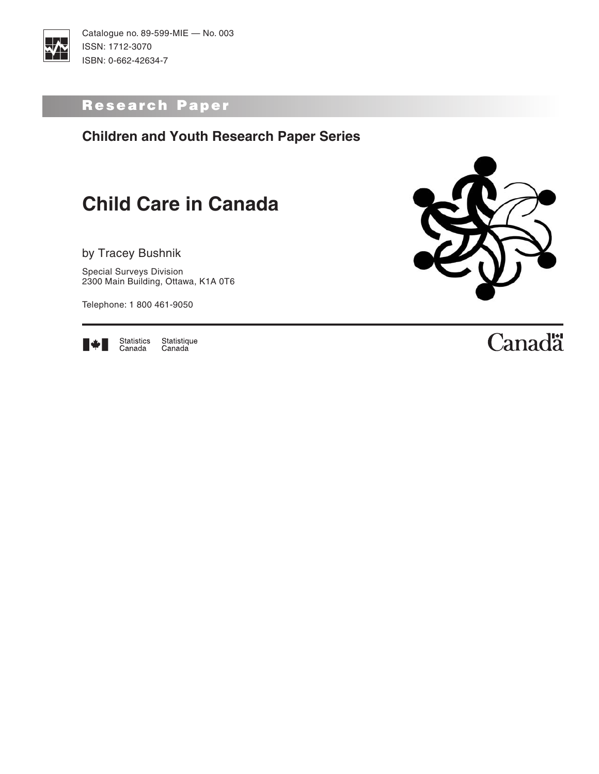

Catalogue no. 89-599-MIE — No. 003 ISSN: 1712-3070 ISBN: 0-662-42634-7

### Research Paper

**Children and Youth Research Paper Series**

# **Child Care in Canada**

by Tracey Bushnik

Special Surveys Division 2300 Main Building, Ottawa, K1A 0T6

Telephone: 1 800 461-9050



Statistics<br>Canada Statistique<br>Canada



# Canadä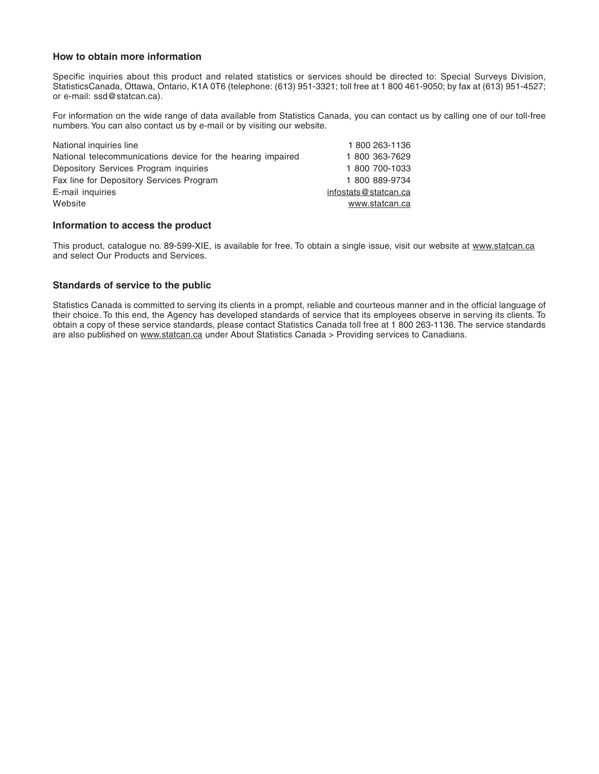#### **How to obtain more information**

Specific inquiries about this product and related statistics or services should be directed to: Special Surveys Division, StatisticsCanada, Ottawa, Ontario, K1A 0T6 (telephone: (613) 951-3321; toll free at 1 800 461-9050; by fax at (613) 951-4527; or e-mail: ssd@statcan.ca).

For information on the wide range of data available from Statistics Canada, you can contact us by calling one of our toll-free numbers. You can also contact us by e-mail or by visiting our website.

| National inquiries line                                     | 1800 263-1136        |
|-------------------------------------------------------------|----------------------|
| National telecommunications device for the hearing impaired | 1 800 363-7629       |
| Depository Services Program inquiries                       | 1 800 700-1033       |
| Fax line for Depository Services Program                    | 1 800 889-9734       |
| E-mail inquiries                                            | infostats@statcan.ca |
| Website                                                     | www.statcan.ca       |
|                                                             |                      |

#### **Information to access the product**

This product, catalogue no. 89-599-XIE, is available for free. To obtain a single issue, visit our website at www.statcan.ca and select Our Products and Services.

#### **Standards of service to the public**

Statistics Canada is committed to serving its clients in a prompt, reliable and courteous manner and in the official language of their choice. To this end, the Agency has developed standards of service that its employees observe in serving its clients. To obtain a copy of these service standards, please contact Statistics Canada toll free at 1 800 263-1136. The service standards are also published on www.statcan.ca under About Statistics Canada > Providing services to Canadians.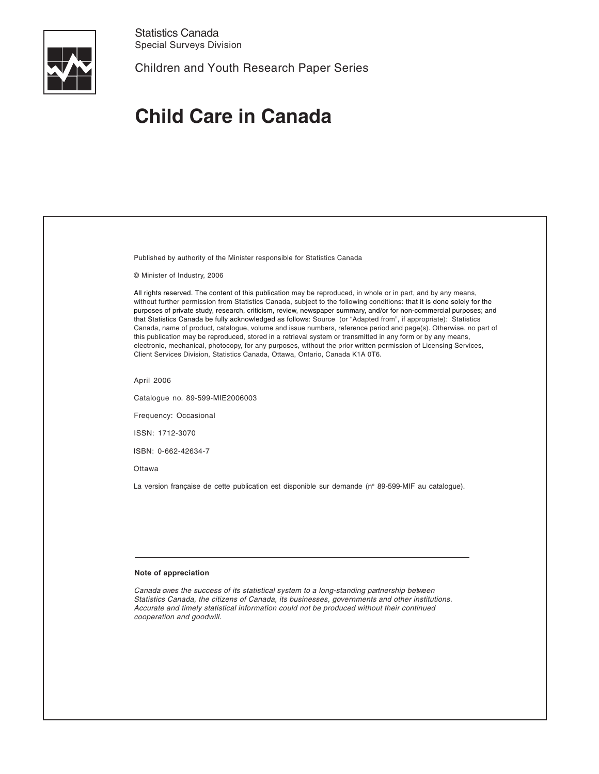

Statistics Canada Special Surveys Division

Children and Youth Research Paper Series

# **Child Care in Canada**

| Published by authority of the Minister responsible for Statistics Canada                                                                                                                                                                                                                                                                                                                                                                                                                                                                                                                                                                                                                                                                                                                                                                                                                                                    |
|-----------------------------------------------------------------------------------------------------------------------------------------------------------------------------------------------------------------------------------------------------------------------------------------------------------------------------------------------------------------------------------------------------------------------------------------------------------------------------------------------------------------------------------------------------------------------------------------------------------------------------------------------------------------------------------------------------------------------------------------------------------------------------------------------------------------------------------------------------------------------------------------------------------------------------|
| © Minister of Industry, 2006                                                                                                                                                                                                                                                                                                                                                                                                                                                                                                                                                                                                                                                                                                                                                                                                                                                                                                |
| All rights reserved. The content of this publication may be reproduced, in whole or in part, and by any means,<br>without further permission from Statistics Canada, subject to the following conditions: that it is done solely for the<br>purposes of private study, research, criticism, review, newspaper summary, and/or for non-commercial purposes; and<br>that Statistics Canada be fully acknowledged as follows: Source (or "Adapted from", if appropriate): Statistics<br>Canada, name of product, catalogue, volume and issue numbers, reference period and page(s). Otherwise, no part of<br>this publication may be reproduced, stored in a retrieval system or transmitted in any form or by any means,<br>electronic, mechanical, photocopy, for any purposes, without the prior written permission of Licensing Services,<br>Client Services Division, Statistics Canada, Ottawa, Ontario, Canada K1A 0T6. |
| April 2006                                                                                                                                                                                                                                                                                                                                                                                                                                                                                                                                                                                                                                                                                                                                                                                                                                                                                                                  |
| Catalogue no. 89-599-MIE2006003                                                                                                                                                                                                                                                                                                                                                                                                                                                                                                                                                                                                                                                                                                                                                                                                                                                                                             |
| Frequency: Occasional                                                                                                                                                                                                                                                                                                                                                                                                                                                                                                                                                                                                                                                                                                                                                                                                                                                                                                       |
| ISSN: 1712-3070                                                                                                                                                                                                                                                                                                                                                                                                                                                                                                                                                                                                                                                                                                                                                                                                                                                                                                             |
| ISBN: 0-662-42634-7                                                                                                                                                                                                                                                                                                                                                                                                                                                                                                                                                                                                                                                                                                                                                                                                                                                                                                         |
| Ottawa                                                                                                                                                                                                                                                                                                                                                                                                                                                                                                                                                                                                                                                                                                                                                                                                                                                                                                                      |
| La version française de cette publication est disponible sur demande (nº 89-599-MIF au catalogue).                                                                                                                                                                                                                                                                                                                                                                                                                                                                                                                                                                                                                                                                                                                                                                                                                          |
|                                                                                                                                                                                                                                                                                                                                                                                                                                                                                                                                                                                                                                                                                                                                                                                                                                                                                                                             |
|                                                                                                                                                                                                                                                                                                                                                                                                                                                                                                                                                                                                                                                                                                                                                                                                                                                                                                                             |
|                                                                                                                                                                                                                                                                                                                                                                                                                                                                                                                                                                                                                                                                                                                                                                                                                                                                                                                             |
|                                                                                                                                                                                                                                                                                                                                                                                                                                                                                                                                                                                                                                                                                                                                                                                                                                                                                                                             |
| Note of appreciation                                                                                                                                                                                                                                                                                                                                                                                                                                                                                                                                                                                                                                                                                                                                                                                                                                                                                                        |
| Conado quas the quessos of its statistical quotam to a lang standing northerprobin between                                                                                                                                                                                                                                                                                                                                                                                                                                                                                                                                                                                                                                                                                                                                                                                                                                  |

Canada owes the success of its statistical system to a long-standing partnership between Statistics Canada, the citizens of Canada, its businesses, governments and other institutions. Accurate and timely statistical information could not be produced without their continued cooperation and goodwill.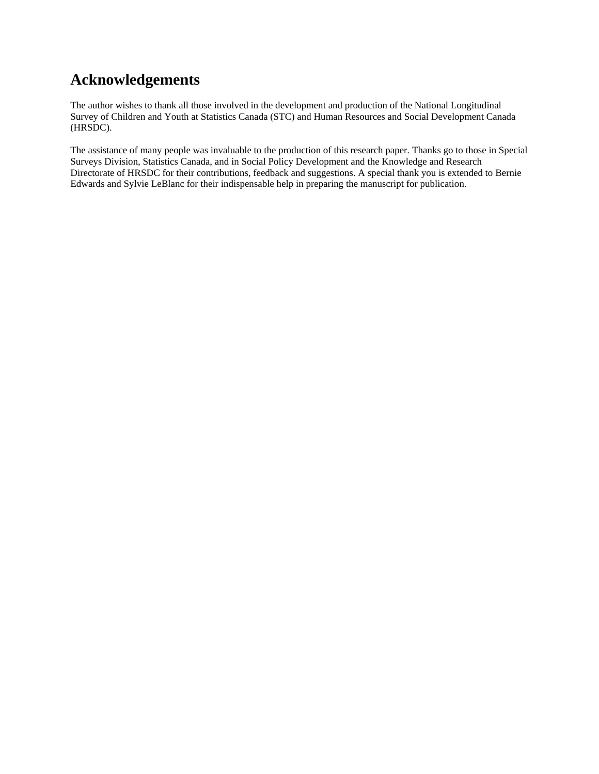### **Acknowledgements**

The author wishes to thank all those involved in the development and production of the National Longitudinal Survey of Children and Youth at Statistics Canada (STC) and Human Resources and Social Development Canada (HRSDC).

The assistance of many people was invaluable to the production of this research paper. Thanks go to those in Special Surveys Division, Statistics Canada, and in Social Policy Development and the Knowledge and Research Directorate of HRSDC for their contributions, feedback and suggestions. A special thank you is extended to Bernie Edwards and Sylvie LeBlanc for their indispensable help in preparing the manuscript for publication.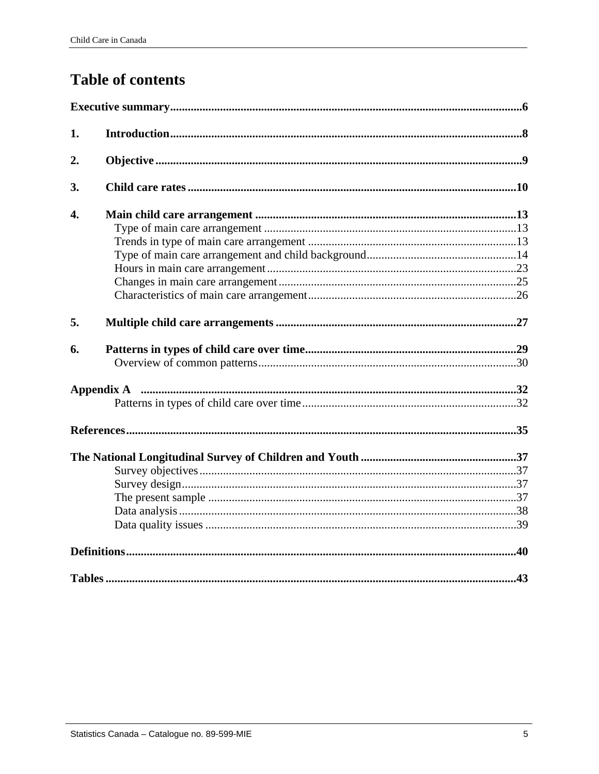## **Table of contents**

| 1.               |                                                                                                                |  |
|------------------|----------------------------------------------------------------------------------------------------------------|--|
| 2.               |                                                                                                                |  |
| 3.               |                                                                                                                |  |
| $\overline{4}$ . |                                                                                                                |  |
|                  |                                                                                                                |  |
|                  |                                                                                                                |  |
|                  |                                                                                                                |  |
|                  |                                                                                                                |  |
|                  |                                                                                                                |  |
|                  |                                                                                                                |  |
| 5.               |                                                                                                                |  |
| 6.               |                                                                                                                |  |
|                  |                                                                                                                |  |
|                  | Appendix A manual members and a contract the manual members of the manual members and a contract of the set of |  |
|                  |                                                                                                                |  |
|                  |                                                                                                                |  |
|                  |                                                                                                                |  |
|                  |                                                                                                                |  |
|                  |                                                                                                                |  |
|                  |                                                                                                                |  |
|                  |                                                                                                                |  |
|                  |                                                                                                                |  |
|                  |                                                                                                                |  |
|                  |                                                                                                                |  |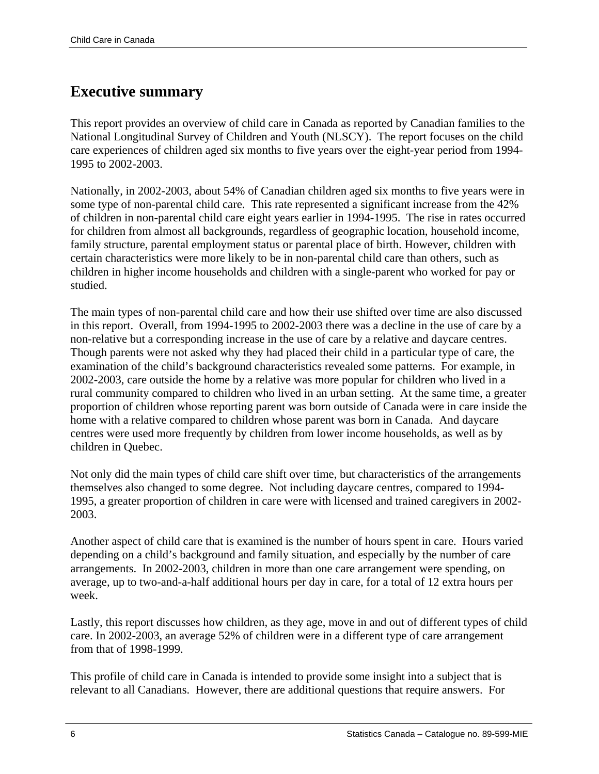### <span id="page-5-0"></span>**Executive summary**

This report provides an overview of child care in Canada as reported by Canadian families to the National Longitudinal Survey of Children and Youth (NLSCY). The report focuses on the child care experiences of children aged six months to five years over the eight-year period from 1994- 1995 to 2002-2003.

Nationally, in 2002-2003, about 54% of Canadian children aged six months to five years were in some type of non-parental child care. This rate represented a significant increase from the 42% of children in non-parental child care eight years earlier in 1994-1995. The rise in rates occurred for children from almost all backgrounds, regardless of geographic location, household income, family structure, parental employment status or parental place of birth. However, children with certain characteristics were more likely to be in non-parental child care than others, such as children in higher income households and children with a single-parent who worked for pay or studied.

The main types of non-parental child care and how their use shifted over time are also discussed in this report. Overall, from 1994-1995 to 2002-2003 there was a decline in the use of care by a non-relative but a corresponding increase in the use of care by a relative and daycare centres. Though parents were not asked why they had placed their child in a particular type of care, the examination of the child's background characteristics revealed some patterns. For example, in 2002-2003, care outside the home by a relative was more popular for children who lived in a rural community compared to children who lived in an urban setting. At the same time, a greater proportion of children whose reporting parent was born outside of Canada were in care inside the home with a relative compared to children whose parent was born in Canada. And daycare centres were used more frequently by children from lower income households, as well as by children in Quebec.

Not only did the main types of child care shift over time, but characteristics of the arrangements themselves also changed to some degree. Not including daycare centres, compared to 1994- 1995, a greater proportion of children in care were with licensed and trained caregivers in 2002- 2003.

Another aspect of child care that is examined is the number of hours spent in care. Hours varied depending on a child's background and family situation, and especially by the number of care arrangements. In 2002-2003, children in more than one care arrangement were spending, on average, up to two-and-a-half additional hours per day in care, for a total of 12 extra hours per week.

Lastly, this report discusses how children, as they age, move in and out of different types of child care. In 2002-2003, an average 52% of children were in a different type of care arrangement from that of 1998-1999.

This profile of child care in Canada is intended to provide some insight into a subject that is relevant to all Canadians. However, there are additional questions that require answers. For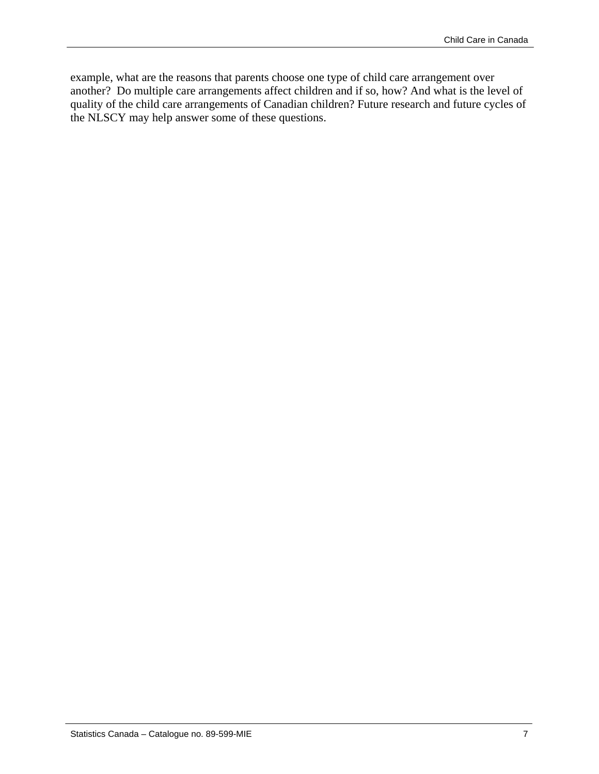example, what are the reasons that parents choose one type of child care arrangement over another? Do multiple care arrangements affect children and if so, how? And what is the level of quality of the child care arrangements of Canadian children? Future research and future cycles of the NLSCY may help answer some of these questions.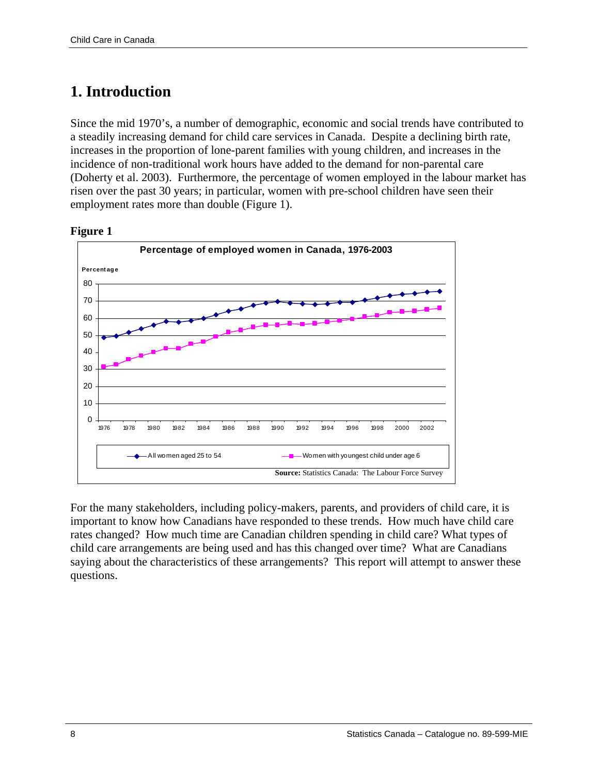### <span id="page-7-0"></span>**1. Introduction**

Since the mid 1970's, a number of demographic, economic and social trends have contributed to a steadily increasing demand for child care services in Canada. Despite a declining birth rate, increases in the proportion of lone-parent families with young children, and increases in the incidence of non-traditional work hours have added to the demand for non-parental care (Doherty et al. 2003). Furthermore, the percentage of women employed in the labour market has risen over the past 30 years; in particular, women with pre-school children have seen their employment rates more than double (Figure 1).



#### **Figure 1**

For the many stakeholders, including policy-makers, parents, and providers of child care, it is important to know how Canadians have responded to these trends. How much have child care rates changed? How much time are Canadian children spending in child care? What types of child care arrangements are being used and has this changed over time? What are Canadians saying about the characteristics of these arrangements? This report will attempt to answer these questions.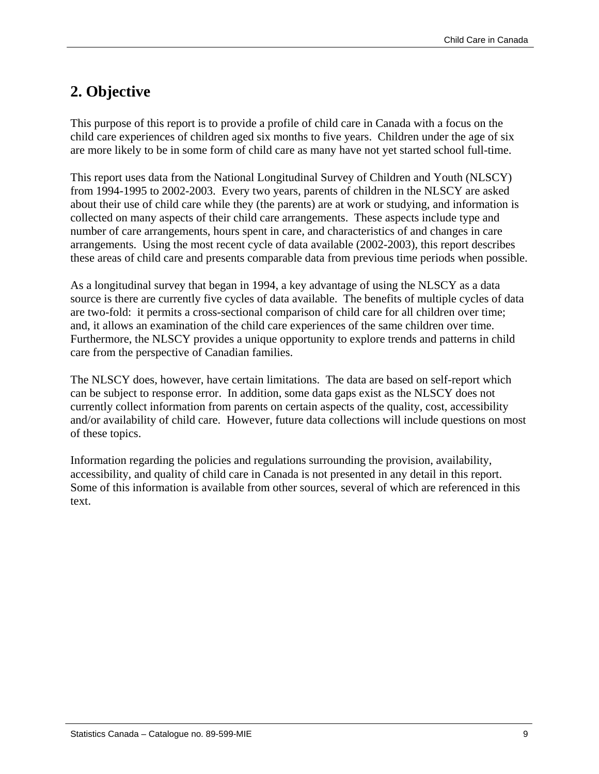### <span id="page-8-0"></span>**2. Objective**

This purpose of this report is to provide a profile of child care in Canada with a focus on the child care experiences of children aged six months to five years. Children under the age of six are more likely to be in some form of child care as many have not yet started school full-time.

This report uses data from the National Longitudinal Survey of Children and Youth (NLSCY) from 1994-1995 to 2002-2003. Every two years, parents of children in the NLSCY are asked about their use of child care while they (the parents) are at work or studying, and information is collected on many aspects of their child care arrangements. These aspects include type and number of care arrangements, hours spent in care, and characteristics of and changes in care arrangements. Using the most recent cycle of data available (2002-2003), this report describes these areas of child care and presents comparable data from previous time periods when possible.

As a longitudinal survey that began in 1994, a key advantage of using the NLSCY as a data source is there are currently five cycles of data available. The benefits of multiple cycles of data are two-fold: it permits a cross-sectional comparison of child care for all children over time; and, it allows an examination of the child care experiences of the same children over time. Furthermore, the NLSCY provides a unique opportunity to explore trends and patterns in child care from the perspective of Canadian families.

The NLSCY does, however, have certain limitations. The data are based on self-report which can be subject to response error. In addition, some data gaps exist as the NLSCY does not currently collect information from parents on certain aspects of the quality, cost, accessibility and/or availability of child care. However, future data collections will include questions on most of these topics.

Information regarding the policies and regulations surrounding the provision, availability, accessibility, and quality of child care in Canada is not presented in any detail in this report. Some of this information is available from other sources, several of which are referenced in this text.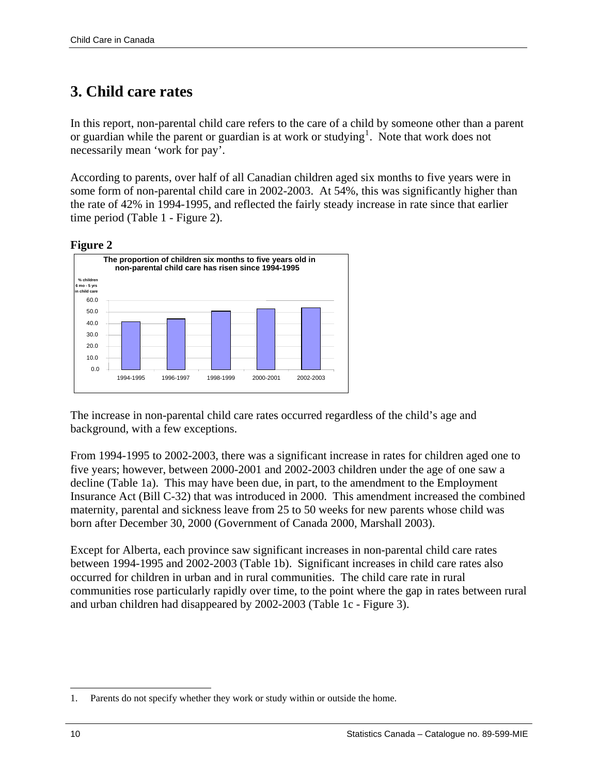### <span id="page-9-0"></span>**3. Child care rates**

In this report, non-parental child care refers to the care of a child by someone other than a parent or guardian while the parent or guardian is at work or studying<sup>[1](#page-9-1)</sup>. Note that work does not necessarily mean 'work for pay'.

According to parents, over half of all Canadian children aged six months to five years were in some form of non-parental child care in 2002-2003. At 54%, this was significantly higher than the rate of 42% in 1994-1995, and reflected the fairly steady increase in rate since that earlier time period (Table 1 - Figure 2).

#### **Figure 2**



The increase in non-parental child care rates occurred regardless of the child's age and background, with a few exceptions.

From 1994-1995 to 2002-2003, there was a significant increase in rates for children aged one to five years; however, between 2000-2001 and 2002-2003 children under the age of one saw a decline (Table 1a). This may have been due, in part, to the amendment to the Employment Insurance Act (Bill C-32) that was introduced in 2000. This amendment increased the combined maternity, parental and sickness leave from 25 to 50 weeks for new parents whose child was born after December 30, 2000 (Government of Canada 2000, Marshall 2003).

Except for Alberta, each province saw significant increases in non-parental child care rates between 1994-1995 and 2002-2003 (Table 1b). Significant increases in child care rates also occurred for children in urban and in rural communities. The child care rate in rural communities rose particularly rapidly over time, to the point where the gap in rates between rural and urban children had disappeared by 2002-2003 (Table 1c - Figure 3).

<span id="page-9-1"></span> $\overline{a}$ 1. Parents do not specify whether they work or study within or outside the home.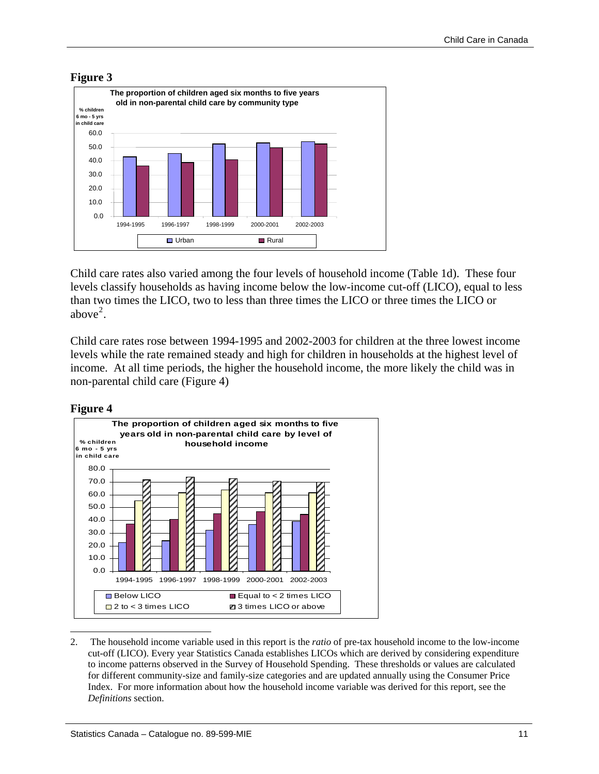

**Figure 3** 

Child care rates also varied among the four levels of household income (Table 1d). These four levels classify households as having income below the low-income cut-off (LICO), equal to less than two times the LICO, two to less than three times the LICO or three times the LICO or above $2$ .

Child care rates rose between 1994-1995 and 2002-2003 for children at the three lowest income levels while the rate remained steady and high for children in households at the highest level of income. At all time periods, the higher the household income, the more likely the child was in non-parental child care (Figure 4)





<span id="page-10-0"></span><sup>2</sup>. The household income variable used in this report is the *ratio* of pre-tax household income to the low-income cut-off (LICO). Every year Statistics Canada establishes LICOs which are derived by considering expenditure to income patterns observed in the Survey of Household Spending. These thresholds or values are calculated for different community-size and family-size categories and are updated annually using the Consumer Price Index. For more information about how the household income variable was derived for this report, see the *Definitions* section.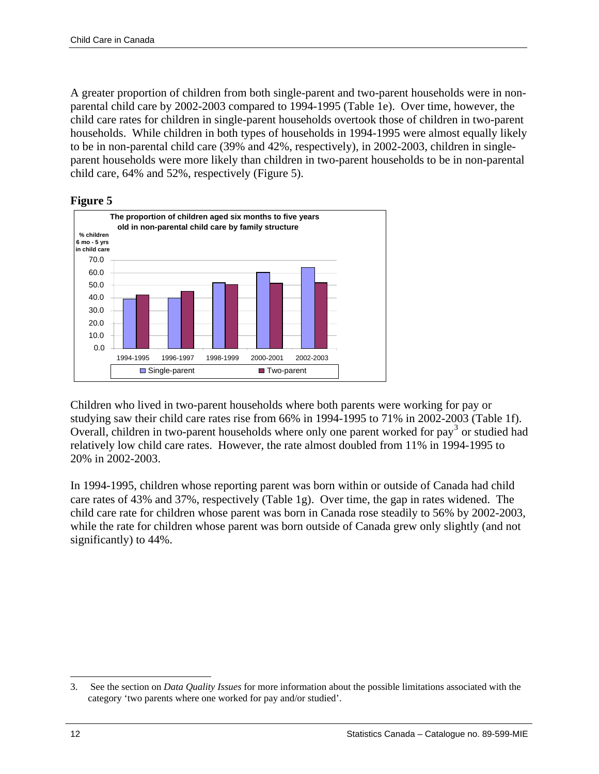A greater proportion of children from both single-parent and two-parent households were in nonparental child care by 2002-2003 compared to 1994-1995 (Table 1e). Over time, however, the child care rates for children in single-parent households overtook those of children in two-parent households. While children in both types of households in 1994-1995 were almost equally likely to be in non-parental child care (39% and 42%, respectively), in 2002-2003, children in singleparent households were more likely than children in two-parent households to be in non-parental child care, 64% and 52%, respectively (Figure 5).

#### **Figure 5**



Children who lived in two-parent households where both parents were working for pay or studying saw their child care rates rise from 66% in 1994-1995 to 71% in 2002-2003 (Table 1f). Overall, children in two-parent households where only one parent worked for pay<sup>[3](#page-11-0)</sup> or studied had relatively low child care rates. However, the rate almost doubled from 11% in 1994-1995 to 20% in 2002-2003.

In 1994-1995, children whose reporting parent was born within or outside of Canada had child care rates of 43% and 37%, respectively (Table 1g). Over time, the gap in rates widened. The child care rate for children whose parent was born in Canada rose steadily to 56% by 2002-2003, while the rate for children whose parent was born outside of Canada grew only slightly (and not significantly) to 44%.

<span id="page-11-0"></span><sup>3</sup>. See the section on *Data Quality Issues* for more information about the possible limitations associated with the category 'two parents where one worked for pay and/or studied'.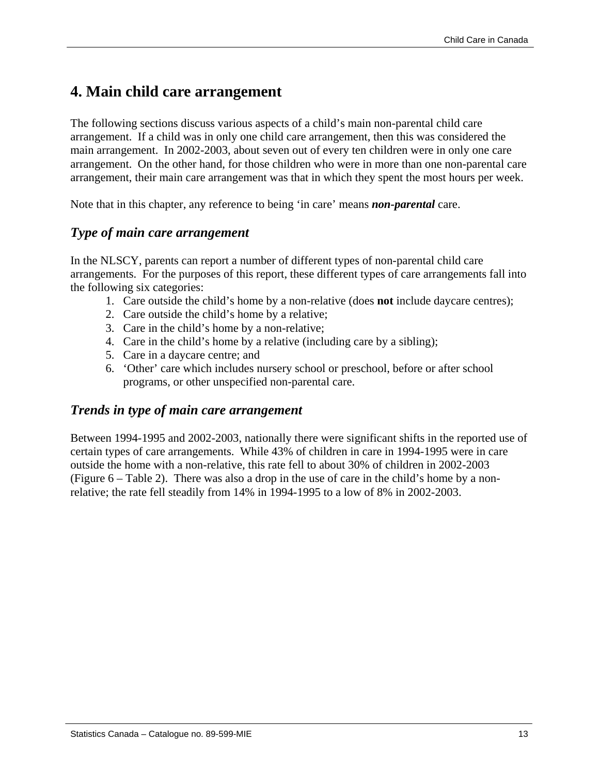### <span id="page-12-0"></span>**4. Main child care arrangement**

The following sections discuss various aspects of a child's main non-parental child care arrangement. If a child was in only one child care arrangement, then this was considered the main arrangement. In 2002-2003, about seven out of every ten children were in only one care arrangement. On the other hand, for those children who were in more than one non-parental care arrangement, their main care arrangement was that in which they spent the most hours per week.

Note that in this chapter, any reference to being 'in care' means *non-parental* care.

#### *Type of main care arrangement*

In the NLSCY, parents can report a number of different types of non-parental child care arrangements. For the purposes of this report, these different types of care arrangements fall into the following six categories:

- 1. Care outside the child's home by a non-relative (does **not** include daycare centres);
- 2. Care outside the child's home by a relative;
- 3. Care in the child's home by a non-relative;
- 4. Care in the child's home by a relative (including care by a sibling);
- 5. Care in a daycare centre; and
- 6. 'Other' care which includes nursery school or preschool, before or after school programs, or other unspecified non-parental care.

#### *Trends in type of main care arrangement*

Between 1994-1995 and 2002-2003, nationally there were significant shifts in the reported use of certain types of care arrangements. While 43% of children in care in 1994-1995 were in care outside the home with a non-relative, this rate fell to about 30% of children in 2002-2003 (Figure 6 – Table 2). There was also a drop in the use of care in the child's home by a nonrelative; the rate fell steadily from 14% in 1994-1995 to a low of 8% in 2002-2003.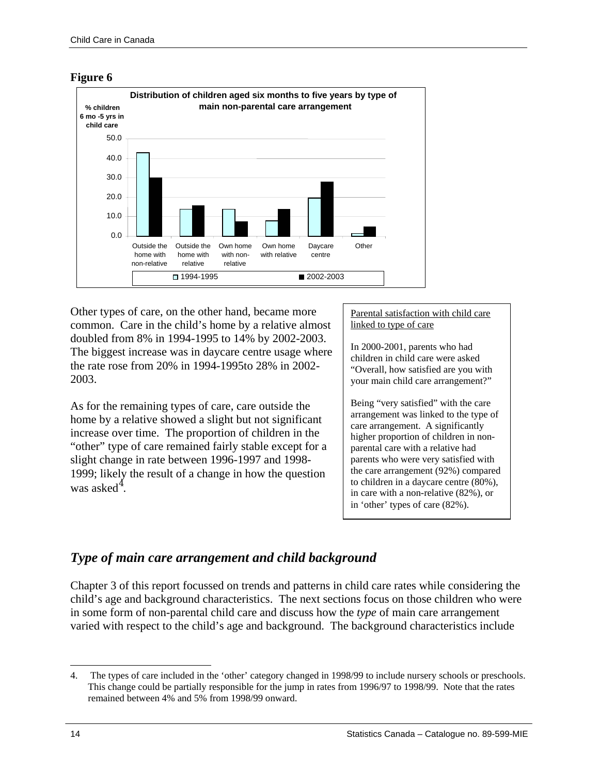<span id="page-13-0"></span>



Other types of care, on the other hand, became more common. Care in the child's home by a relative almost doubled from 8% in 1994-1995 to 14% by 2002-2003. The biggest increase was in daycare centre usage where the rate rose from 20% in 1994-1995to 28% in 2002- 2003.

As for the remaining types of care, care outside the home by a relative showed a slight but not significant increase over time. The proportion of children in the "other" type of care remained fairly stable except for a slight change in rate between 1996-1997 and 1998- 1999; likely the result of a change in how the question was asked<sup>[4](#page-13-1)</sup>.

#### Parental satisfaction with child care linked to type of care

In 2000-2001, parents who had children in child care were asked "Overall, how satisfied are you with your main child care arrangement?"

Being "very satisfied" with the care arrangement was linked to the type of care arrangement. A significantly higher proportion of children in nonparental care with a relative had parents who were very satisfied with the care arrangement (92%) compared to children in a daycare centre (80%), in care with a non-relative (82%), or in 'other' types of care (82%).

### *Type of main care arrangement and child background*

Chapter 3 of this report focussed on trends and patterns in child care rates while considering the child's age and background characteristics. The next sections focus on those children who were in some form of non-parental child care and discuss how the *type* of main care arrangement varied with respect to the child's age and background. The background characteristics include

<span id="page-13-1"></span>l 4. The types of care included in the 'other' category changed in 1998/99 to include nursery schools or preschools. This change could be partially responsible for the jump in rates from 1996/97 to 1998/99. Note that the rates remained between 4% and 5% from 1998/99 onward.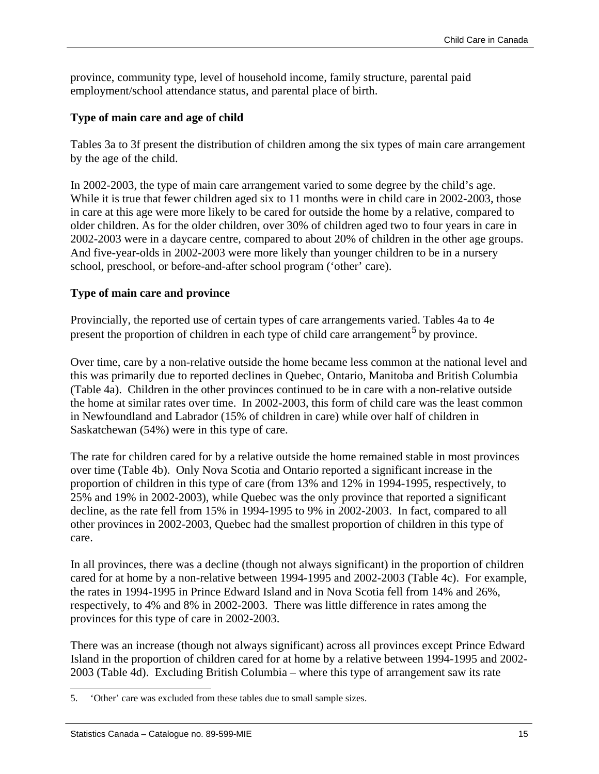province, community type, level of household income, family structure, parental paid employment/school attendance status, and parental place of birth.

#### **Type of main care and age of child**

Tables 3a to 3f present the distribution of children among the six types of main care arrangement by the age of the child.

In 2002-2003, the type of main care arrangement varied to some degree by the child's age. While it is true that fewer children aged six to 11 months were in child care in 2002-2003, those in care at this age were more likely to be cared for outside the home by a relative, compared to older children. As for the older children, over 30% of children aged two to four years in care in 2002-2003 were in a daycare centre, compared to about 20% of children in the other age groups. And five-year-olds in 2002-2003 were more likely than younger children to be in a nursery school, preschool, or before-and-after school program ('other' care).

#### **Type of main care and province**

Provincially, the reported use of certain types of care arrangements varied. Tables 4a to 4e present the proportion of children in each type of child care arrangement<sup>[5](#page-14-0)</sup> by province.

Over time, care by a non-relative outside the home became less common at the national level and this was primarily due to reported declines in Quebec, Ontario, Manitoba and British Columbia (Table 4a). Children in the other provinces continued to be in care with a non-relative outside the home at similar rates over time. In 2002-2003, this form of child care was the least common in Newfoundland and Labrador (15% of children in care) while over half of children in Saskatchewan (54%) were in this type of care.

The rate for children cared for by a relative outside the home remained stable in most provinces over time (Table 4b). Only Nova Scotia and Ontario reported a significant increase in the proportion of children in this type of care (from 13% and 12% in 1994-1995, respectively, to 25% and 19% in 2002-2003), while Quebec was the only province that reported a significant decline, as the rate fell from 15% in 1994-1995 to 9% in 2002-2003. In fact, compared to all other provinces in 2002-2003, Quebec had the smallest proportion of children in this type of care.

In all provinces, there was a decline (though not always significant) in the proportion of children cared for at home by a non-relative between 1994-1995 and 2002-2003 (Table 4c). For example, the rates in 1994-1995 in Prince Edward Island and in Nova Scotia fell from 14% and 26%, respectively, to 4% and 8% in 2002-2003. There was little difference in rates among the provinces for this type of care in 2002-2003.

There was an increase (though not always significant) across all provinces except Prince Edward Island in the proportion of children cared for at home by a relative between 1994-1995 and 2002- 2003 (Table 4d). Excluding British Columbia – where this type of arrangement saw its rate

<span id="page-14-0"></span><sup>5</sup>. 'Other' care was excluded from these tables due to small sample sizes.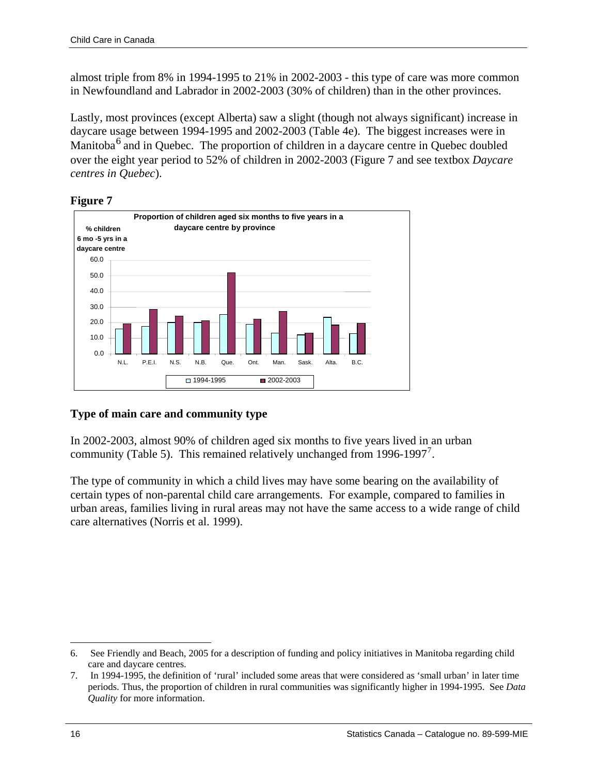almost triple from 8% in 1994-1995 to 21% in 2002-2003 - this type of care was more common in Newfoundland and Labrador in 2002-2003 (30% of children) than in the other provinces.

Lastly, most provinces (except Alberta) saw a slight (though not always significant) increase in daycare usage between 1994-1995 and 2002-2003 (Table 4e). The biggest increases were in Manitoba $^6$  $^6$  and in Quebec. The proportion of children in a daycare centre in Quebec doubled over the eight year period to 52% of children in 2002-2003 (Figure 7 and see textbox *Daycare centres in Quebec*).

#### **Figure 7**



#### **Type of main care and community type**

In 2002-2003, almost 90% of children aged six months to five years lived in an urban community (Table 5). This remained relatively unchanged from 1996-199[7](#page-15-1)<sup>7</sup>.

The type of community in which a child lives may have some bearing on the availability of certain types of non-parental child care arrangements. For example, compared to families in urban areas, families living in rural areas may not have the same access to a wide range of child care alternatives (Norris et al. 1999).

<span id="page-15-0"></span> $\overline{a}$ 6. See Friendly and Beach, 2005 for a description of funding and policy initiatives in Manitoba regarding child care and daycare centres.

<span id="page-15-1"></span><sup>7</sup>. In 1994-1995, the definition of 'rural' included some areas that were considered as 'small urban' in later time periods. Thus, the proportion of children in rural communities was significantly higher in 1994-1995. See *Data Quality* for more information.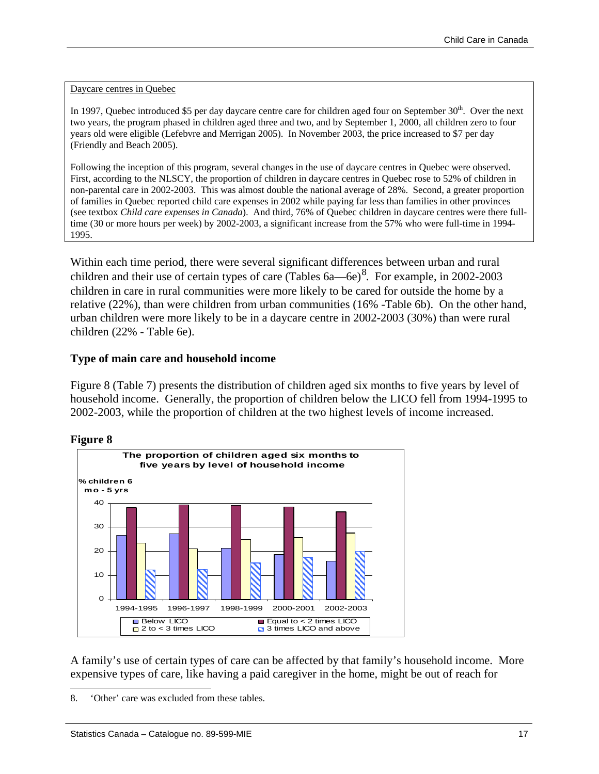#### Daycare centres in Quebec

In 1997, Quebec introduced \$5 per day daycare centre care for children aged four on September  $30<sup>th</sup>$ . Over the next two years, the program phased in children aged three and two, and by September 1, 2000, all children zero to four years old were eligible (Lefebvre and Merrigan 2005). In November 2003, the price increased to \$7 per day (Friendly and Beach 2005).

Following the inception of this program, several changes in the use of daycare centres in Quebec were observed. First, according to the NLSCY, the proportion of children in daycare centres in Quebec rose to 52% of children in non-parental care in 2002-2003. This was almost double the national average of 28%. Second, a greater proportion of families in Quebec reported child care expenses in 2002 while paying far less than families in other provinces (see textbox *Child care expenses in Canada*). And third, 76% of Quebec children in daycare centres were there fulltime (30 or more hours per week) by 2002-2003, a significant increase from the 57% who were full-time in 1994- 1995.

Within each time period, there were several significant differences between urban and rural children and their use of certain types of care (Tables  $6a$ —6e)<sup>[8](#page-16-0)</sup>. For example, in 2002-2003 children in care in rural communities were more likely to be cared for outside the home by a relative (22%), than were children from urban communities (16% -Table 6b). On the other hand, urban children were more likely to be in a daycare centre in 2002-2003 (30%) than were rural children (22% - Table 6e).

#### **Type of main care and household income**

Figure 8 (Table 7) presents the distribution of children aged six months to five years by level of household income. Generally, the proportion of children below the LICO fell from 1994-1995 to 2002-2003, while the proportion of children at the two highest levels of income increased.



#### **Figure 8**

 $\overline{a}$ 

A family's use of certain types of care can be affected by that family's household income. More expensive types of care, like having a paid caregiver in the home, might be out of reach for

<span id="page-16-0"></span><sup>8</sup>. 'Other' care was excluded from these tables.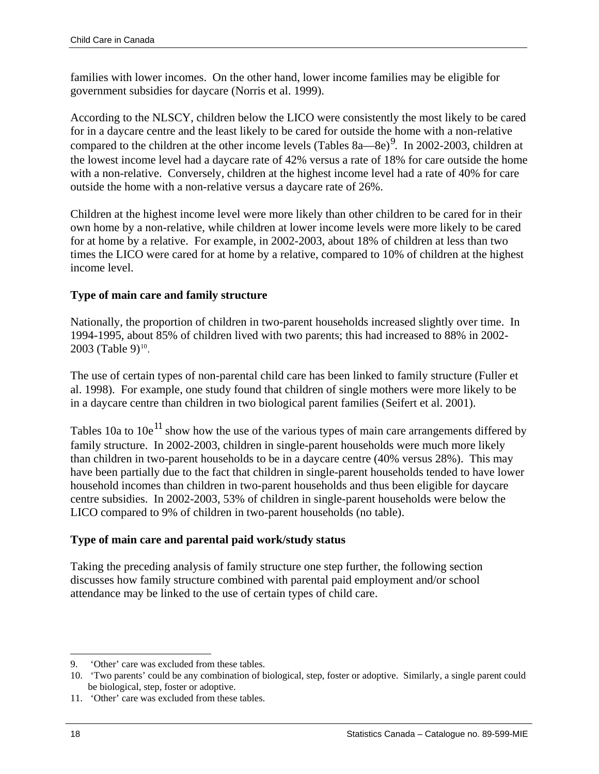families with lower incomes. On the other hand, lower income families may be eligible for government subsidies for daycare (Norris et al. 1999).

According to the NLSCY, children below the LICO were consistently the most likely to be cared for in a daycare centre and the least likely to be cared for outside the home with a non-relative compared to the children at the other income levels (Tables  $8a-8e$ )<sup>[9](#page-17-0)</sup>. In 2002-2003, children at the lowest income level had a daycare rate of 42% versus a rate of 18% for care outside the home with a non-relative. Conversely, children at the highest income level had a rate of 40% for care outside the home with a non-relative versus a daycare rate of 26%.

Children at the highest income level were more likely than other children to be cared for in their own home by a non-relative, while children at lower income levels were more likely to be cared for at home by a relative. For example, in 2002-2003, about 18% of children at less than two times the LICO were cared for at home by a relative, compared to 10% of children at the highest income level.

#### **Type of main care and family structure**

Nationally, the proportion of children in two-parent households increased slightly over time. In 1994-1995, about 85% of children lived with two parents; this had increased to 88% in 2002-  $2003$  (Table 9)<sup>[10](#page-17-1)</sup>.

The use of certain types of non-parental child care has been linked to family structure (Fuller et al. 1998). For example, one study found that children of single mothers were more likely to be in a daycare centre than children in two biological parent families (Seifert et al. 2001).

Tables 10a to  $10e^{11}$  $10e^{11}$  $10e^{11}$  show how the use of the various types of main care arrangements differed by family structure. In 2002-2003, children in single-parent households were much more likely than children in two-parent households to be in a daycare centre (40% versus 28%). This may have been partially due to the fact that children in single-parent households tended to have lower household incomes than children in two-parent households and thus been eligible for daycare centre subsidies. In 2002-2003, 53% of children in single-parent households were below the LICO compared to 9% of children in two-parent households (no table).

#### **Type of main care and parental paid work/study status**

Taking the preceding analysis of family structure one step further, the following section discusses how family structure combined with parental paid employment and/or school attendance may be linked to the use of certain types of child care.

<span id="page-17-0"></span> $\overline{a}$ 9. 'Other' care was excluded from these tables.

<span id="page-17-1"></span><sup>10</sup>. 'Two parents' could be any combination of biological, step, foster or adoptive. Similarly, a single parent could be biological, step, foster or adoptive.

<span id="page-17-2"></span><sup>11</sup>. 'Other' care was excluded from these tables.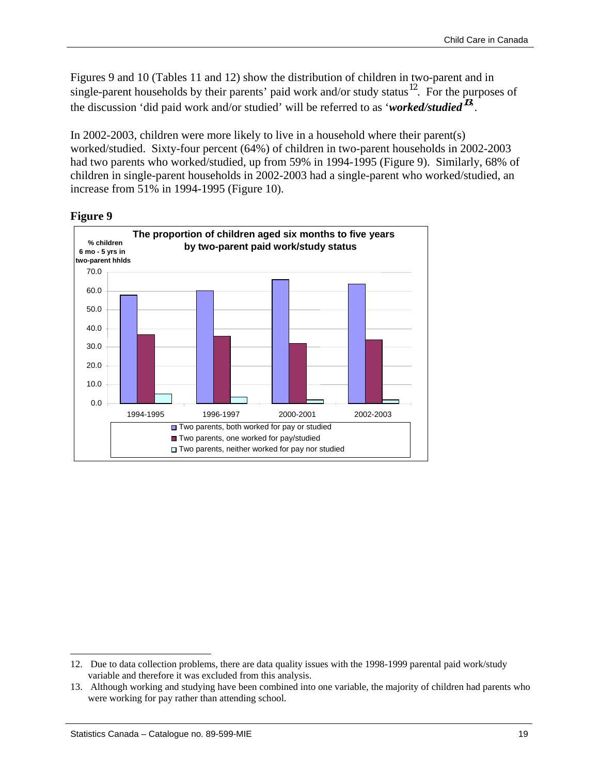Figures 9 and 10 (Tables 11 and 12) show the distribution of children in two-parent and in single-parent households by their parents' paid work and/or study status<sup>[12](#page-18-0)</sup>. For the purposes of the discussion 'did paid work and/or studied' will be referred to as '*worked/studied***[13](#page-18-1)** '.

In 2002-2003, children were more likely to live in a household where their parent(s) worked/studied. Sixty-four percent (64%) of children in two-parent households in 2002-2003 had two parents who worked/studied, up from 59% in 1994-1995 (Figure 9). Similarly, 68% of children in single-parent households in 2002-2003 had a single-parent who worked/studied, an increase from 51% in 1994-1995 (Figure 10).



#### **Figure 9**

<span id="page-18-0"></span><sup>12</sup>. Due to data collection problems, there are data quality issues with the 1998-1999 parental paid work/study variable and therefore it was excluded from this analysis.

<span id="page-18-1"></span><sup>13</sup>. Although working and studying have been combined into one variable, the majority of children had parents who were working for pay rather than attending school.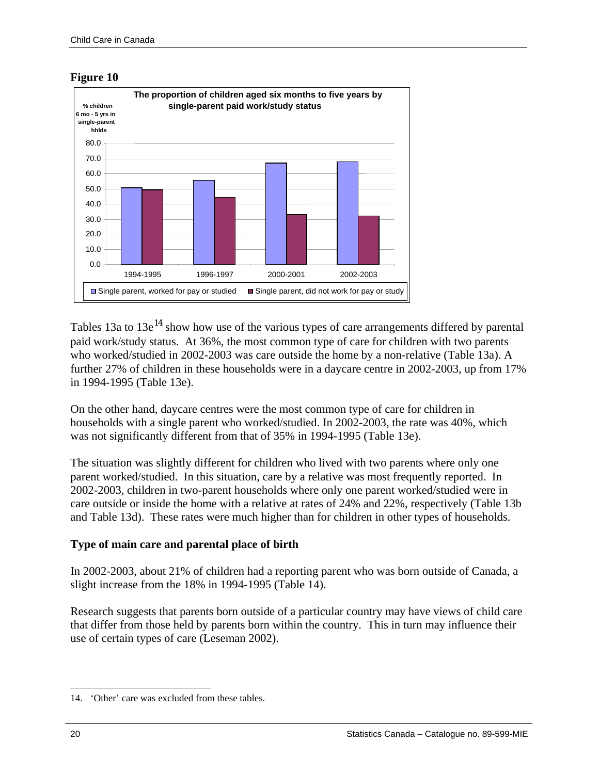

**Figure 10** 

Tables 13a to  $13e^{14}$  $13e^{14}$  $13e^{14}$  show how use of the various types of care arrangements differed by parental paid work/study status. At 36%, the most common type of care for children with two parents who worked/studied in 2002-2003 was care outside the home by a non-relative (Table 13a). A further 27% of children in these households were in a daycare centre in 2002-2003, up from 17% in 1994-1995 (Table 13e).

On the other hand, daycare centres were the most common type of care for children in households with a single parent who worked/studied. In 2002-2003, the rate was 40%, which was not significantly different from that of 35% in 1994-1995 (Table 13e).

The situation was slightly different for children who lived with two parents where only one parent worked/studied. In this situation, care by a relative was most frequently reported. In 2002-2003, children in two-parent households where only one parent worked/studied were in care outside or inside the home with a relative at rates of 24% and 22%, respectively (Table 13b and Table 13d). These rates were much higher than for children in other types of households.

#### **Type of main care and parental place of birth**

In 2002-2003, about 21% of children had a reporting parent who was born outside of Canada, a slight increase from the 18% in 1994-1995 (Table 14).

Research suggests that parents born outside of a particular country may have views of child care that differ from those held by parents born within the country. This in turn may influence their use of certain types of care (Leseman 2002).

<span id="page-19-0"></span><sup>14</sup>. 'Other' care was excluded from these tables.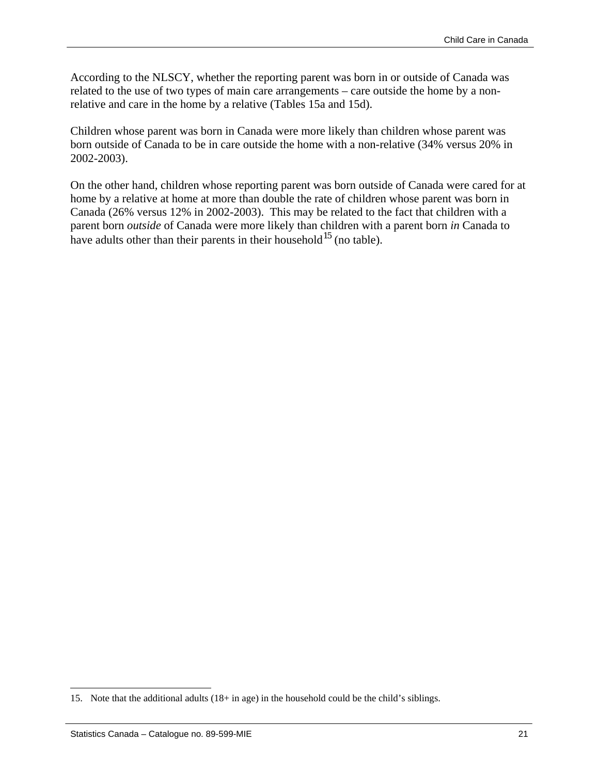According to the NLSCY, whether the reporting parent was born in or outside of Canada was related to the use of two types of main care arrangements – care outside the home by a nonrelative and care in the home by a relative (Tables 15a and 15d).

Children whose parent was born in Canada were more likely than children whose parent was born outside of Canada to be in care outside the home with a non-relative (34% versus 20% in 2002-2003).

On the other hand, children whose reporting parent was born outside of Canada were cared for at home by a relative at home at more than double the rate of children whose parent was born in Canada (26% versus 12% in 2002-2003). This may be related to the fact that children with a parent born *outside* of Canada were more likely than children with a parent born *in* Canada to have adults other than their parents in their household<sup>[15](#page-20-0)</sup> (no table).

<span id="page-20-0"></span><sup>15</sup>. Note that the additional adults (18+ in age) in the household could be the child's siblings.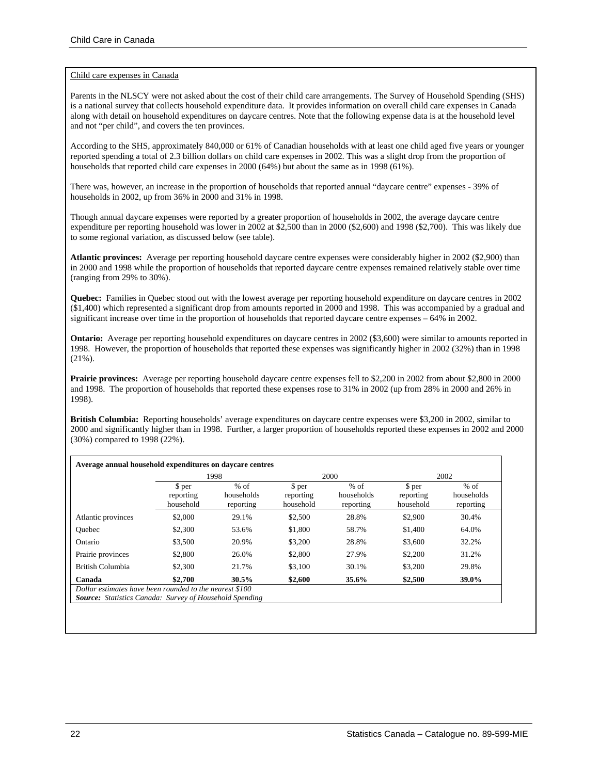#### Child care expenses in Canada

Parents in the NLSCY were not asked about the cost of their child care arrangements. The Survey of Household Spending (SHS) is a national survey that collects household expenditure data. It provides information on overall child care expenses in Canada along with detail on household expenditures on daycare centres. Note that the following expense data is at the household level and not "per child", and covers the ten provinces.

According to the SHS, approximately 840,000 or 61% of Canadian households with at least one child aged five years or younger reported spending a total of 2.3 billion dollars on child care expenses in 2002. This was a slight drop from the proportion of households that reported child care expenses in 2000 (64%) but about the same as in 1998 (61%).

There was, however, an increase in the proportion of households that reported annual "daycare centre" expenses - 39% of households in 2002, up from 36% in 2000 and 31% in 1998.

Though annual daycare expenses were reported by a greater proportion of households in 2002, the average daycare centre expenditure per reporting household was lower in 2002 at \$2,500 than in 2000 (\$2,600) and 1998 (\$2,700). This was likely due to some regional variation, as discussed below (see table).

**Atlantic provinces:** Average per reporting household daycare centre expenses were considerably higher in 2002 (\$2,900) than in 2000 and 1998 while the proportion of households that reported daycare centre expenses remained relatively stable over time (ranging from 29% to 30%).

**Quebec:** Families in Quebec stood out with the lowest average per reporting household expenditure on daycare centres in 2002 (\$1,400) which represented a significant drop from amounts reported in 2000 and 1998. This was accompanied by a gradual and significant increase over time in the proportion of households that reported daycare centre expenses – 64% in 2002.

**Ontario:** Average per reporting household expenditures on daycare centres in 2002 (\$3,600) were similar to amounts reported in 1998. However, the proportion of households that reported these expenses was significantly higher in 2002 (32%) than in 1998 (21%).

**Prairie provinces:** Average per reporting household daycare centre expenses fell to \$2,200 in 2002 from about \$2,800 in 2000 and 1998. The proportion of households that reported these expenses rose to 31% in 2002 (up from 28% in 2000 and 26% in 1998).

**British Columbia:** Reporting households' average expenditures on daycare centre expenses were \$3,200 in 2002, similar to 2000 and significantly higher than in 1998. Further, a larger proportion of households reported these expenses in 2002 and 2000 (30%) compared to 1998 (22%).

|                    | 1998                             |                                   | 2000                             |                                   | 2002                             |                                   |
|--------------------|----------------------------------|-----------------------------------|----------------------------------|-----------------------------------|----------------------------------|-----------------------------------|
|                    | \$ per<br>reporting<br>household | $%$ of<br>households<br>reporting | \$ per<br>reporting<br>household | $%$ of<br>households<br>reporting | \$ per<br>reporting<br>household | $%$ of<br>households<br>reporting |
| Atlantic provinces | \$2,000                          | 29.1%                             | \$2,500                          | 28.8%                             | \$2,900                          | 30.4%                             |
| Ouebec             | \$2,300                          | 53.6%                             | \$1,800                          | 58.7%                             | \$1,400                          | 64.0%                             |
| Ontario            | \$3,500                          | 20.9%                             | \$3,200                          | 28.8%                             | \$3,600                          | 32.2%                             |
| Prairie provinces  | \$2,800                          | 26.0%                             | \$2,800                          | 27.9%                             | \$2,200                          | 31.2%                             |
| British Columbia   | \$2,300                          | 21.7%                             | \$3,100                          | 30.1%                             | \$3,200                          | 29.8%                             |
| Canada             | \$2,700                          | $30.5\%$                          | \$2,600                          | 35.6%                             | \$2,500                          | 39.0%                             |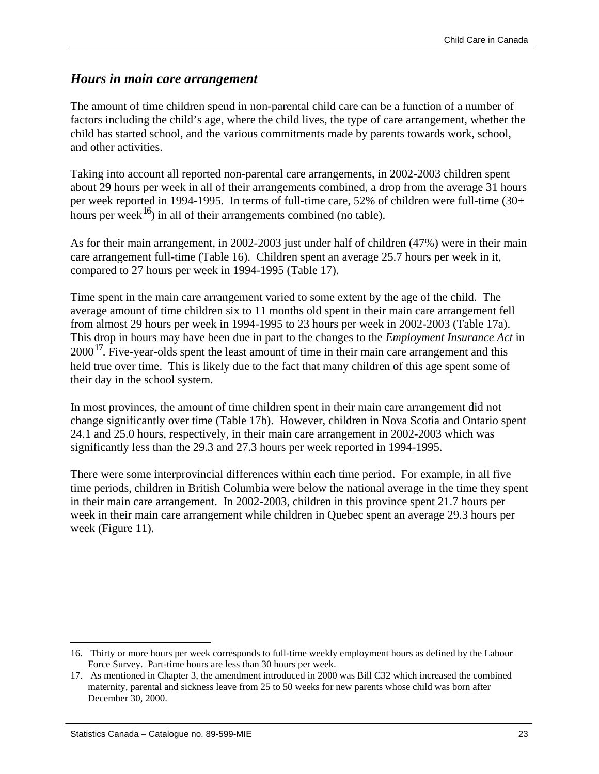#### <span id="page-22-0"></span>*Hours in main care arrangement*

The amount of time children spend in non-parental child care can be a function of a number of factors including the child's age, where the child lives, the type of care arrangement, whether the child has started school, and the various commitments made by parents towards work, school, and other activities.

Taking into account all reported non-parental care arrangements, in 2002-2003 children spent about 29 hours per week in all of their arrangements combined, a drop from the average 31 hours per week reported in 1994-1995. In terms of full-time care, 52% of children were full-time (30+ hours per week<sup>[16](#page-22-1)</sup>) in all of their arrangements combined (no table).

As for their main arrangement, in 2002-2003 just under half of children (47%) were in their main care arrangement full-time (Table 16). Children spent an average 25.7 hours per week in it, compared to 27 hours per week in 1994-1995 (Table 17).

Time spent in the main care arrangement varied to some extent by the age of the child. The average amount of time children six to 11 months old spent in their main care arrangement fell from almost 29 hours per week in 1994-1995 to 23 hours per week in 2002-2003 (Table 17a). This drop in hours may have been due in part to the changes to the *Employment Insurance Act* in  $2000<sup>17</sup>$  $2000<sup>17</sup>$  $2000<sup>17</sup>$ . Five-year-olds spent the least amount of time in their main care arrangement and this held true over time. This is likely due to the fact that many children of this age spent some of their day in the school system.

In most provinces, the amount of time children spent in their main care arrangement did not change significantly over time (Table 17b). However, children in Nova Scotia and Ontario spent 24.1 and 25.0 hours, respectively, in their main care arrangement in 2002-2003 which was significantly less than the 29.3 and 27.3 hours per week reported in 1994-1995.

There were some interprovincial differences within each time period. For example, in all five time periods, children in British Columbia were below the national average in the time they spent in their main care arrangement. In 2002-2003, children in this province spent 21.7 hours per week in their main care arrangement while children in Quebec spent an average 29.3 hours per week (Figure 11).

<span id="page-22-1"></span><sup>16</sup>. Thirty or more hours per week corresponds to full-time weekly employment hours as defined by the Labour Force Survey. Part-time hours are less than 30 hours per week.

<span id="page-22-2"></span><sup>17</sup>. As mentioned in Chapter 3, the amendment introduced in 2000 was Bill C32 which increased the combined maternity, parental and sickness leave from 25 to 50 weeks for new parents whose child was born after December 30, 2000.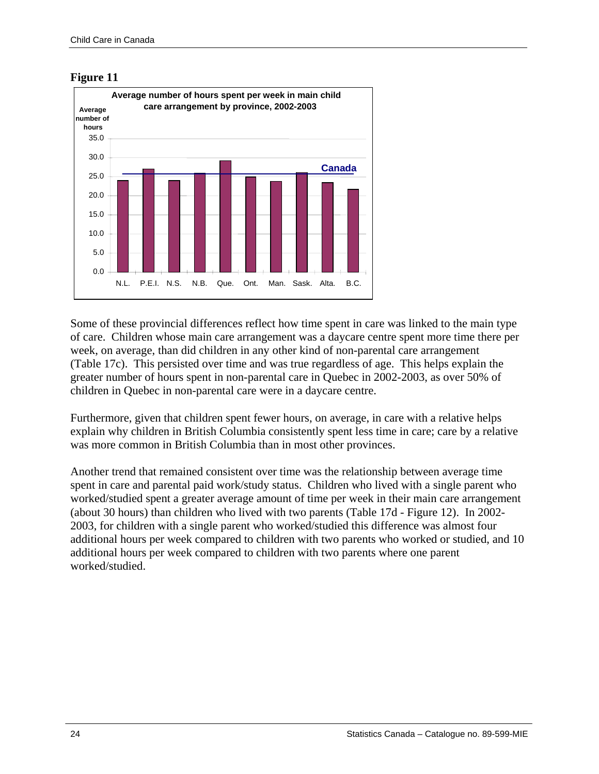



Some of these provincial differences reflect how time spent in care was linked to the main type of care. Children whose main care arrangement was a daycare centre spent more time there per week, on average, than did children in any other kind of non-parental care arrangement (Table 17c). This persisted over time and was true regardless of age. This helps explain the greater number of hours spent in non-parental care in Quebec in 2002-2003, as over 50% of children in Quebec in non-parental care were in a daycare centre.

Furthermore, given that children spent fewer hours, on average, in care with a relative helps explain why children in British Columbia consistently spent less time in care; care by a relative was more common in British Columbia than in most other provinces.

Another trend that remained consistent over time was the relationship between average time spent in care and parental paid work/study status. Children who lived with a single parent who worked/studied spent a greater average amount of time per week in their main care arrangement (about 30 hours) than children who lived with two parents (Table 17d - Figure 12). In 2002- 2003, for children with a single parent who worked/studied this difference was almost four additional hours per week compared to children with two parents who worked or studied, and 10 additional hours per week compared to children with two parents where one parent worked/studied.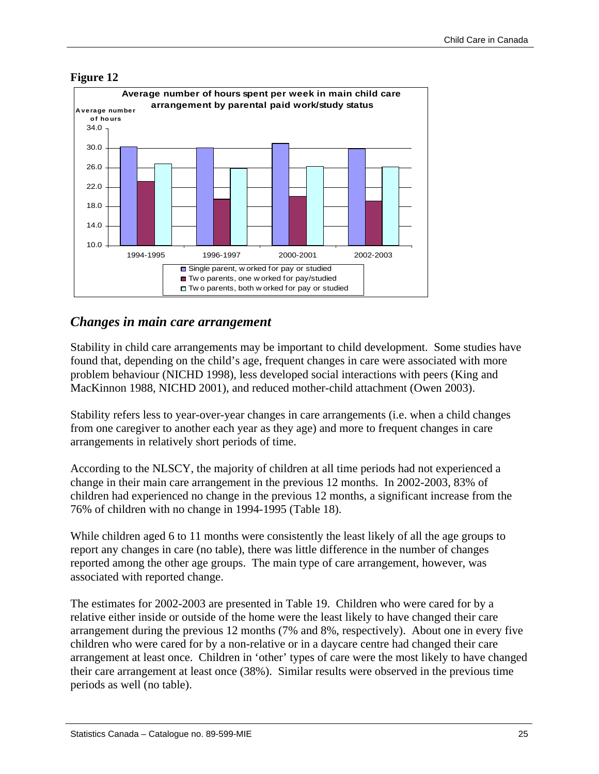

#### <span id="page-24-0"></span>**Figure 12**

#### *Changes in main care arrangement*

Stability in child care arrangements may be important to child development. Some studies have found that, depending on the child's age, frequent changes in care were associated with more problem behaviour (NICHD 1998), less developed social interactions with peers (King and MacKinnon 1988, NICHD 2001), and reduced mother-child attachment (Owen 2003).

Stability refers less to year-over-year changes in care arrangements (i.e. when a child changes from one caregiver to another each year as they age) and more to frequent changes in care arrangements in relatively short periods of time.

According to the NLSCY, the majority of children at all time periods had not experienced a change in their main care arrangement in the previous 12 months. In 2002-2003, 83% of children had experienced no change in the previous 12 months, a significant increase from the 76% of children with no change in 1994-1995 (Table 18).

While children aged 6 to 11 months were consistently the least likely of all the age groups to report any changes in care (no table), there was little difference in the number of changes reported among the other age groups. The main type of care arrangement, however, was associated with reported change.

The estimates for 2002-2003 are presented in Table 19. Children who were cared for by a relative either inside or outside of the home were the least likely to have changed their care arrangement during the previous 12 months (7% and 8%, respectively). About one in every five children who were cared for by a non-relative or in a daycare centre had changed their care arrangement at least once. Children in 'other' types of care were the most likely to have changed their care arrangement at least once (38%). Similar results were observed in the previous time periods as well (no table).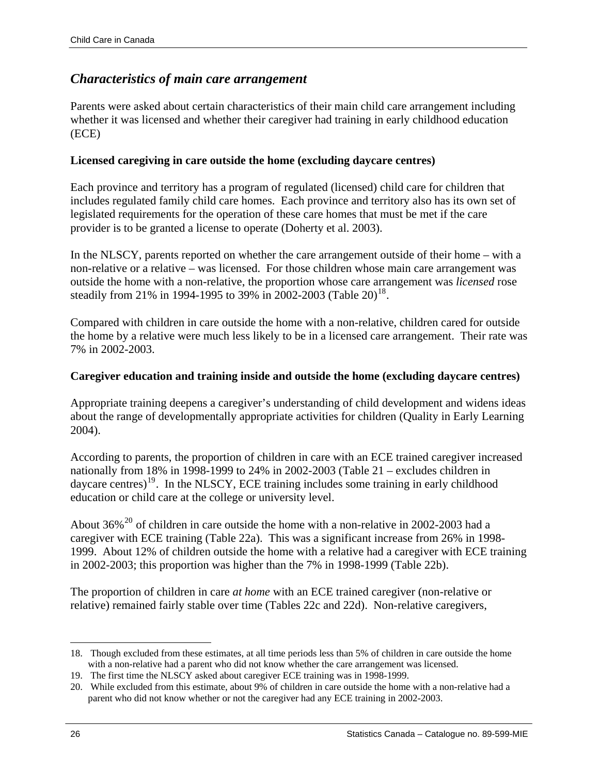#### <span id="page-25-0"></span>*Characteristics of main care arrangement*

Parents were asked about certain characteristics of their main child care arrangement including whether it was licensed and whether their caregiver had training in early childhood education (ECE)

#### **Licensed caregiving in care outside the home (excluding daycare centres)**

Each province and territory has a program of regulated (licensed) child care for children that includes regulated family child care homes. Each province and territory also has its own set of legislated requirements for the operation of these care homes that must be met if the care provider is to be granted a license to operate (Doherty et al. 2003).

In the NLSCY, parents reported on whether the care arrangement outside of their home – with a non-relative or a relative – was licensed. For those children whose main care arrangement was outside the home with a non-relative, the proportion whose care arrangement was *licensed* rose steadily from 21% in 1994-1995 to 39% in 2002-2003 (Table 20)<sup>18</sup>.

Compared with children in care outside the home with a non-relative, children cared for outside the home by a relative were much less likely to be in a licensed care arrangement. Their rate was 7% in 2002-2003.

#### **Caregiver education and training inside and outside the home (excluding daycare centres)**

Appropriate training deepens a caregiver's understanding of child development and widens ideas about the range of developmentally appropriate activities for children (Quality in Early Learning 2004).

According to parents, the proportion of children in care with an ECE trained caregiver increased nationally from 18% in 1998-1999 to 24% in 2002-2003 (Table 21 – excludes children in daycare centres)<sup>[19](#page-25-2)</sup>. In the NLSCY, ECE training includes some training in early childhood education or child care at the college or university level.

About  $36\%$ <sup>[20](#page-25-3)</sup> of children in care outside the home with a non-relative in 2002-2003 had a caregiver with ECE training (Table 22a). This was a significant increase from 26% in 1998- 1999. About 12% of children outside the home with a relative had a caregiver with ECE training in 2002-2003; this proportion was higher than the 7% in 1998-1999 (Table 22b).

The proportion of children in care *at home* with an ECE trained caregiver (non-relative or relative) remained fairly stable over time (Tables 22c and 22d). Non-relative caregivers,

<span id="page-25-1"></span><sup>18</sup>. Though excluded from these estimates, at all time periods less than 5% of children in care outside the home with a non-relative had a parent who did not know whether the care arrangement was licensed.

<span id="page-25-2"></span><sup>19</sup>. The first time the NLSCY asked about caregiver ECE training was in 1998-1999.

<span id="page-25-3"></span><sup>20</sup>. While excluded from this estimate, about 9% of children in care outside the home with a non-relative had a parent who did not know whether or not the caregiver had any ECE training in 2002-2003.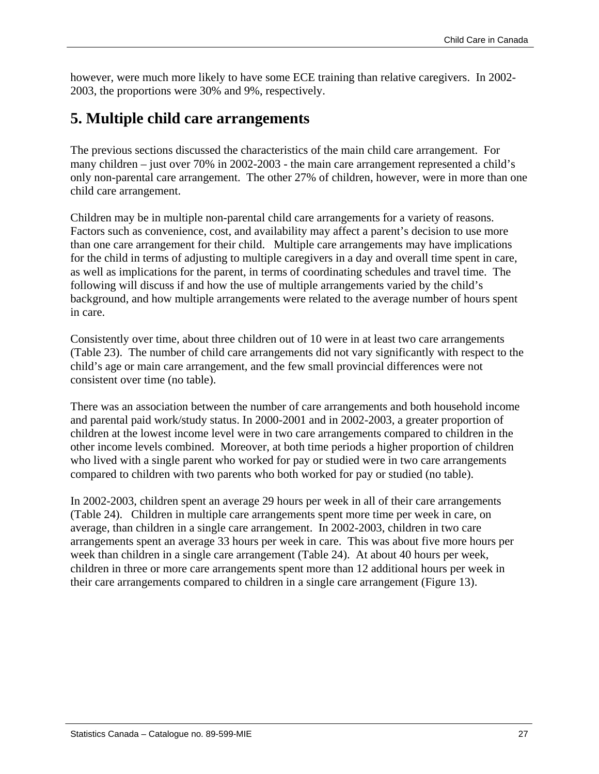<span id="page-26-0"></span>however, were much more likely to have some ECE training than relative caregivers. In 2002- 2003, the proportions were 30% and 9%, respectively.

### **5. Multiple child care arrangements**

The previous sections discussed the characteristics of the main child care arrangement. For many children – just over 70% in 2002-2003 - the main care arrangement represented a child's only non-parental care arrangement. The other 27% of children, however, were in more than one child care arrangement.

Children may be in multiple non-parental child care arrangements for a variety of reasons. Factors such as convenience, cost, and availability may affect a parent's decision to use more than one care arrangement for their child. Multiple care arrangements may have implications for the child in terms of adjusting to multiple caregivers in a day and overall time spent in care, as well as implications for the parent, in terms of coordinating schedules and travel time. The following will discuss if and how the use of multiple arrangements varied by the child's background, and how multiple arrangements were related to the average number of hours spent in care.

Consistently over time, about three children out of 10 were in at least two care arrangements (Table 23). The number of child care arrangements did not vary significantly with respect to the child's age or main care arrangement, and the few small provincial differences were not consistent over time (no table).

There was an association between the number of care arrangements and both household income and parental paid work/study status. In 2000-2001 and in 2002-2003, a greater proportion of children at the lowest income level were in two care arrangements compared to children in the other income levels combined. Moreover, at both time periods a higher proportion of children who lived with a single parent who worked for pay or studied were in two care arrangements compared to children with two parents who both worked for pay or studied (no table).

In 2002-2003, children spent an average 29 hours per week in all of their care arrangements (Table 24). Children in multiple care arrangements spent more time per week in care, on average, than children in a single care arrangement. In 2002-2003, children in two care arrangements spent an average 33 hours per week in care. This was about five more hours per week than children in a single care arrangement (Table 24). At about 40 hours per week, children in three or more care arrangements spent more than 12 additional hours per week in their care arrangements compared to children in a single care arrangement (Figure 13).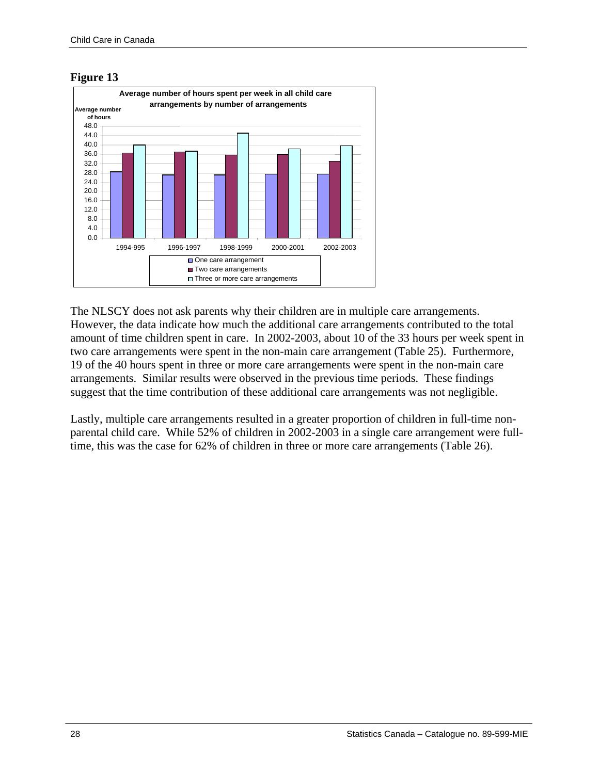#### **Figure 13**



The NLSCY does not ask parents why their children are in multiple care arrangements. However, the data indicate how much the additional care arrangements contributed to the total amount of time children spent in care. In 2002-2003, about 10 of the 33 hours per week spent in two care arrangements were spent in the non-main care arrangement (Table 25). Furthermore, 19 of the 40 hours spent in three or more care arrangements were spent in the non-main care arrangements. Similar results were observed in the previous time periods. These findings suggest that the time contribution of these additional care arrangements was not negligible.

Lastly, multiple care arrangements resulted in a greater proportion of children in full-time nonparental child care. While 52% of children in 2002-2003 in a single care arrangement were fulltime, this was the case for 62% of children in three or more care arrangements (Table 26).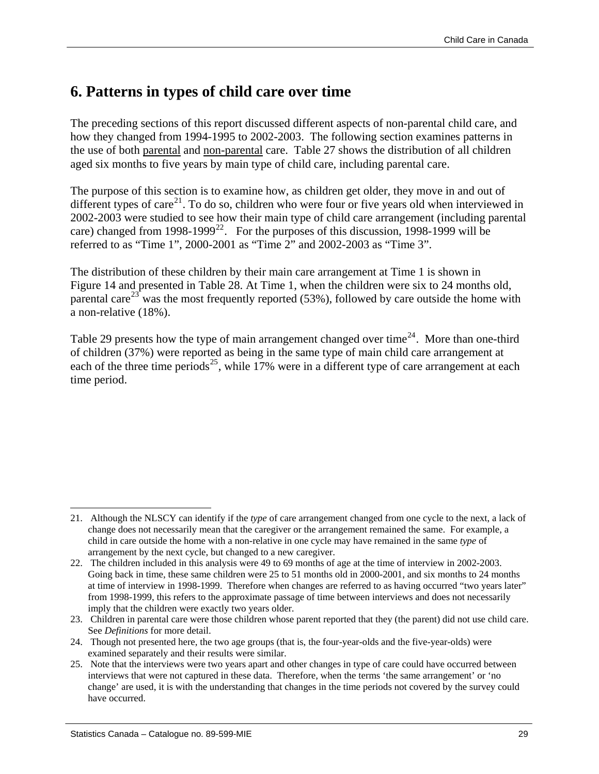### <span id="page-28-0"></span>**6. Patterns in types of child care over time**

The preceding sections of this report discussed different aspects of non-parental child care, and how they changed from 1994-1995 to 2002-2003. The following section examines patterns in the use of both parental and non-parental care. Table 27 shows the distribution of all children aged six months to five years by main type of child care, including parental care.

The purpose of this section is to examine how, as children get older, they move in and out of different types of care<sup>[21](#page-28-1)</sup>. To do so, children who were four or five years old when interviewed in 2002-2003 were studied to see how their main type of child care arrangement (including parental care) changed from 1998-1999<sup>[22](#page-28-2)</sup>. For the purposes of this discussion, 1998-1999 will be referred to as "Time 1", 2000-2001 as "Time 2" and 2002-2003 as "Time 3".

The distribution of these children by their main care arrangement at Time 1 is shown in Figure 14 and presented in Table 28. At Time 1, when the children were six to 24 months old, parental care<sup>[23](#page-28-3)</sup> was the most frequently reported (53%), followed by care outside the home with a non-relative (18%).

Table 29 presents how the type of main arrangement changed over time<sup>[24](#page-28-4)</sup>. More than one-third of children (37%) were reported as being in the same type of main child care arrangement at each of the three time periods<sup>[25](#page-28-5)</sup>, while 17% were in a different type of care arrangement at each time period.

<span id="page-28-1"></span><sup>21</sup>. Although the NLSCY can identify if the *type* of care arrangement changed from one cycle to the next, a lack of change does not necessarily mean that the caregiver or the arrangement remained the same. For example, a child in care outside the home with a non-relative in one cycle may have remained in the same *type* of arrangement by the next cycle, but changed to a new caregiver.

<span id="page-28-2"></span><sup>22</sup>. The children included in this analysis were 49 to 69 months of age at the time of interview in 2002-2003. Going back in time, these same children were 25 to 51 months old in 2000-2001, and six months to 24 months at time of interview in 1998-1999. Therefore when changes are referred to as having occurred "two years later" from 1998-1999, this refers to the approximate passage of time between interviews and does not necessarily imply that the children were exactly two years older.

<span id="page-28-3"></span><sup>23</sup>. Children in parental care were those children whose parent reported that they (the parent) did not use child care. See *Definitions* for more detail.

<span id="page-28-4"></span><sup>24</sup>. Though not presented here, the two age groups (that is, the four-year-olds and the five-year-olds) were examined separately and their results were similar.

<span id="page-28-5"></span><sup>25</sup>. Note that the interviews were two years apart and other changes in type of care could have occurred between interviews that were not captured in these data. Therefore, when the terms 'the same arrangement' or 'no change' are used, it is with the understanding that changes in the time periods not covered by the survey could have occurred.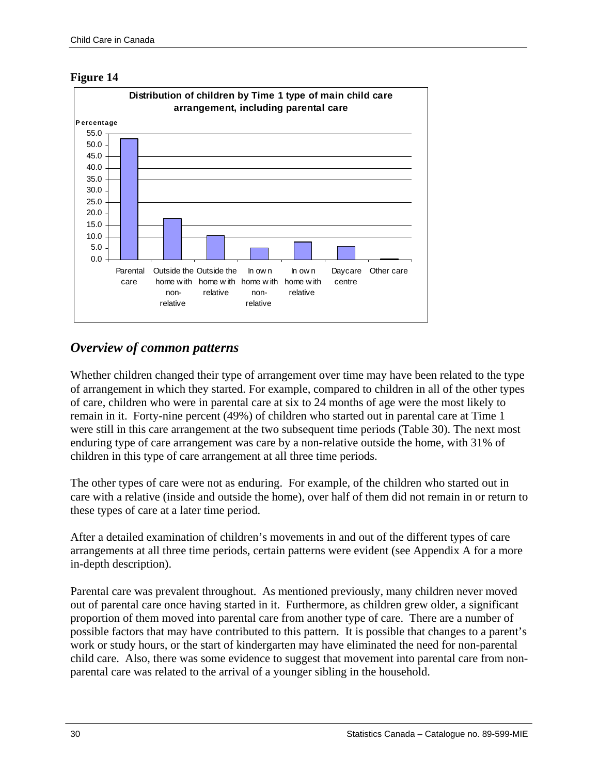<span id="page-29-0"></span>



#### *Overview of common patterns*

Whether children changed their type of arrangement over time may have been related to the type of arrangement in which they started. For example, compared to children in all of the other types of care, children who were in parental care at six to 24 months of age were the most likely to remain in it. Forty-nine percent (49%) of children who started out in parental care at Time 1 were still in this care arrangement at the two subsequent time periods (Table 30). The next most enduring type of care arrangement was care by a non-relative outside the home, with 31% of children in this type of care arrangement at all three time periods.

The other types of care were not as enduring. For example, of the children who started out in care with a relative (inside and outside the home), over half of them did not remain in or return to these types of care at a later time period.

After a detailed examination of children's movements in and out of the different types of care arrangements at all three time periods, certain patterns were evident (see Appendix A for a more in-depth description).

Parental care was prevalent throughout. As mentioned previously, many children never moved out of parental care once having started in it. Furthermore, as children grew older, a significant proportion of them moved into parental care from another type of care. There are a number of possible factors that may have contributed to this pattern. It is possible that changes to a parent's work or study hours, or the start of kindergarten may have eliminated the need for non-parental child care. Also, there was some evidence to suggest that movement into parental care from nonparental care was related to the arrival of a younger sibling in the household.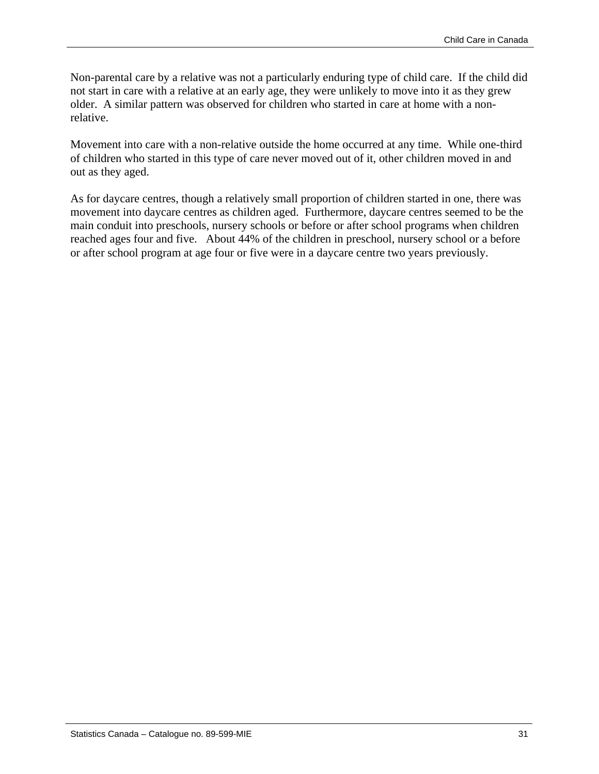Non-parental care by a relative was not a particularly enduring type of child care. If the child did not start in care with a relative at an early age, they were unlikely to move into it as they grew older. A similar pattern was observed for children who started in care at home with a nonrelative.

Movement into care with a non-relative outside the home occurred at any time. While one-third of children who started in this type of care never moved out of it, other children moved in and out as they aged.

As for daycare centres, though a relatively small proportion of children started in one, there was movement into daycare centres as children aged. Furthermore, daycare centres seemed to be the main conduit into preschools, nursery schools or before or after school programs when children reached ages four and five. About 44% of the children in preschool, nursery school or a before or after school program at age four or five were in a daycare centre two years previously.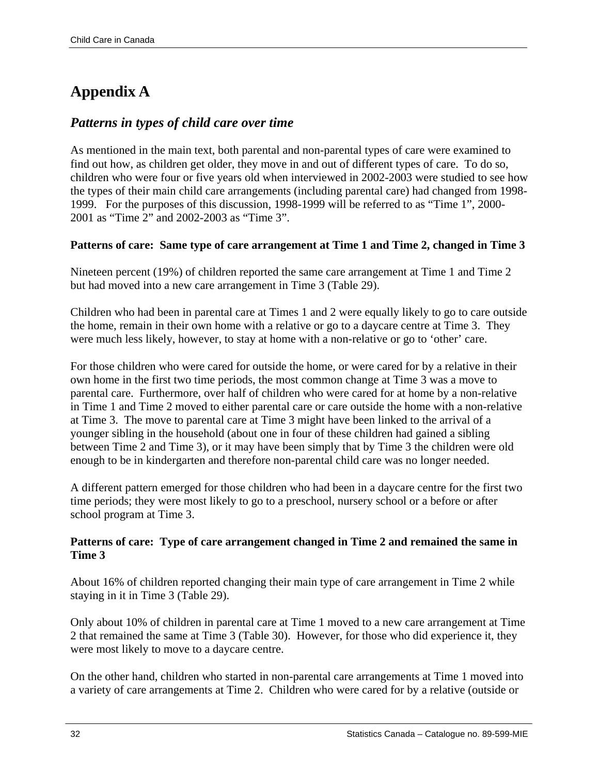### <span id="page-31-0"></span>**Appendix A**

#### *Patterns in types of child care over time*

As mentioned in the main text, both parental and non-parental types of care were examined to find out how, as children get older, they move in and out of different types of care. To do so, children who were four or five years old when interviewed in 2002-2003 were studied to see how the types of their main child care arrangements (including parental care) had changed from 1998- 1999. For the purposes of this discussion, 1998-1999 will be referred to as "Time 1", 2000- 2001 as "Time 2" and 2002-2003 as "Time 3".

#### **Patterns of care: Same type of care arrangement at Time 1 and Time 2, changed in Time 3**

Nineteen percent (19%) of children reported the same care arrangement at Time 1 and Time 2 but had moved into a new care arrangement in Time 3 (Table 29).

Children who had been in parental care at Times 1 and 2 were equally likely to go to care outside the home, remain in their own home with a relative or go to a daycare centre at Time 3. They were much less likely, however, to stay at home with a non-relative or go to 'other' care.

For those children who were cared for outside the home, or were cared for by a relative in their own home in the first two time periods, the most common change at Time 3 was a move to parental care. Furthermore, over half of children who were cared for at home by a non-relative in Time 1 and Time 2 moved to either parental care or care outside the home with a non-relative at Time 3. The move to parental care at Time 3 might have been linked to the arrival of a younger sibling in the household (about one in four of these children had gained a sibling between Time 2 and Time 3), or it may have been simply that by Time 3 the children were old enough to be in kindergarten and therefore non-parental child care was no longer needed.

A different pattern emerged for those children who had been in a daycare centre for the first two time periods; they were most likely to go to a preschool, nursery school or a before or after school program at Time 3.

#### **Patterns of care: Type of care arrangement changed in Time 2 and remained the same in Time 3**

About 16% of children reported changing their main type of care arrangement in Time 2 while staying in it in Time 3 (Table 29).

Only about 10% of children in parental care at Time 1 moved to a new care arrangement at Time 2 that remained the same at Time 3 (Table 30). However, for those who did experience it, they were most likely to move to a daycare centre.

On the other hand, children who started in non-parental care arrangements at Time 1 moved into a variety of care arrangements at Time 2. Children who were cared for by a relative (outside or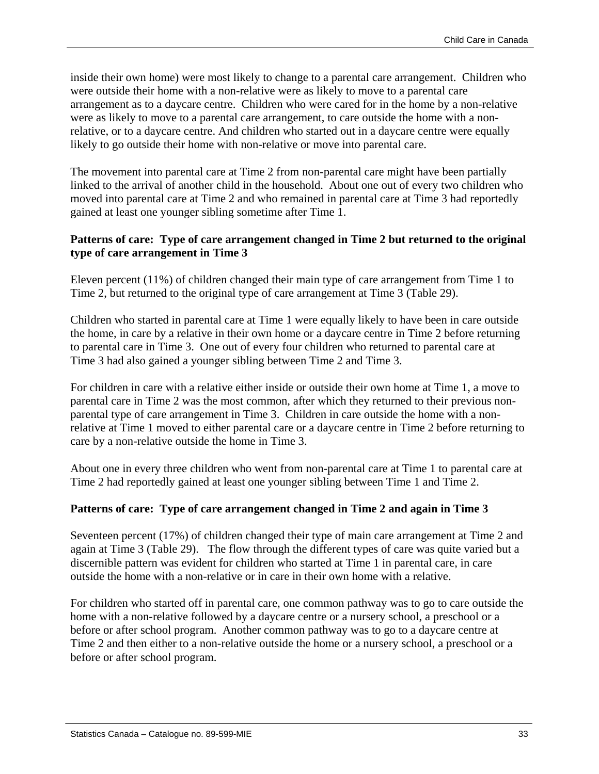inside their own home) were most likely to change to a parental care arrangement. Children who were outside their home with a non-relative were as likely to move to a parental care arrangement as to a daycare centre. Children who were cared for in the home by a non-relative were as likely to move to a parental care arrangement, to care outside the home with a nonrelative, or to a daycare centre. And children who started out in a daycare centre were equally likely to go outside their home with non-relative or move into parental care.

The movement into parental care at Time 2 from non-parental care might have been partially linked to the arrival of another child in the household. About one out of every two children who moved into parental care at Time 2 and who remained in parental care at Time 3 had reportedly gained at least one younger sibling sometime after Time 1.

#### **Patterns of care: Type of care arrangement changed in Time 2 but returned to the original type of care arrangement in Time 3**

Eleven percent (11%) of children changed their main type of care arrangement from Time 1 to Time 2, but returned to the original type of care arrangement at Time 3 (Table 29).

Children who started in parental care at Time 1 were equally likely to have been in care outside the home, in care by a relative in their own home or a daycare centre in Time 2 before returning to parental care in Time 3. One out of every four children who returned to parental care at Time 3 had also gained a younger sibling between Time 2 and Time 3.

For children in care with a relative either inside or outside their own home at Time 1, a move to parental care in Time 2 was the most common, after which they returned to their previous nonparental type of care arrangement in Time 3. Children in care outside the home with a nonrelative at Time 1 moved to either parental care or a daycare centre in Time 2 before returning to care by a non-relative outside the home in Time 3.

About one in every three children who went from non-parental care at Time 1 to parental care at Time 2 had reportedly gained at least one younger sibling between Time 1 and Time 2.

#### **Patterns of care: Type of care arrangement changed in Time 2 and again in Time 3**

Seventeen percent (17%) of children changed their type of main care arrangement at Time 2 and again at Time 3 (Table 29). The flow through the different types of care was quite varied but a discernible pattern was evident for children who started at Time 1 in parental care, in care outside the home with a non-relative or in care in their own home with a relative.

For children who started off in parental care, one common pathway was to go to care outside the home with a non-relative followed by a daycare centre or a nursery school, a preschool or a before or after school program. Another common pathway was to go to a daycare centre at Time 2 and then either to a non-relative outside the home or a nursery school, a preschool or a before or after school program.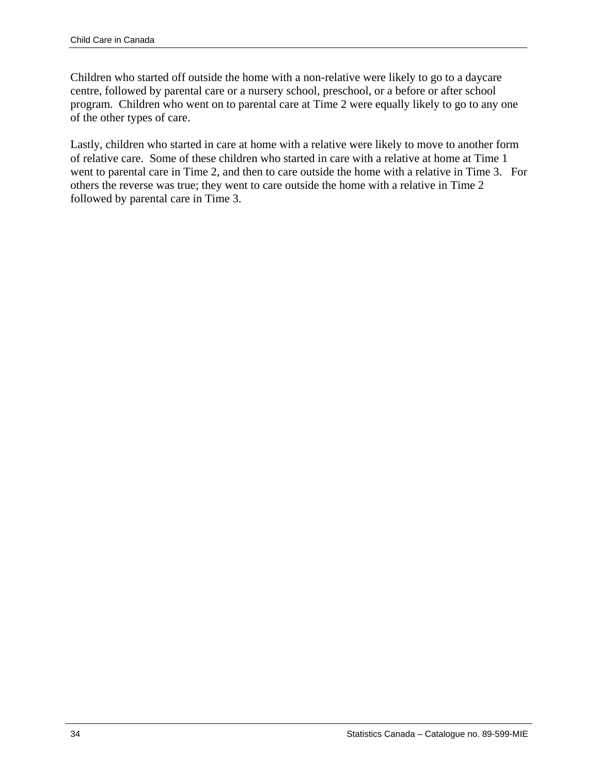Children who started off outside the home with a non-relative were likely to go to a daycare centre, followed by parental care or a nursery school, preschool, or a before or after school program. Children who went on to parental care at Time 2 were equally likely to go to any one of the other types of care.

Lastly, children who started in care at home with a relative were likely to move to another form of relative care. Some of these children who started in care with a relative at home at Time 1 went to parental care in Time 2, and then to care outside the home with a relative in Time 3. For others the reverse was true; they went to care outside the home with a relative in Time 2 followed by parental care in Time 3.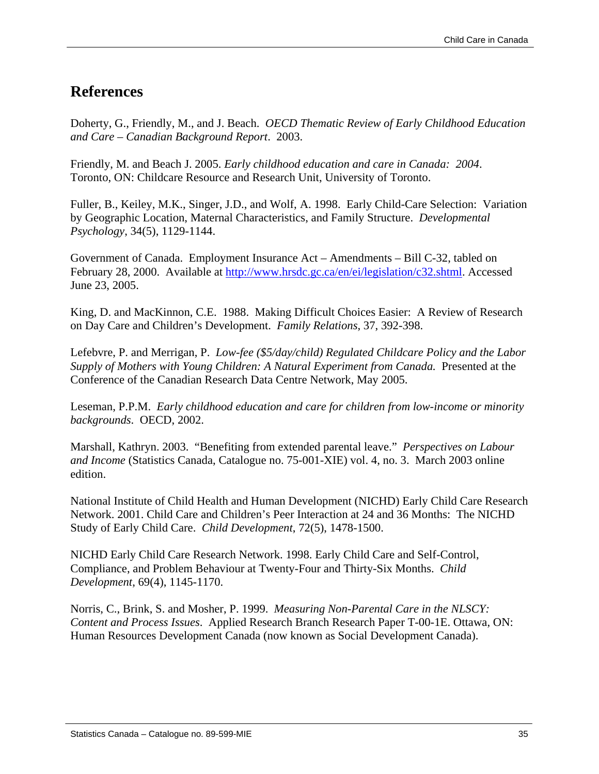### <span id="page-34-0"></span>**References**

Doherty, G., Friendly, M., and J. Beach. *OECD Thematic Review of Early Childhood Education and Care – Canadian Background Report*. 2003.

Friendly, M. and Beach J. 2005. *Early childhood education and care in Canada: 2004*. Toronto, ON: Childcare Resource and Research Unit, University of Toronto.

Fuller, B., Keiley, M.K., Singer, J.D., and Wolf, A. 1998. Early Child-Care Selection: Variation by Geographic Location, Maternal Characteristics, and Family Structure. *Developmental Psychology*, 34(5), 1129-1144.

Government of Canada. Employment Insurance Act – Amendments – Bill C-32, tabled on February 28, 2000. Available at [http://www.hrsdc.gc.ca/en/ei/legislation/c32.shtml.](http://www.hrsdc.gc.ca/en/ei/legislation/c32.shtml) Accessed June 23, 2005.

King, D. and MacKinnon, C.E. 1988. Making Difficult Choices Easier: A Review of Research on Day Care and Children's Development. *Family Relations*, 37, 392-398.

Lefebvre, P. and Merrigan, P. *Low-fee (\$5/day/child) Regulated Childcare Policy and the Labor Supply of Mothers with Young Children: A Natural Experiment from Canada.* Presented at the Conference of the Canadian Research Data Centre Network, May 2005.

Leseman, P.P.M. *Early childhood education and care for children from low-income or minority backgrounds*. OECD, 2002.

Marshall, Kathryn. 2003. "Benefiting from extended parental leave." *Perspectives on Labour and Income* (Statistics Canada, Catalogue no. 75-001-XIE) vol. 4, no. 3. March 2003 online edition.

National Institute of Child Health and Human Development (NICHD) Early Child Care Research Network. 2001. Child Care and Children's Peer Interaction at 24 and 36 Months: The NICHD Study of Early Child Care. *Child Development*, 72(5), 1478-1500.

NICHD Early Child Care Research Network. 1998. Early Child Care and Self-Control, Compliance, and Problem Behaviour at Twenty-Four and Thirty-Six Months. *Child Development*, 69(4), 1145-1170.

Norris, C., Brink, S. and Mosher, P. 1999. *Measuring Non-Parental Care in the NLSCY: Content and Process Issues*. Applied Research Branch Research Paper T-00-1E. Ottawa, ON: Human Resources Development Canada (now known as Social Development Canada).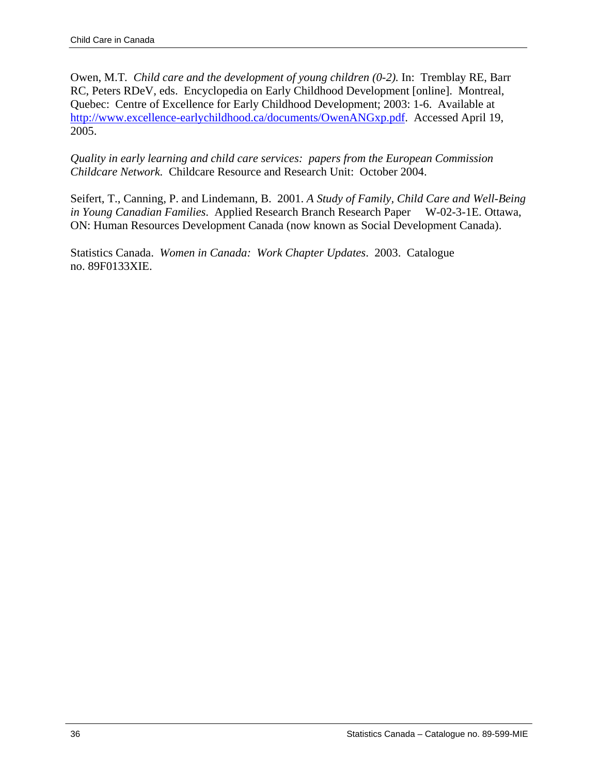Owen, M.T. *Child care and the development of young children (0-2)*. In: Tremblay RE, Barr RC, Peters RDeV, eds. Encyclopedia on Early Childhood Development [online]. Montreal, Quebec: Centre of Excellence for Early Childhood Development; 2003: 1-6. Available at [http://www.excellence-earlychildhood.ca/documents/OwenANGxp.pdf](http://www.excellence-earlychildhood.ca/documents/BarnettANGxp.pdf). Accessed April 19, 2005.

*Quality in early learning and child care services: papers from the European Commission Childcare Network.* Childcare Resource and Research Unit: October 2004.

Seifert, T., Canning, P. and Lindemann, B. 2001. *A Study of Family, Child Care and Well-Being in Young Canadian Families.* Applied Research Branch Research Paper W-02-3-1E. Ottawa, ON: Human Resources Development Canada (now known as Social Development Canada).

Statistics Canada. *Women in Canada: Work Chapter Updates*. 2003. Catalogue no. 89F0133XIE.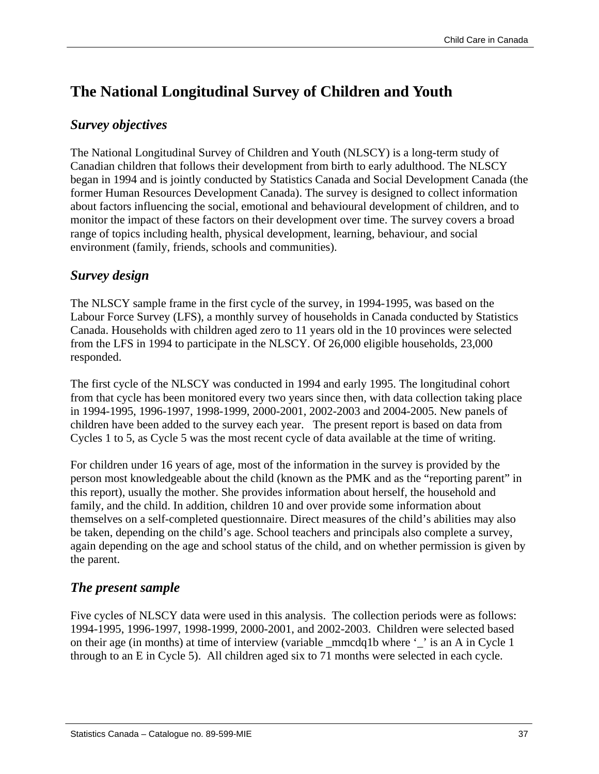# **The National Longitudinal Survey of Children and Youth**

# *Survey objectives*

The National Longitudinal Survey of Children and Youth (NLSCY) is a long-term study of Canadian children that follows their development from birth to early adulthood. The NLSCY began in 1994 and is jointly conducted by Statistics Canada and Social Development Canada (the former Human Resources Development Canada). The survey is designed to collect information about factors influencing the social, emotional and behavioural development of children, and to monitor the impact of these factors on their development over time. The survey covers a broad range of topics including health, physical development, learning, behaviour, and social environment (family, friends, schools and communities).

# *Survey design*

The NLSCY sample frame in the first cycle of the survey, in 1994-1995, was based on the Labour Force Survey (LFS), a monthly survey of households in Canada conducted by Statistics Canada. Households with children aged zero to 11 years old in the 10 provinces were selected from the LFS in 1994 to participate in the NLSCY. Of 26,000 eligible households, 23,000 responded.

The first cycle of the NLSCY was conducted in 1994 and early 1995. The longitudinal cohort from that cycle has been monitored every two years since then, with data collection taking place in 1994-1995, 1996-1997, 1998-1999, 2000-2001, 2002-2003 and 2004-2005. New panels of children have been added to the survey each year. The present report is based on data from Cycles 1 to 5, as Cycle 5 was the most recent cycle of data available at the time of writing.

For children under 16 years of age, most of the information in the survey is provided by the person most knowledgeable about the child (known as the PMK and as the "reporting parent" in this report), usually the mother. She provides information about herself, the household and family, and the child. In addition, children 10 and over provide some information about themselves on a self-completed questionnaire. Direct measures of the child's abilities may also be taken, depending on the child's age. School teachers and principals also complete a survey, again depending on the age and school status of the child, and on whether permission is given by the parent.

# *The present sample*

Five cycles of NLSCY data were used in this analysis. The collection periods were as follows: 1994-1995, 1996-1997, 1998-1999, 2000-2001, and 2002-2003. Children were selected based on their age (in months) at time of interview (variable \_mmcdq1b where '\_' is an A in Cycle 1 through to an E in Cycle 5). All children aged six to 71 months were selected in each cycle.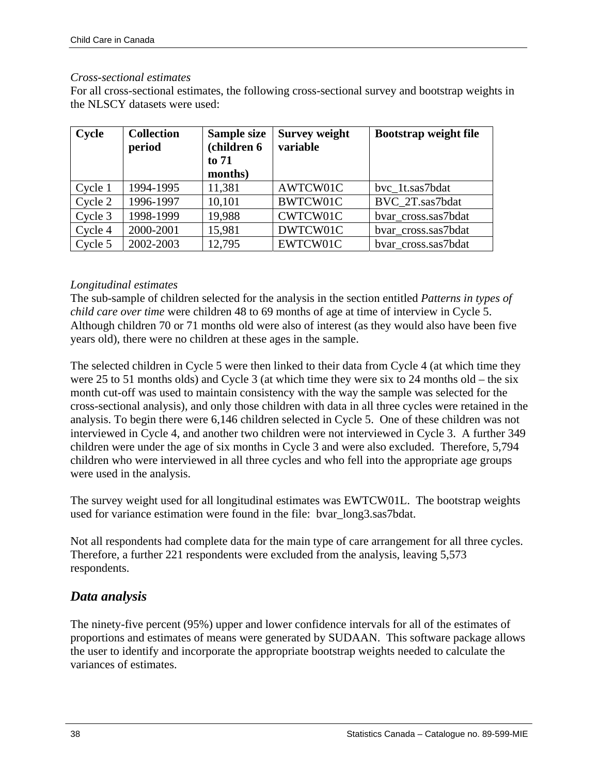## *Cross-sectional estimates*

For all cross-sectional estimates, the following cross-sectional survey and bootstrap weights in the NLSCY datasets were used:

| Cycle   | <b>Collection</b><br>period | Sample size<br>(children 6<br>to 71<br>months) | <b>Survey weight</b><br>variable | <b>Bootstrap weight file</b> |
|---------|-----------------------------|------------------------------------------------|----------------------------------|------------------------------|
| Cycle 1 | 1994-1995                   | 11,381                                         | AWTCW01C                         | bvc 1t.sas7bdat              |
| Cycle 2 | 1996-1997                   | 10,101                                         | BWTCW01C                         | BVC 2T.sas7bdat              |
| Cycle 3 | 1998-1999                   | 19,988                                         | CWTCW01C                         | bvar cross.sas7bdat          |
| Cycle 4 | 2000-2001                   | 15,981                                         | DWTCW01C                         | bvar cross.sas7bdat          |
| Cycle 5 | 2002-2003                   | 12,795                                         | EWTCW01C                         | bvar cross.sas7bdat          |

## *Longitudinal estimates*

The sub-sample of children selected for the analysis in the section entitled *Patterns in types of child care over time* were children 48 to 69 months of age at time of interview in Cycle 5. Although children 70 or 71 months old were also of interest (as they would also have been five years old), there were no children at these ages in the sample.

The selected children in Cycle 5 were then linked to their data from Cycle 4 (at which time they were 25 to 51 months olds) and Cycle 3 (at which time they were six to 24 months old – the six month cut-off was used to maintain consistency with the way the sample was selected for the cross-sectional analysis), and only those children with data in all three cycles were retained in the analysis. To begin there were 6,146 children selected in Cycle 5. One of these children was not interviewed in Cycle 4, and another two children were not interviewed in Cycle 3. A further 349 children were under the age of six months in Cycle 3 and were also excluded. Therefore, 5,794 children who were interviewed in all three cycles and who fell into the appropriate age groups were used in the analysis.

The survey weight used for all longitudinal estimates was EWTCW01L. The bootstrap weights used for variance estimation were found in the file: bvar\_long3.sas7bdat.

Not all respondents had complete data for the main type of care arrangement for all three cycles. Therefore, a further 221 respondents were excluded from the analysis, leaving 5,573 respondents.

# *Data analysis*

The ninety-five percent (95%) upper and lower confidence intervals for all of the estimates of proportions and estimates of means were generated by SUDAAN. This software package allows the user to identify and incorporate the appropriate bootstrap weights needed to calculate the variances of estimates.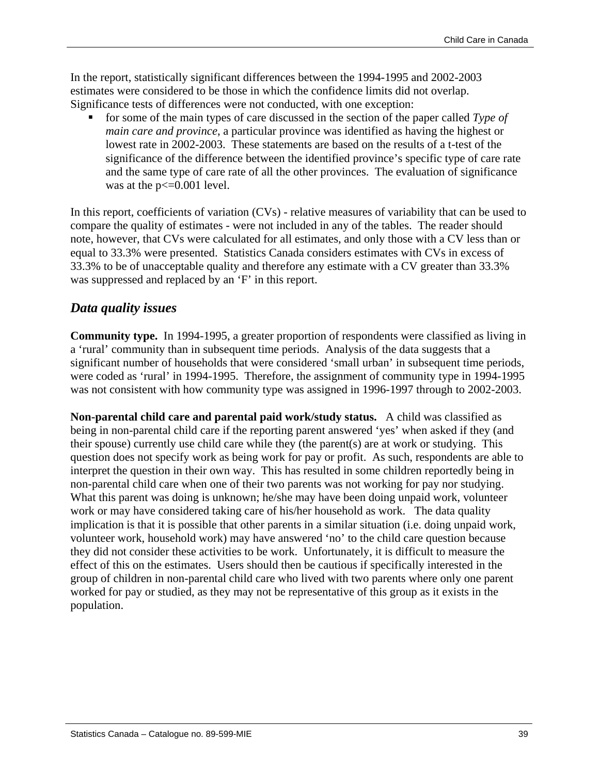In the report, statistically significant differences between the 1994-1995 and 2002-2003 estimates were considered to be those in which the confidence limits did not overlap. Significance tests of differences were not conducted, with one exception:

 for some of the main types of care discussed in the section of the paper called *Type of main care and province*, a particular province was identified as having the highest or lowest rate in 2002-2003. These statements are based on the results of a t-test of the significance of the difference between the identified province's specific type of care rate and the same type of care rate of all the other provinces. The evaluation of significance was at the  $p \le 0.001$  level.

In this report, coefficients of variation (CVs) - relative measures of variability that can be used to compare the quality of estimates - were not included in any of the tables. The reader should note, however, that CVs were calculated for all estimates, and only those with a CV less than or equal to 33.3% were presented. Statistics Canada considers estimates with CVs in excess of 33.3% to be of unacceptable quality and therefore any estimate with a CV greater than 33.3% was suppressed and replaced by an 'F' in this report.

## *Data quality issues*

**Community type.** In 1994-1995, a greater proportion of respondents were classified as living in a 'rural' community than in subsequent time periods. Analysis of the data suggests that a significant number of households that were considered 'small urban' in subsequent time periods, were coded as 'rural' in 1994-1995. Therefore, the assignment of community type in 1994-1995 was not consistent with how community type was assigned in 1996-1997 through to 2002-2003.

**Non-parental child care and parental paid work/study status.** A child was classified as being in non-parental child care if the reporting parent answered 'yes' when asked if they (and their spouse) currently use child care while they (the parent(s) are at work or studying. This question does not specify work as being work for pay or profit. As such, respondents are able to interpret the question in their own way. This has resulted in some children reportedly being in non-parental child care when one of their two parents was not working for pay nor studying. What this parent was doing is unknown; he/she may have been doing unpaid work, volunteer work or may have considered taking care of his/her household as work. The data quality implication is that it is possible that other parents in a similar situation (i.e. doing unpaid work, volunteer work, household work) may have answered 'no' to the child care question because they did not consider these activities to be work. Unfortunately, it is difficult to measure the effect of this on the estimates. Users should then be cautious if specifically interested in the group of children in non-parental child care who lived with two parents where only one parent worked for pay or studied, as they may not be representative of this group as it exists in the population.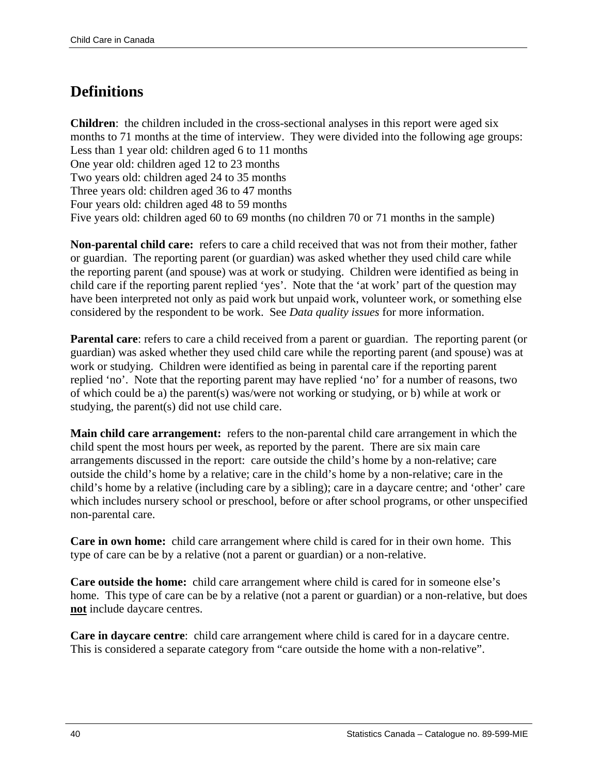# **Definitions**

**Children**: the children included in the cross-sectional analyses in this report were aged six months to 71 months at the time of interview. They were divided into the following age groups: Less than 1 year old: children aged 6 to 11 months One year old: children aged 12 to 23 months Two years old: children aged 24 to 35 months Three years old: children aged 36 to 47 months Four years old: children aged 48 to 59 months Five years old: children aged 60 to 69 months (no children 70 or 71 months in the sample)

**Non-parental child care:** refers to care a child received that was not from their mother, father or guardian. The reporting parent (or guardian) was asked whether they used child care while the reporting parent (and spouse) was at work or studying. Children were identified as being in child care if the reporting parent replied 'yes'. Note that the 'at work' part of the question may have been interpreted not only as paid work but unpaid work, volunteer work, or something else considered by the respondent to be work. See *Data quality issues* for more information.

**Parental care:** refers to care a child received from a parent or guardian. The reporting parent (or guardian) was asked whether they used child care while the reporting parent (and spouse) was at work or studying. Children were identified as being in parental care if the reporting parent replied 'no'. Note that the reporting parent may have replied 'no' for a number of reasons, two of which could be a) the parent(s) was/were not working or studying, or b) while at work or studying, the parent(s) did not use child care.

**Main child care arrangement:** refers to the non-parental child care arrangement in which the child spent the most hours per week, as reported by the parent. There are six main care arrangements discussed in the report: care outside the child's home by a non-relative; care outside the child's home by a relative; care in the child's home by a non-relative; care in the child's home by a relative (including care by a sibling); care in a daycare centre; and 'other' care which includes nursery school or preschool, before or after school programs, or other unspecified non-parental care.

**Care in own home:** child care arrangement where child is cared for in their own home. This type of care can be by a relative (not a parent or guardian) or a non-relative.

**Care outside the home:** child care arrangement where child is cared for in someone else's home. This type of care can be by a relative (not a parent or guardian) or a non-relative, but does **not** include daycare centres.

**Care in daycare centre**: child care arrangement where child is cared for in a daycare centre. This is considered a separate category from "care outside the home with a non-relative".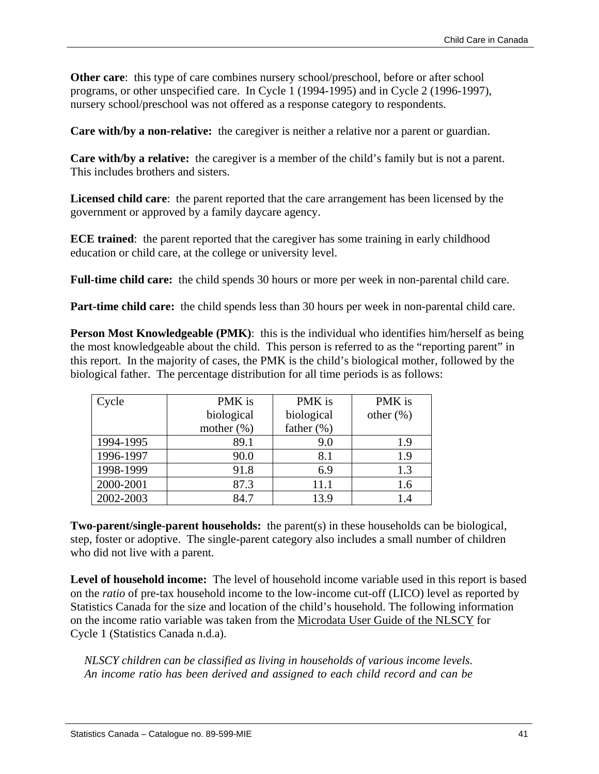**Other care:** this type of care combines nursery school/preschool, before or after school programs, or other unspecified care. In Cycle 1 (1994-1995) and in Cycle 2 (1996-1997), nursery school/preschool was not offered as a response category to respondents.

**Care with/by a non-relative:** the caregiver is neither a relative nor a parent or guardian.

**Care with/by a relative:** the caregiver is a member of the child's family but is not a parent. This includes brothers and sisters.

**Licensed child care**: the parent reported that the care arrangement has been licensed by the government or approved by a family daycare agency.

**ECE trained**: the parent reported that the caregiver has some training in early childhood education or child care, at the college or university level.

**Full-time child care:** the child spends 30 hours or more per week in non-parental child care.

**Part-time child care:** the child spends less than 30 hours per week in non-parental child care.

**Person Most Knowledgeable (PMK):** this is the individual who identifies him/herself as being the most knowledgeable about the child. This person is referred to as the "reporting parent" in this report. In the majority of cases, the PMK is the child's biological mother, followed by the biological father. The percentage distribution for all time periods is as follows:

| Cycle     | PMK is        | PMK is         | PMK is       |
|-----------|---------------|----------------|--------------|
|           | biological    | biological     | other $(\%)$ |
|           | mother $(\%)$ | father $(\% )$ |              |
| 1994-1995 | 89.1          | 9.0            | 1.9          |
| 1996-1997 | 90.0          | 8.1            | 1.9          |
| 1998-1999 | 91.8          | 6.9            | 1.3          |
| 2000-2001 | 87.3          | 11.1           | 1.6          |
| 2002-2003 | 84.7          | 13.9           | 1.4          |

**Two-parent/single-parent households:** the parent(s) in these households can be biological, step, foster or adoptive. The single-parent category also includes a small number of children who did not live with a parent.

**Level of household income:** The level of household income variable used in this report is based on the *ratio* of pre-tax household income to the low-income cut-off (LICO) level as reported by Statistics Canada for the size and location of the child's household. The following information on the income ratio variable was taken from the Microdata User Guide of the NLSCY for Cycle 1 (Statistics Canada n.d.a).

*NLSCY children can be classified as living in households of various income levels. An income ratio has been derived and assigned to each child record and can be*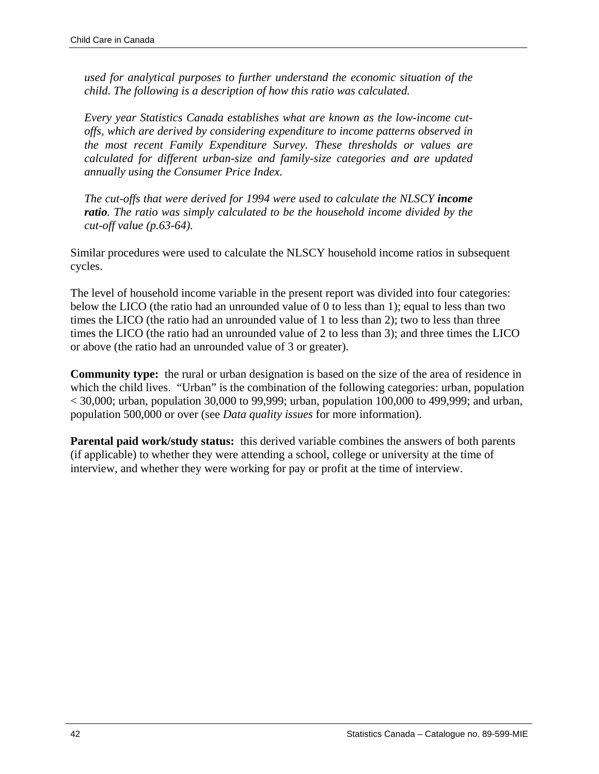*used for analytical purposes to further understand the economic situation of the child. The following is a description of how this ratio was calculated.* 

*Every year Statistics Canada establishes what are known as the low-income cutoffs, which are derived by considering expenditure to income patterns observed in the most recent Family Expenditure Survey. These thresholds or values are calculated for different urban-size and family-size categories and are updated annually using the Consumer Price Index.* 

*The cut-offs that were derived for 1994 were used to calculate the NLSCY income ratio. The ratio was simply calculated to be the household income divided by the cut-off value (p.63-64).* 

Similar procedures were used to calculate the NLSCY household income ratios in subsequent cycles.

The level of household income variable in the present report was divided into four categories: below the LICO (the ratio had an unrounded value of 0 to less than 1); equal to less than two times the LICO (the ratio had an unrounded value of 1 to less than 2); two to less than three times the LICO (the ratio had an unrounded value of 2 to less than 3); and three times the LICO or above (the ratio had an unrounded value of 3 or greater).

**Community type:** the rural or urban designation is based on the size of the area of residence in which the child lives. "Urban" is the combination of the following categories: urban, population  $\langle 30,000;$  urban, population 30,000 to 99,999; urban, population 100,000 to 499,999; and urban, population 500,000 or over (see *Data quality issues* for more information).

**Parental paid work/study status:** this derived variable combines the answers of both parents (if applicable) to whether they were attending a school, college or university at the time of interview, and whether they were working for pay or profit at the time of interview.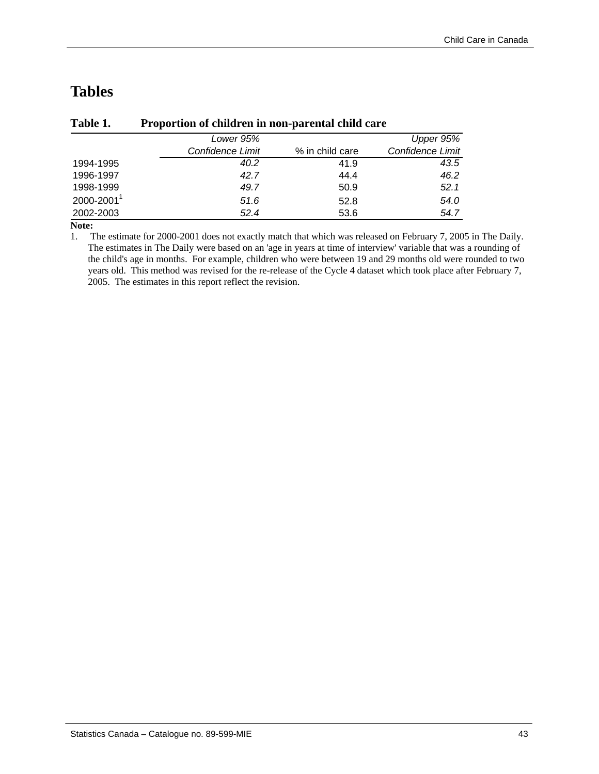# **Tables**

|                        | Lower 95%        |                 | Upper 95%        |
|------------------------|------------------|-----------------|------------------|
|                        | Confidence Limit | % in child care | Confidence Limit |
| 1994-1995              | 40.2             | 41.9            | 43.5             |
| 1996-1997              | 42.7             | 44.4            | 46.2             |
| 1998-1999              | 49.7             | 50.9            | 52.1             |
| 2000-2001 <sup>1</sup> | 51.6             | 52.8            | 54.0             |
| 2002-2003              | 52.4             | 53.6            | 54.7             |

## **Table 1. Proportion of children in non-parental child care**

**Note:**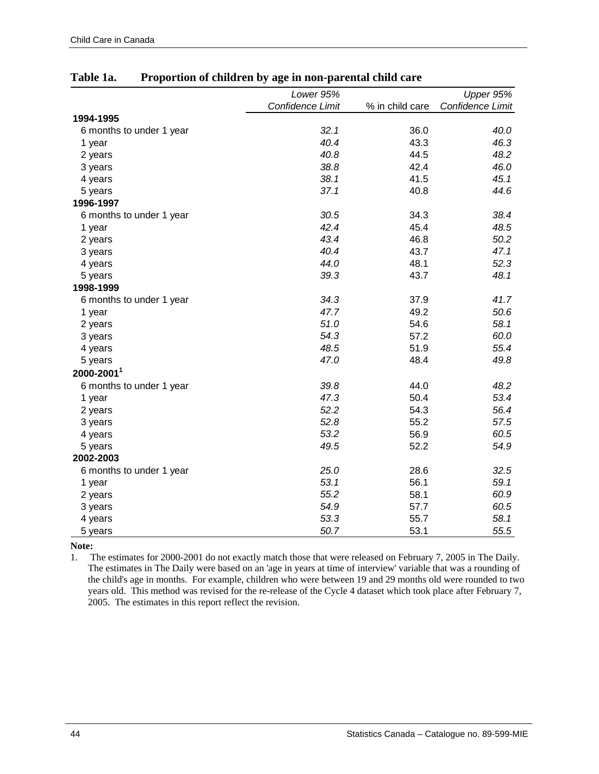|                          | Lower 95%        |                 | Upper 95%        |
|--------------------------|------------------|-----------------|------------------|
|                          | Confidence Limit | % in child care | Confidence Limit |
| 1994-1995                |                  |                 |                  |
| 6 months to under 1 year | 32.1             | 36.0            | 40.0             |
| 1 year                   | 40.4             | 43.3            | 46.3             |
| 2 years                  | 40.8             | 44.5            | 48.2             |
| 3 years                  | 38.8             | 42.4            | 46.0             |
| 4 years                  | 38.1             | 41.5            | 45.1             |
| 5 years                  | 37.1             | 40.8            | 44.6             |
| 1996-1997                |                  |                 |                  |
| 6 months to under 1 year | 30.5             | 34.3            | 38.4             |
| 1 year                   | 42.4             | 45.4            | 48.5             |
| 2 years                  | 43.4             | 46.8            | 50.2             |
| 3 years                  | 40.4             | 43.7            | 47.1             |
| 4 years                  | 44.0             | 48.1            | 52.3             |
| 5 years                  | 39.3             | 43.7            | 48.1             |
| 1998-1999                |                  |                 |                  |
| 6 months to under 1 year | 34.3             | 37.9            | 41.7             |
| 1 year                   | 47.7             | 49.2            | 50.6             |
| 2 years                  | 51.0             | 54.6            | 58.1             |
| 3 years                  | 54.3             | 57.2            | 60.0             |
| 4 years                  | 48.5             | 51.9            | 55.4             |
| 5 years                  | 47.0             | 48.4            | 49.8             |
| 2000-2001                |                  |                 |                  |
| 6 months to under 1 year | 39.8             | 44.0            | 48.2             |
| 1 year                   | 47.3             | 50.4            | 53.4             |
| 2 years                  | 52.2             | 54.3            | 56.4             |
| 3 years                  | 52.8             | 55.2            | 57.5             |
| 4 years                  | 53.2             | 56.9            | 60.5             |
| 5 years                  | 49.5             | 52.2            | 54.9             |
| 2002-2003                |                  |                 |                  |
| 6 months to under 1 year | 25.0             | 28.6            | 32.5             |
| 1 year                   | 53.1             | 56.1            | 59.1             |
| 2 years                  | 55.2             | 58.1            | 60.9             |
| 3 years                  | 54.9             | 57.7            | 60.5             |
| 4 years                  | 53.3             | 55.7            | 58.1             |
| 5 years                  | 50.7             | 53.1            | 55.5             |

### **Table 1a. Proportion of children by age in non-parental child care**

**Note:**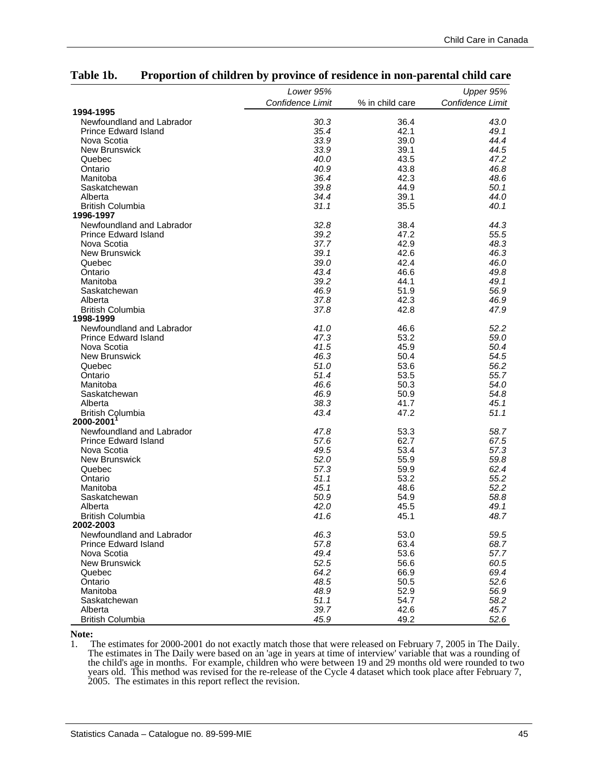|                             | Lower 95%        |                 | Upper 95%        |
|-----------------------------|------------------|-----------------|------------------|
|                             | Confidence Limit | % in child care | Confidence Limit |
| 1994-1995                   |                  |                 |                  |
| Newfoundland and Labrador   | 30.3             | 36.4            | 43.0             |
| <b>Prince Edward Island</b> | 35.4             | 42.1            | 49.1             |
| Nova Scotia                 | 33.9             | 39.0            | 44.4             |
| New Brunswick               | 33.9             | 39.1            | 44.5             |
| Quebec                      | 40.0             | 43.5            | 47.2             |
| Ontario                     | 40.9             | 43.8            | 46.8             |
| Manitoba                    | 36.4             | 42.3            | 48.6             |
| Saskatchewan                | 39.8             | 44.9            | 50.1             |
| Alberta                     | 34.4             | 39.1            | 44.0             |
| <b>British Columbia</b>     | 31.1             | 35.5            | 40.1             |
| 1996-1997                   |                  |                 |                  |
| Newfoundland and Labrador   | 32.8             | 38.4            | 44.3             |
| <b>Prince Edward Island</b> | 39.2             | 47.2            | 55.5             |
| Nova Scotia                 | 37.7             | 42.9            | 48.3             |
| New Brunswick               | 39.1             | 42.6            | 46.3             |
| Quebec                      | 39.0             | 42.4            | 46.0             |
| Ontario                     | 43.4             | 46.6            | 49.8             |
| Manitoba                    | 39.2             | 44.1            | 49.1             |
| Saskatchewan                | 46.9             | 51.9            | 56.9             |
| Alberta                     | 37.8             | 42.3            | 46.9             |
| <b>British Columbia</b>     | 37.8             | 42.8            | 47.9             |
| 1998-1999                   |                  |                 |                  |
| Newfoundland and Labrador   | 41.0             | 46.6            | 52.2             |
| Prince Edward Island        | 47.3             | 53.2            | 59.0             |
| Nova Scotia                 | 41.5             | 45.9            | 50.4             |
| New Brunswick               | 46.3             | 50.4            | 54.5             |
| Quebec                      | 51.0             | 53.6            | 56.2             |
| Ontario                     | 51.4             | 53.5            | 55.7             |
| Manitoba                    | 46.6             | 50.3            | 54.0             |
| Saskatchewan                | 46.9             | 50.9            | 54.8             |
| Alberta                     | 38.3             | 41.7            | 45.1             |
| <b>British Columbia</b>     | 43.4             | 47.2            | 51.1             |
| 2000-2001 <sup>1</sup>      |                  |                 |                  |
| Newfoundland and Labrador   | 47.8             | 53.3            | 58.7             |
| <b>Prince Edward Island</b> | 57.6             | 62.7            | 67.5             |
| Nova Scotia                 | 49.5             | 53.4            | 57.3             |
| New Brunswick               | 52.0             | 55.9            | 59.8             |
| Quebec                      | 57.3             | 59.9            | 62.4             |
| Ontario                     | 51.1             | 53.2            | 55.2             |
| Manitoba                    | 45.1             | 48.6            | 52.2             |
| Saskatchewan                | 50.9             | 54.9            | 58.8             |
| Alberta                     | 42.0             | 45.5            | 49.1             |
| <b>British Columbia</b>     | 41.6             | 45.1            | 48.7             |
| 2002-2003                   |                  |                 |                  |
| Newfoundland and Labrador   | 46.3             | 53.0            | 59.5             |
| <b>Prince Edward Island</b> | 57.8             | 63.4            | 68.7             |
| Nova Scotia                 | 49.4             | 53.6            | 57.7             |
| <b>New Brunswick</b>        | 52.5             | 56.6            | 60.5             |
| Quebec                      | 64.2             | 66.9            | 69.4             |
| Ontario                     | 48.5             | 50.5            | 52.6             |
| Manitoba                    | 48.9             | 52.9            | 56.9             |
| Saskatchewan                | 51.1             | 54.7            | 58.2             |
| Alberta                     | 39.7             | 42.6            | 45.7             |
| <b>British Columbia</b>     | 45.9             | 49.2            | 52.6             |

#### **Table 1b. Proportion of children by province of residence in non-parental child care**

**Note:**<br>1. **T**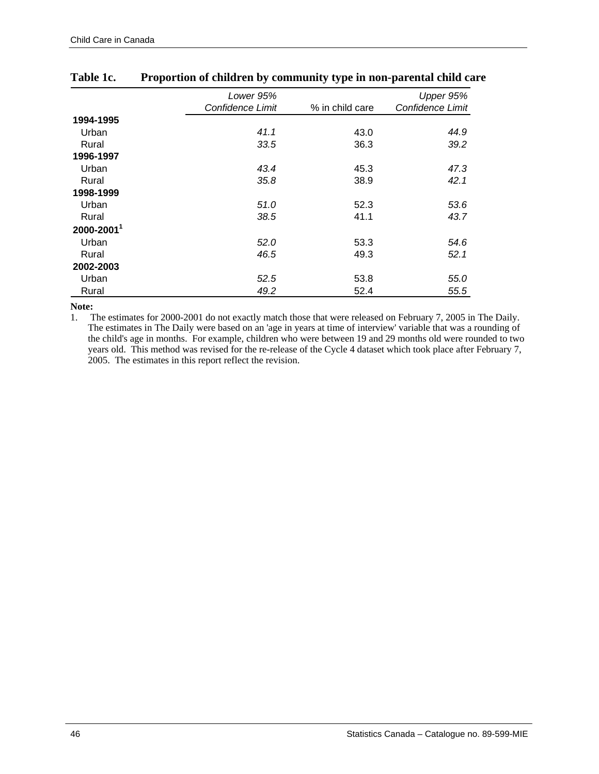|           | Lower 95%        |                 | Upper 95%        |
|-----------|------------------|-----------------|------------------|
|           | Confidence Limit | % in child care | Confidence Limit |
| 1994-1995 |                  |                 |                  |
| Urban     | 41.1             | 43.0            | 44.9             |
| Rural     | 33.5             | 36.3            | 39.2             |
| 1996-1997 |                  |                 |                  |
| Urban     | 43.4             | 45.3            | 47.3             |
| Rural     | 35.8             | 38.9            | 42.1             |
| 1998-1999 |                  |                 |                  |
| Urban     | 51.0             | 52.3            | 53.6             |
| Rural     | 38.5             | 41.1            | 43.7             |
| 2000-2001 |                  |                 |                  |
| Urban     | 52.0             | 53.3            | 54.6             |
| Rural     | 46.5             | 49.3            | 52.1             |
| 2002-2003 |                  |                 |                  |
| Urban     | 52.5             | 53.8            | 55.0             |
| Rural     | 49.2             | 52.4            | 55.5             |

## **Table 1c. Proportion of children by community type in non-parental child care**

**Note:**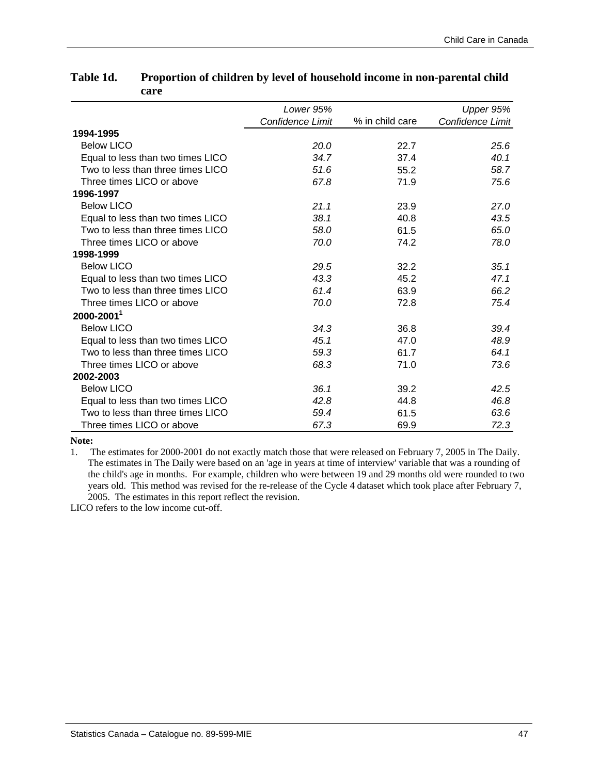|                                   | Lower 95%        |                 | Upper 95%        |
|-----------------------------------|------------------|-----------------|------------------|
|                                   | Confidence Limit | % in child care | Confidence Limit |
| 1994-1995                         |                  |                 |                  |
| <b>Below LICO</b>                 | 20.0             | 22.7            | 25.6             |
| Equal to less than two times LICO | 34.7             | 37.4            | 40.1             |
| Two to less than three times LICO | 51.6             | 55.2            | 58.7             |
| Three times LICO or above         | 67.8             | 71.9            | 75.6             |
| 1996-1997                         |                  |                 |                  |
| <b>Below LICO</b>                 | 21.1             | 23.9            | 27.0             |
| Equal to less than two times LICO | 38.1             | 40.8            | 43.5             |
| Two to less than three times LICO | 58.0             | 61.5            | 65.0             |
| Three times LICO or above         | 70.0             | 74.2            | 78.0             |
| 1998-1999                         |                  |                 |                  |
| <b>Below LICO</b>                 | 29.5             | 32.2            | 35.1             |
| Equal to less than two times LICO | 43.3             | 45.2            | 47.1             |
| Two to less than three times LICO | 61.4             | 63.9            | 66.2             |
| Three times LICO or above         | 70.0             | 72.8            | 75.4             |
| $2000 - 2001$ <sup>1</sup>        |                  |                 |                  |
| <b>Below LICO</b>                 | 34.3             | 36.8            | 39.4             |
| Equal to less than two times LICO | 45.1             | 47.0            | 48.9             |
| Two to less than three times LICO | 59.3             | 61.7            | 64.1             |
| Three times LICO or above         | 68.3             | 71.0            | 73.6             |
| 2002-2003                         |                  |                 |                  |
| <b>Below LICO</b>                 | 36.1             | 39.2            | 42.5             |
| Equal to less than two times LICO | 42.8             | 44.8            | 46.8             |
| Two to less than three times LICO | 59.4             | 61.5            | 63.6             |
| Three times LICO or above         | 67.3             | 69.9            | 72.3             |

## **Table 1d. Proportion of children by level of household income in non-parental child care**

**Note:** 

1. The estimates for 2000-2001 do not exactly match those that were released on February 7, 2005 in The Daily. The estimates in The Daily were based on an 'age in years at time of interview' variable that was a rounding of the child's age in months. For example, children who were between 19 and 29 months old were rounded to two years old. This method was revised for the re-release of the Cycle 4 dataset which took place after February 7, 2005. The estimates in this report reflect the revision.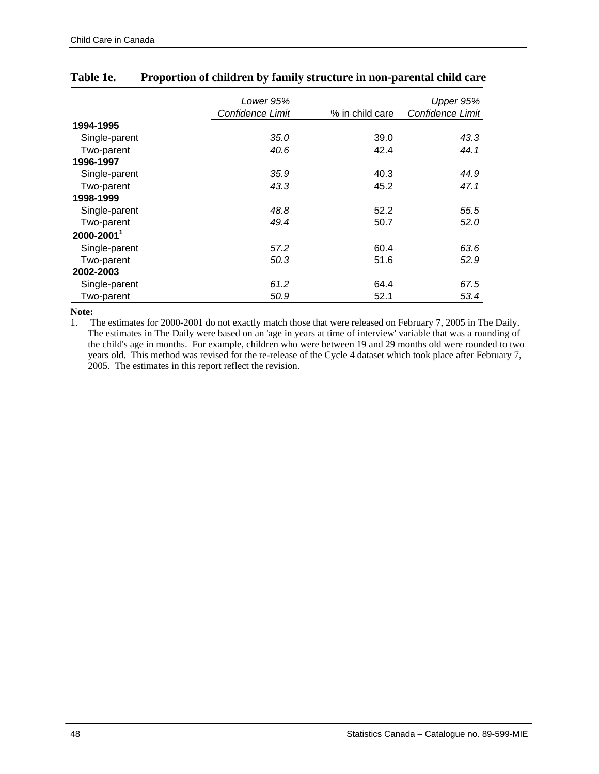|               | Lower 95%<br>Confidence Limit | % in child care | Upper 95%<br>Confidence Limit |
|---------------|-------------------------------|-----------------|-------------------------------|
|               |                               |                 |                               |
| 1994-1995     |                               |                 |                               |
| Single-parent | 35.0                          | 39.0            | 43.3                          |
| Two-parent    | 40.6                          | 42.4            | 44.1                          |
| 1996-1997     |                               |                 |                               |
| Single-parent | 35.9                          | 40.3            | 44.9                          |
| Two-parent    | 43.3                          | 45.2            | 47.1                          |
| 1998-1999     |                               |                 |                               |
| Single-parent | 48.8                          | 52.2            | 55.5                          |
| Two-parent    | 49.4                          | 50.7            | 52.0                          |
| 2000-20011    |                               |                 |                               |
| Single-parent | 57.2                          | 60.4            | 63.6                          |
| Two-parent    | 50.3                          | 51.6            | 52.9                          |
| 2002-2003     |                               |                 |                               |
| Single-parent | 61.2                          | 64.4            | 67.5                          |
| Two-parent    | 50.9                          | 52.1            | 53.4                          |

## **Table 1e. Proportion of children by family structure in non-parental child care**

#### **Note:**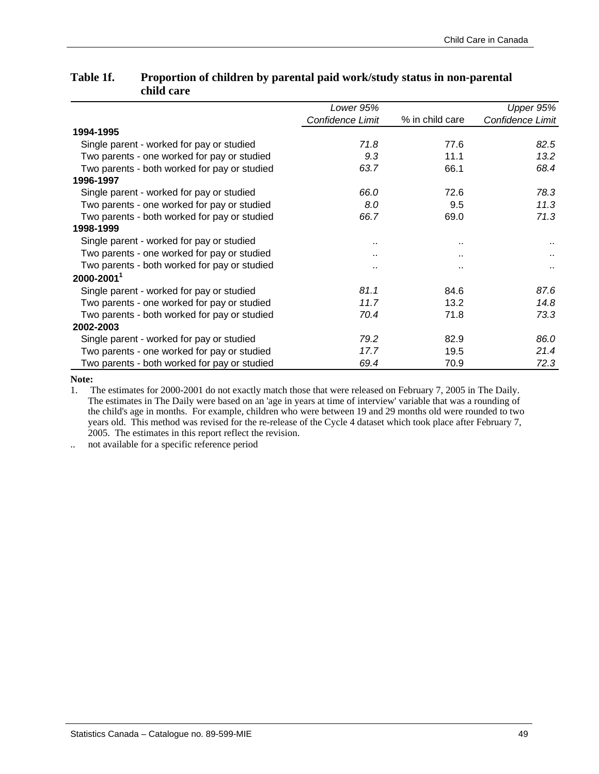|                                              | Lower 95%        |                 | Upper 95%        |
|----------------------------------------------|------------------|-----------------|------------------|
|                                              | Confidence Limit | % in child care | Confidence Limit |
| 1994-1995                                    |                  |                 |                  |
| Single parent - worked for pay or studied    | 71.8             | 77.6            | 82.5             |
| Two parents - one worked for pay or studied  | 9.3              | 11.1            | 13.2             |
| Two parents - both worked for pay or studied | 63.7             | 66.1            | 68.4             |
| 1996-1997                                    |                  |                 |                  |
| Single parent - worked for pay or studied    | 66.0             | 72.6            | 78.3             |
| Two parents - one worked for pay or studied  | 8.0              | 9.5             | 11.3             |
| Two parents - both worked for pay or studied | 66.7             | 69.0            | 71.3             |
| 1998-1999                                    |                  |                 |                  |
| Single parent - worked for pay or studied    |                  |                 |                  |
| Two parents - one worked for pay or studied  |                  | $\sim$          |                  |
| Two parents - both worked for pay or studied |                  |                 |                  |
| $2000 - 2001$ <sup>1</sup>                   |                  |                 |                  |
| Single parent - worked for pay or studied    | 81.1             | 84.6            | 87.6             |
| Two parents - one worked for pay or studied  | 11.7             | 13.2            | 14.8             |
| Two parents - both worked for pay or studied | 70.4             | 71.8            | 73.3             |
| 2002-2003                                    |                  |                 |                  |
| Single parent - worked for pay or studied    | 79.2             | 82.9            | 86.0             |
| Two parents - one worked for pay or studied  | 17.7             | 19.5            | 21.4             |

## **Table 1f. Proportion of children by parental paid work/study status in non-parental child care**

**Note:** 

1. The estimates for 2000-2001 do not exactly match those that were released on February 7, 2005 in The Daily. The estimates in The Daily were based on an 'age in years at time of interview' variable that was a rounding of the child's age in months. For example, children who were between 19 and 29 months old were rounded to two years old. This method was revised for the re-release of the Cycle 4 dataset which took place after February 7, 2005. The estimates in this report reflect the revision.

Two parents - both worked for pay or studied *69.4* 70.9 *72.3*

.. not available for a specific reference period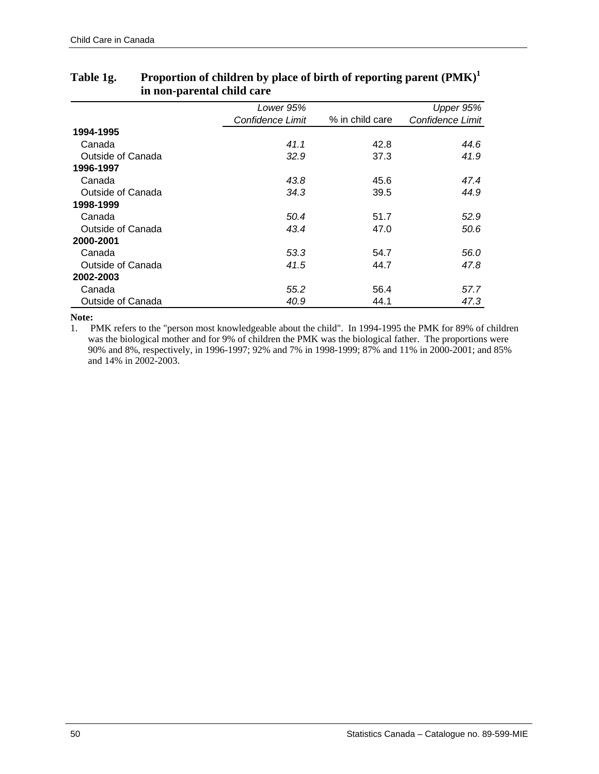|                   | Lower 95%        |                 | Upper 95%        |
|-------------------|------------------|-----------------|------------------|
|                   | Confidence Limit | % in child care | Confidence Limit |
| 1994-1995         |                  |                 |                  |
| Canada            | 41.1             | 42.8            | 44.6             |
| Outside of Canada | 32.9             | 37.3            | 41.9             |
| 1996-1997         |                  |                 |                  |
| Canada            | 43.8             | 45.6            | 47.4             |
| Outside of Canada | 34.3             | 39.5            | 44.9             |
| 1998-1999         |                  |                 |                  |
| Canada            | 50.4             | 51.7            | 52.9             |
| Outside of Canada | 43.4             | 47.0            | 50.6             |
| 2000-2001         |                  |                 |                  |
| Canada            | 53.3             | 54.7            | 56.0             |
| Outside of Canada | 41.5             | 44.7            | 47.8             |
| 2002-2003         |                  |                 |                  |
| Canada            | 55.2             | 56.4            | 57.7             |
| Outside of Canada | 40.9             | 44.1            | 47.3             |

## **Table 1g. Proportion of children by place of birth of reporting parent (PMK)<sup>1</sup> in non-parental child care**

#### **Note:**

1. PMK refers to the "person most knowledgeable about the child". In 1994-1995 the PMK for 89% of children was the biological mother and for 9% of children the PMK was the biological father. The proportions were 90% and 8%, respectively, in 1996-1997; 92% and 7% in 1998-1999; 87% and 11% in 2000-2001; and 85% and 14% in 2002-2003.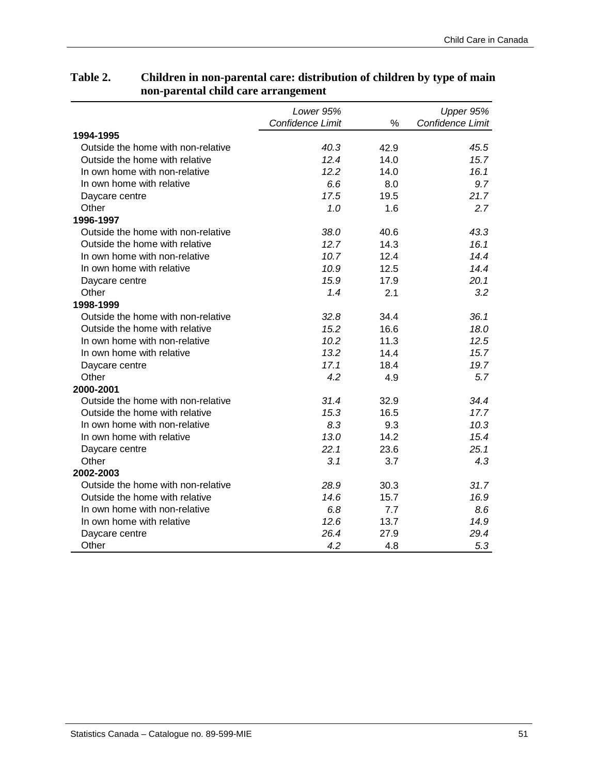#### *Lower 95% Confidence Limit* % *Upper 95% Confidence Limit* Outside the home with non-relative *40.3* 42.9 *45.5* Outside the home with relative *12.4* 14.0 *15.7* In own home with non-relative *12.2* 14.0 *16.1* In own home with relative *6.6* 8.0 *9.7* Daycare centre *17.5* 19.5 *21.7* Other *1.0* 1.6 *2.7* Outside the home with non-relative *38.0* 40.6 *43.3* Outside the home with relative *12.7* 14.3 *16.1* In own home with non-relative *10.7* 12.4 *14.4* In own home with relative *10.9* 12.5 *14.4* Daycare centre *15.9* 17.9 *20.1* Other *1.4* 2.1 *3.2* Outside the home with non-relative *32.8* 34.4 *36.1* Outside the home with relative *15.2* 16.6 *18.0* In own home with non-relative *10.2* 11.3 *12.5* In own home with relative *13.2* 14.4 *15.7* Daycare centre *17.1* 18.4 *19.7* Other *4.2* 4.9 *5.7* Outside the home with non-relative *31.4* 32.9 *34.4* Outside the home with relative *15.3* 16.5 *17.7* In own home with non-relative *8.3* 9.3 *10.3* In own home with relative *13.0* 14.2 *15.4* Daycare centre *22.1* 23.6 *25.1* Other *3.1* 3.7 *4.3* Outside the home with non-relative *28.9* 30.3 *31.7* Outside the home with relative *14.6* 15.7 *16.9* In own home with non-relative *6.8* 7.7 *8.6* In own home with relative *12.6* 13.7 *14.9* **2000-2001 2002-2003 1994-1995 1996-1997 1998-1999**

Daycare centre *26.4* 27.9 *29.4* Other *4.2* 4.8 *5.3*

## **Table 2. Children in non-parental care: distribution of children by type of main non-parental child care arrangement**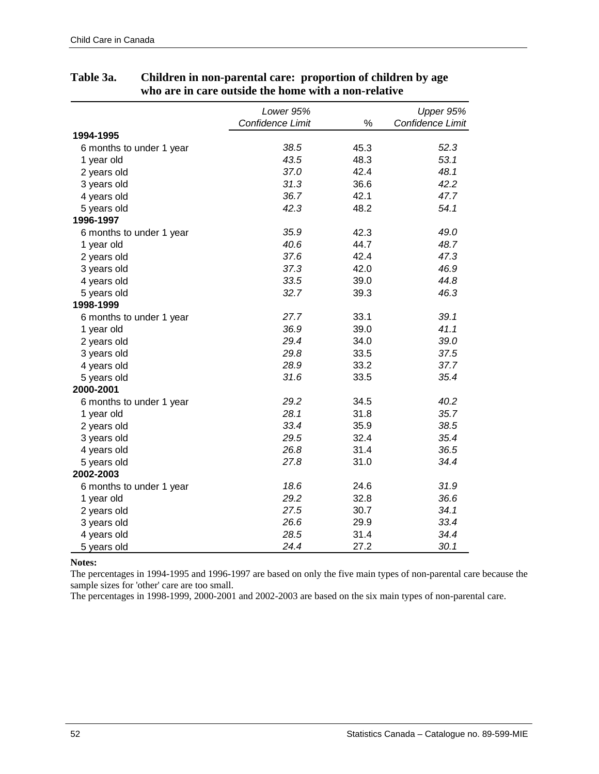|                          | Lower 95%        |      | Upper 95%        |
|--------------------------|------------------|------|------------------|
|                          | Confidence Limit | %    | Confidence Limit |
| 1994-1995                |                  |      |                  |
| 6 months to under 1 year | 38.5             | 45.3 | 52.3             |
| 1 year old               | 43.5             | 48.3 | 53.1             |
| 2 years old              | 37.0             | 42.4 | 48.1             |
| 3 years old              | 31.3             | 36.6 | 42.2             |
| 4 years old              | 36.7             | 42.1 | 47.7             |
| 5 years old              | 42.3             | 48.2 | 54.1             |
| 1996-1997                |                  |      |                  |
| 6 months to under 1 year | 35.9             | 42.3 | 49.0             |
| 1 year old               | 40.6             | 44.7 | 48.7             |
| 2 years old              | 37.6             | 42.4 | 47.3             |
| 3 years old              | 37.3             | 42.0 | 46.9             |
| 4 years old              | 33.5             | 39.0 | 44.8             |
| 5 years old              | 32.7             | 39.3 | 46.3             |
| 1998-1999                |                  |      |                  |
| 6 months to under 1 year | 27.7             | 33.1 | 39.1             |
| 1 year old               | 36.9             | 39.0 | 41.1             |
| 2 years old              | 29.4             | 34.0 | 39.0             |
| 3 years old              | 29.8             | 33.5 | 37.5             |
| 4 years old              | 28.9             | 33.2 | 37.7             |
| 5 years old              | 31.6             | 33.5 | 35.4             |
| 2000-2001                |                  |      |                  |
| 6 months to under 1 year | 29.2             | 34.5 | 40.2             |
| 1 year old               | 28.1             | 31.8 | 35.7             |
| 2 years old              | 33.4             | 35.9 | 38.5             |
| 3 years old              | 29.5             | 32.4 | 35.4             |
| 4 years old              | 26.8             | 31.4 | 36.5             |
| 5 years old              | 27.8             | 31.0 | 34.4             |
| 2002-2003                |                  |      |                  |
| 6 months to under 1 year | 18.6             | 24.6 | 31.9             |
| 1 year old               | 29.2             | 32.8 | 36.6             |
| 2 years old              | 27.5             | 30.7 | 34.1             |
| 3 years old              | 26.6             | 29.9 | 33.4             |
| 4 years old              | 28.5             | 31.4 | 34.4             |
| 5 years old              | 24.4             | 27.2 | 30.1             |

## **Table 3a. Children in non-parental care: proportion of children by age who are in care outside the home with a non-relative**

**Notes:** 

The percentages in 1994-1995 and 1996-1997 are based on only the five main types of non-parental care because the sample sizes for 'other' care are too small.

The percentages in 1998-1999, 2000-2001 and 2002-2003 are based on the six main types of non-parental care.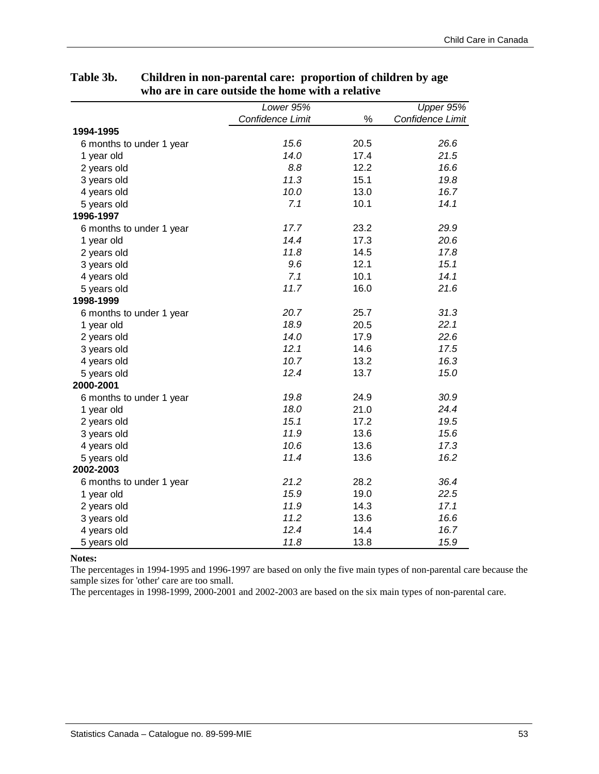|                          | Lower $95\%$     |      | Upper 95%        |
|--------------------------|------------------|------|------------------|
|                          | Confidence Limit | $\%$ | Confidence Limit |
| 1994-1995                |                  |      |                  |
| 6 months to under 1 year | 15.6             | 20.5 | 26.6             |
| 1 year old               | 14.0             | 17.4 | 21.5             |
| 2 years old              | 8.8              | 12.2 | 16.6             |
| 3 years old              | 11.3             | 15.1 | 19.8             |
| 4 years old              | 10.0             | 13.0 | 16.7             |
| 5 years old              | 7.1              | 10.1 | 14.1             |
| 1996-1997                |                  |      |                  |
| 6 months to under 1 year | 17.7             | 23.2 | 29.9             |
| 1 year old               | 14.4             | 17.3 | 20.6             |
| 2 years old              | 11.8             | 14.5 | 17.8             |
| 3 years old              | 9.6              | 12.1 | 15.1             |
| 4 years old              | 7.1              | 10.1 | 14.1             |
| 5 years old              | 11.7             | 16.0 | 21.6             |
| 1998-1999                |                  |      |                  |
| 6 months to under 1 year | 20.7             | 25.7 | 31.3             |
| 1 year old               | 18.9             | 20.5 | 22.1             |
| 2 years old              | 14.0             | 17.9 | 22.6             |
| 3 years old              | 12.1             | 14.6 | 17.5             |
| 4 years old              | 10.7             | 13.2 | 16.3             |
| 5 years old              | 12.4             | 13.7 | 15.0             |
| 2000-2001                |                  |      |                  |
| 6 months to under 1 year | 19.8             | 24.9 | 30.9             |
| 1 year old               | 18.0             | 21.0 | 24.4             |
| 2 years old              | 15.1             | 17.2 | 19.5             |
| 3 years old              | 11.9             | 13.6 | 15.6             |
| 4 years old              | 10.6             | 13.6 | 17.3             |
| 5 years old              | 11.4             | 13.6 | 16.2             |
| 2002-2003                |                  |      |                  |
| 6 months to under 1 year | 21.2             | 28.2 | 36.4             |
| 1 year old               | 15.9             | 19.0 | 22.5             |
| 2 years old              | 11.9             | 14.3 | 17.1             |
| 3 years old              | 11.2             | 13.6 | 16.6             |
| 4 years old              | 12.4             | 14.4 | 16.7             |
| 5 years old              | 11.8             | 13.8 | 15.9             |

## **Table 3b. Children in non-parental care: proportion of children by age who are in care outside the home with a relative**

#### **Notes:**

The percentages in 1994-1995 and 1996-1997 are based on only the five main types of non-parental care because the sample sizes for 'other' care are too small.

The percentages in 1998-1999, 2000-2001 and 2002-2003 are based on the six main types of non-parental care.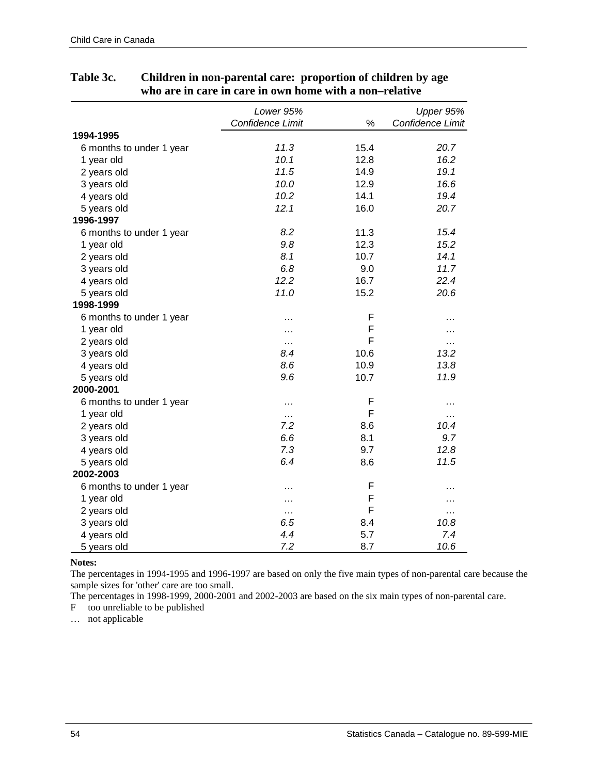|                          | Lower 95%        |      | Upper 95%        |
|--------------------------|------------------|------|------------------|
|                          | Confidence Limit | %    | Confidence Limit |
| 1994-1995                |                  |      |                  |
| 6 months to under 1 year | 11.3             | 15.4 | 20.7             |
| 1 year old               | 10.1             | 12.8 | 16.2             |
| 2 years old              | 11.5             | 14.9 | 19.1             |
| 3 years old              | 10.0             | 12.9 | 16.6             |
| 4 years old              | 10.2             | 14.1 | 19.4             |
| 5 years old              | 12.1             | 16.0 | 20.7             |
| 1996-1997                |                  |      |                  |
| 6 months to under 1 year | 8.2              | 11.3 | 15.4             |
| 1 year old               | 9.8              | 12.3 | 15.2             |
| 2 years old              | 8.1              | 10.7 | 14.1             |
| 3 years old              | 6.8              | 9.0  | 11.7             |
| 4 years old              | 12.2             | 16.7 | 22.4             |
| 5 years old              | 11.0             | 15.2 | 20.6             |
| 1998-1999                |                  |      |                  |
| 6 months to under 1 year | .                | F    | .                |
| 1 year old               | .                | F    |                  |
| 2 years old              | .                | F    | .                |
| 3 years old              | 8.4              | 10.6 | 13.2             |
| 4 years old              | 8.6              | 10.9 | 13.8             |
| 5 years old              | 9.6              | 10.7 | 11.9             |
| 2000-2001                |                  |      |                  |
| 6 months to under 1 year | .                | F    | .                |
| 1 year old               | .                | F    | $\cdots$         |
| 2 years old              | 7.2              | 8.6  | 10.4             |
| 3 years old              | 6.6              | 8.1  | 9.7              |
| 4 years old              | 7.3              | 9.7  | 12.8             |
| 5 years old              | 6.4              | 8.6  | 11.5             |
| 2002-2003                |                  |      |                  |
| 6 months to under 1 year | .                | F    | .                |
| 1 year old               | .                | F    |                  |
| 2 years old              | .                | F    | .                |
| 3 years old              | 6.5              | 8.4  | 10.8             |
| 4 years old              | 4.4              | 5.7  | 7.4              |
| 5 years old              | 7.2              | 8.7  | 10.6             |

## **Table 3c. Children in non-parental care: proportion of children by age who are in care in care in own home with a non–relative**

**Notes:** 

The percentages in 1994-1995 and 1996-1997 are based on only the five main types of non-parental care because the sample sizes for 'other' care are too small.

The percentages in 1998-1999, 2000-2001 and 2002-2003 are based on the six main types of non-parental care.

F too unreliable to be published

… not applicable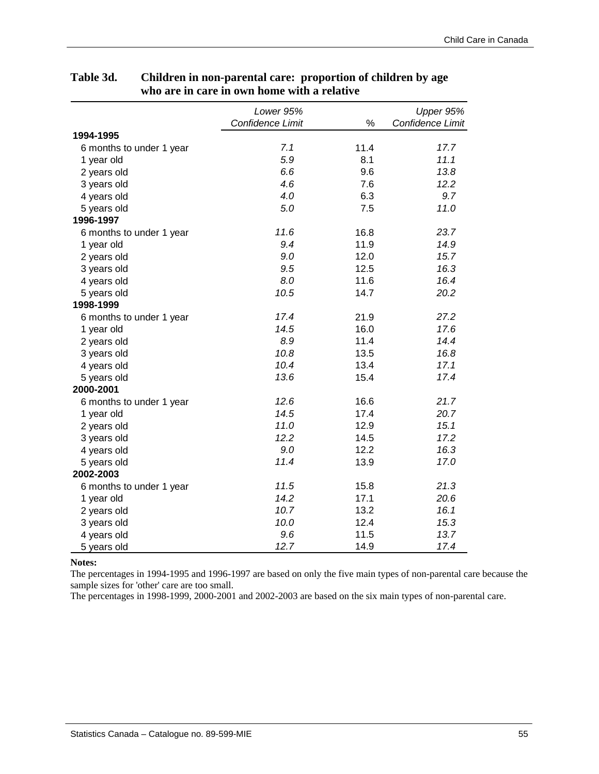|                          | Lower 95%        |      | Upper 95%        |
|--------------------------|------------------|------|------------------|
|                          | Confidence Limit | %    | Confidence Limit |
| 1994-1995                |                  |      |                  |
| 6 months to under 1 year | 7.1              | 11.4 | 17.7             |
| 1 year old               | 5.9              | 8.1  | 11.1             |
| 2 years old              | 6.6              | 9.6  | 13.8             |
| 3 years old              | 4.6              | 7.6  | 12.2             |
| 4 years old              | 4.0              | 6.3  | 9.7              |
| 5 years old              | 5.0              | 7.5  | 11.0             |
| 1996-1997                |                  |      |                  |
| 6 months to under 1 year | 11.6             | 16.8 | 23.7             |
| 1 year old               | 9.4              | 11.9 | 14.9             |
| 2 years old              | 9.0              | 12.0 | 15.7             |
| 3 years old              | 9.5              | 12.5 | 16.3             |
| 4 years old              | 8.0              | 11.6 | 16.4             |
| 5 years old              | 10.5             | 14.7 | 20.2             |
| 1998-1999                |                  |      |                  |
| 6 months to under 1 year | 17.4             | 21.9 | 27.2             |
| 1 year old               | 14.5             | 16.0 | 17.6             |
| 2 years old              | 8.9              | 11.4 | 14.4             |
| 3 years old              | 10.8             | 13.5 | 16.8             |
| 4 years old              | 10.4             | 13.4 | 17.1             |
| 5 years old              | 13.6             | 15.4 | 17.4             |
| 2000-2001                |                  |      |                  |
| 6 months to under 1 year | 12.6             | 16.6 | 21.7             |
| 1 year old               | 14.5             | 17.4 | 20.7             |
| 2 years old              | 11.0             | 12.9 | 15.1             |
| 3 years old              | 12.2             | 14.5 | 17.2             |
| 4 years old              | 9.0              | 12.2 | 16.3             |
| 5 years old              | 11.4             | 13.9 | 17.0             |
| 2002-2003                |                  |      |                  |
| 6 months to under 1 year | 11.5             | 15.8 | 21.3             |
| 1 year old               | 14.2             | 17.1 | 20.6             |
| 2 years old              | 10.7             | 13.2 | 16.1             |
| 3 years old              | 10.0             | 12.4 | 15.3             |
| 4 years old              | 9.6              | 11.5 | 13.7             |
| 5 years old              | 12.7             | 14.9 | 17.4             |

## **Table 3d. Children in non-parental care: proportion of children by age who are in care in own home with a relative**

**Notes:** 

The percentages in 1994-1995 and 1996-1997 are based on only the five main types of non-parental care because the sample sizes for 'other' care are too small.

The percentages in 1998-1999, 2000-2001 and 2002-2003 are based on the six main types of non-parental care.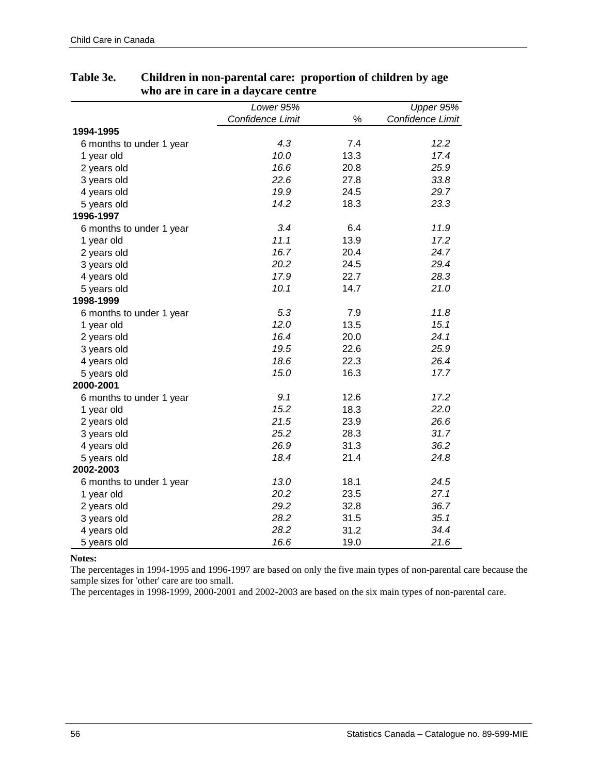|                          | Lower 95%        |      | Upper 95%        |
|--------------------------|------------------|------|------------------|
|                          | Confidence Limit | $\%$ | Confidence Limit |
| 1994-1995                |                  |      |                  |
| 6 months to under 1 year | 4.3              | 7.4  | 12.2             |
| 1 year old               | 10.0             | 13.3 | 17.4             |
| 2 years old              | 16.6             | 20.8 | 25.9             |
| 3 years old              | 22.6             | 27.8 | 33.8             |
| 4 years old              | 19.9             | 24.5 | 29.7             |
| 5 years old              | 14.2             | 18.3 | 23.3             |
| 1996-1997                |                  |      |                  |
| 6 months to under 1 year | 3.4              | 6.4  | 11.9             |
| 1 year old               | 11.1             | 13.9 | 17.2             |
| 2 years old              | 16.7             | 20.4 | 24.7             |
| 3 years old              | 20.2             | 24.5 | 29.4             |
| 4 years old              | 17.9             | 22.7 | 28.3             |
| 5 years old              | 10.1             | 14.7 | 21.0             |
| 1998-1999                |                  |      |                  |
| 6 months to under 1 year | 5.3              | 7.9  | 11.8             |
| 1 year old               | 12.0             | 13.5 | 15.1             |
| 2 years old              | 16.4             | 20.0 | 24.1             |
| 3 years old              | 19.5             | 22.6 | 25.9             |
| 4 years old              | 18.6             | 22.3 | 26.4             |
| 5 years old              | 15.0             | 16.3 | 17.7             |
| 2000-2001                |                  |      |                  |
| 6 months to under 1 year | 9.1              | 12.6 | 17.2             |
| 1 year old               | 15.2             | 18.3 | 22.0             |
| 2 years old              | 21.5             | 23.9 | 26.6             |
| 3 years old              | 25.2             | 28.3 | 31.7             |
| 4 years old              | 26.9             | 31.3 | 36.2             |
| 5 years old              | 18.4             | 21.4 | 24.8             |
| 2002-2003                |                  |      |                  |
| 6 months to under 1 year | 13.0             | 18.1 | 24.5             |
| 1 year old               | 20.2             | 23.5 | 27.1             |
| 2 years old              | 29.2             | 32.8 | 36.7             |
| 3 years old              | 28.2             | 31.5 | 35.1             |
| 4 years old              | 28.2             | 31.2 | 34.4             |
| 5 years old              | 16.6             | 19.0 | 21.6             |

## **Table 3e. Children in non-parental care: proportion of children by age who are in care in a daycare centre**

**Notes:** 

The percentages in 1994-1995 and 1996-1997 are based on only the five main types of non-parental care because the sample sizes for 'other' care are too small.

The percentages in 1998-1999, 2000-2001 and 2002-2003 are based on the six main types of non-parental care.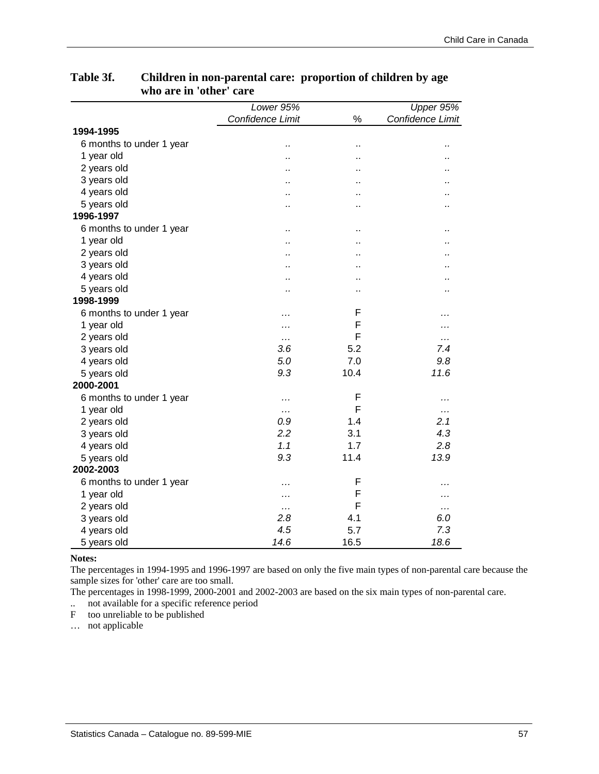|                          | Lower 95%        |                      | Upper 95%            |
|--------------------------|------------------|----------------------|----------------------|
|                          | Confidence Limit | $\%$                 | Confidence Limit     |
| 1994-1995                |                  |                      |                      |
| 6 months to under 1 year | .,               | ٠.                   |                      |
| 1 year old               | .,               | ٠.                   |                      |
| 2 years old              | .,               | ٠.                   |                      |
| 3 years old              | .,               | ٠.                   |                      |
| 4 years old              | $\cdot$          |                      |                      |
| 5 years old              | Ω,               | $\ddot{\phantom{a}}$ | .,                   |
| 1996-1997                |                  |                      |                      |
| 6 months to under 1 year | .,               | ٠.                   |                      |
| 1 year old               | $\cdot$          | ٠.                   |                      |
| 2 years old              | $\cdot$          | $\ddot{\phantom{a}}$ |                      |
| 3 years old              | .,               |                      |                      |
| 4 years old              | Ω,               |                      | $\ddot{\phantom{0}}$ |
| 5 years old              | Ω,               | $\ddot{\phantom{a}}$ |                      |
| 1998-1999                |                  |                      |                      |
| 6 months to under 1 year | .                | F                    | .                    |
| 1 year old               | .                | F                    | .                    |
| 2 years old              | .                | F                    | .                    |
| 3 years old              | 3.6              | 5.2                  | 7.4                  |
| 4 years old              | 5.0              | 7.0                  | 9.8                  |
| 5 years old              | 9.3              | 10.4                 | 11.6                 |
| 2000-2001                |                  |                      |                      |
| 6 months to under 1 year | .                | F                    | .                    |
| 1 year old               | $\cdots$         | F                    | .                    |
| 2 years old              | 0.9              | 1.4                  | 2.1                  |
| 3 years old              | 2.2              | 3.1                  | 4.3                  |
| 4 years old              | 1.1              | 1.7                  | 2.8                  |
| 5 years old              | 9.3              | 11.4                 | 13.9                 |
| 2002-2003                |                  |                      |                      |
| 6 months to under 1 year | .                | F                    |                      |
| 1 year old               | .                | F                    | .                    |
| 2 years old              | .                | F                    | $\cdots$             |
| 3 years old              | 2.8              | 4.1                  | 6.0                  |
| 4 years old              | 4.5              | 5.7                  | 7.3                  |
| 5 years old              | 14.6             | 16.5                 | 18.6                 |

## **Table 3f. Children in non-parental care: proportion of children by age who are in 'other' care**

#### **Notes:**

The percentages in 1994-1995 and 1996-1997 are based on only the five main types of non-parental care because the sample sizes for 'other' care are too small.

The percentages in 1998-1999, 2000-2001 and 2002-2003 are based on the six main types of non-parental care.

.. not available for a specific reference period

F too unreliable to be published

… not applicable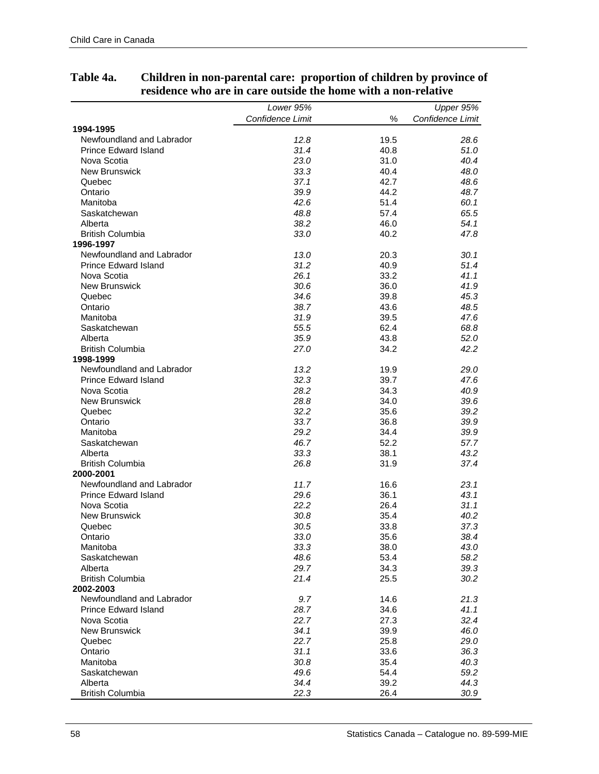|                                        | Lower 95%        |      | Upper 95%        |
|----------------------------------------|------------------|------|------------------|
|                                        |                  | %    |                  |
|                                        | Confidence Limit |      | Confidence Limit |
| 1994-1995<br>Newfoundland and Labrador | 12.8             | 19.5 | 28.6             |
| <b>Prince Edward Island</b>            | 31.4             | 40.8 | 51.0             |
| Nova Scotia                            | 23.0             | 31.0 | 40.4             |
| <b>New Brunswick</b>                   | 33.3             | 40.4 | 48.0             |
| Quebec                                 | 37.1             | 42.7 | 48.6             |
| Ontario                                | 39.9             | 44.2 | 48.7             |
| Manitoba                               | 42.6             | 51.4 | 60.1             |
| Saskatchewan                           | 48.8             | 57.4 | 65.5             |
| Alberta                                | 38.2             | 46.0 | 54.1             |
| <b>British Columbia</b>                | 33.0             | 40.2 | 47.8             |
| 1996-1997                              |                  |      |                  |
| Newfoundland and Labrador              | 13.0             | 20.3 | 30.1             |
| <b>Prince Edward Island</b>            | 31.2             | 40.9 | 51.4             |
| Nova Scotia                            | 26.1             | 33.2 | 41.1             |
| <b>New Brunswick</b>                   | 30.6             | 36.0 | 41.9             |
| Quebec                                 | 34.6             | 39.8 | 45.3             |
| Ontario                                | 38.7             | 43.6 | 48.5             |
| Manitoba                               | 31.9             | 39.5 | 47.6             |
| Saskatchewan                           | 55.5             | 62.4 | 68.8             |
| Alberta                                | 35.9             | 43.8 | 52.0             |
| <b>British Columbia</b>                | 27.0             | 34.2 | 42.2             |
| 1998-1999                              |                  |      |                  |
| Newfoundland and Labrador              | 13.2             | 19.9 | 29.0             |
| <b>Prince Edward Island</b>            | 32.3             | 39.7 | 47.6             |
| Nova Scotia                            | 28.2             | 34.3 | 40.9             |
| <b>New Brunswick</b>                   | 28.8             | 34.0 | 39.6             |
| Quebec                                 | 32.2             | 35.6 | 39.2             |
| Ontario                                | 33.7             | 36.8 | 39.9             |
| Manitoba                               | 29.2             | 34.4 | 39.9             |
| Saskatchewan                           | 46.7             | 52.2 | 57.7             |
| Alberta                                | 33.3             | 38.1 | 43.2             |
| <b>British Columbia</b>                | 26.8             | 31.9 | 37.4             |
| 2000-2001                              |                  |      |                  |
| Newfoundland and Labrador              | 11.7             | 16.6 | 23.1             |
| <b>Prince Edward Island</b>            | 29.6             | 36.1 | 43.1             |
| Nova Scotia                            | 22.2             | 26.4 | 31.1             |
| <b>New Brunswick</b>                   | 30.8             | 35.4 | 40.2             |
| Quebec                                 | 30.5             | 33.8 | 37.3             |
| Ontario                                | 33.0             | 35.6 | 38.4             |
| Manitoba                               | 33.3             | 38.0 | 43.0             |
| Saskatchewan                           | 48.6             | 53.4 | 58.2             |
| Alberta                                | 29.7             | 34.3 | 39.3             |
| <b>British Columbia</b>                | 21.4             | 25.5 | 30.2             |
| 2002-2003                              |                  |      |                  |
| Newfoundland and Labrador              | 9.7              | 14.6 | 21.3             |
| <b>Prince Edward Island</b>            | 28.7             | 34.6 | 41.1             |
| Nova Scotia                            | 22.7             | 27.3 | 32.4             |
| <b>New Brunswick</b>                   | 34.1             | 39.9 | 46.0             |
| Quebec                                 | 22.7             | 25.8 | 29.0             |
| Ontario                                | 31.1             | 33.6 | 36.3             |
| Manitoba                               | 30.8             | 35.4 | 40.3             |
| Saskatchewan                           | 49.6             | 54.4 | 59.2             |
| Alberta                                | 34.4             | 39.2 | 44.3             |
| <b>British Columbia</b>                | 22.3             | 26.4 | 30.9             |

## **Table 4a. Children in non-parental care: proportion of children by province of residence who are in care outside the home with a non-relative**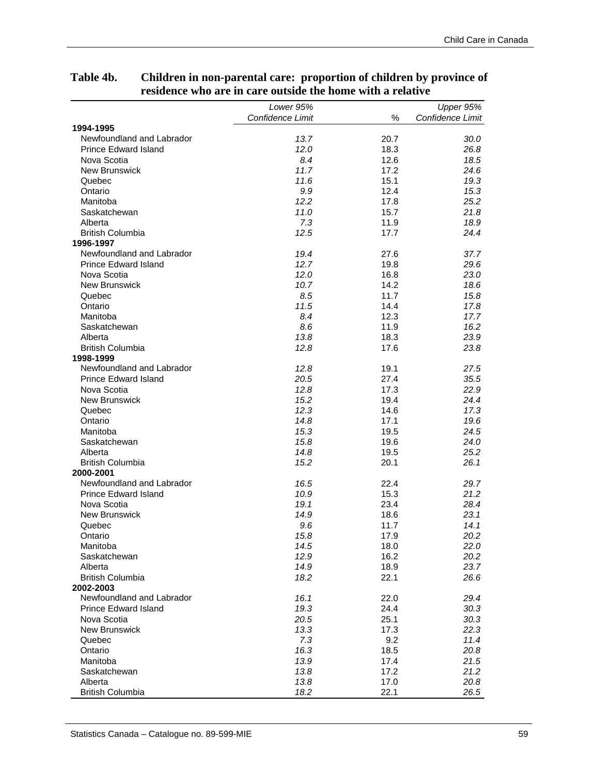| Confidence Limit<br>$\%$<br>Confidence Limit<br>1994-1995<br>Newfoundland and Labrador<br>13.7<br>20.7<br>30.0<br><b>Prince Edward Island</b><br>12.0<br>18.3<br>26.8<br>Nova Scotia<br>8.4<br>12.6<br>18.5<br>11.7<br><b>New Brunswick</b><br>17.2<br>24.6<br>11.6<br>19.3<br>Quebec<br>15.1<br>9.9<br>15.3<br>Ontario<br>12.4<br>12.2<br>25.2<br>Manitoba<br>17.8<br>11.0<br>15.7<br>21.8<br>Saskatchewan<br>7.3<br>18.9<br>Alberta<br>11.9<br>12.5<br>24.4<br><b>British Columbia</b><br>17.7<br>1996-1997<br>Newfoundland and Labrador<br>19.4<br>37.7<br>27.6<br>12.7<br><b>Prince Edward Island</b><br>29.6<br>19.8<br>Nova Scotia<br>12.0<br>23.0<br>16.8<br><b>New Brunswick</b><br>10.7<br>18.6<br>14.2<br>8.5<br>15.8<br>Quebec<br>11.7<br>11.5<br>Ontario<br>14.4<br>17.8<br>Manitoba<br>8.4<br>12.3<br>17.7<br>8.6<br>16.2<br>Saskatchewan<br>11.9<br>Alberta<br>13.8<br>18.3<br>23.9<br><b>British Columbia</b><br>12.8<br>23.8<br>17.6<br>1998-1999<br>Newfoundland and Labrador<br>12.8<br>19.1<br>27.5<br><b>Prince Edward Island</b><br>20.5<br>35.5<br>27.4<br>Nova Scotia<br>12.8<br>22.9<br>17.3<br>New Brunswick<br>15.2<br>19.4<br>24.4<br>12.3<br>17.3<br>Quebec<br>14.6<br>14.8<br>19.6<br>Ontario<br>17.1<br>Manitoba<br>15.3<br>19.5<br>24.5<br>15.8<br>24.0<br>Saskatchewan<br>19.6<br>14.8<br>25.2<br>Alberta<br>19.5<br><b>British Columbia</b><br>15.2<br>20.1<br>26.1<br>2000-2001<br>Newfoundland and Labrador<br>16.5<br>22.4<br>29.7<br><b>Prince Edward Island</b><br>21.2<br>10.9<br>15.3<br>Nova Scotia<br>19.1<br>23.4<br>28.4<br>New Brunswick<br>14.9<br>23.1<br>18.6<br>Quebec<br>9.6<br>11.7<br>14.1<br>15.8<br>17.9<br>20.2<br>Ontario<br>14.5<br>22.0<br>Manitoba<br>18.0<br>12.9<br>16.2<br>20.2<br>Saskatchewan<br>14.9<br>23.7<br>Alberta<br>18.9<br>18.2<br>26.6<br><b>British Columbia</b><br>22.1<br>2002-2003<br>Newfoundland and Labrador<br>16.1<br>22.0<br>29.4<br><b>Prince Edward Island</b><br>19.3<br>24.4<br>30.3<br>Nova Scotia<br>20.5<br>25.1<br>30.3<br><b>New Brunswick</b><br>13.3<br>17.3<br>22.3<br>7.3<br>11.4<br>Quebec<br>9.2<br>16.3<br>Ontario<br>18.5<br>20.8<br>13.9<br>21.5<br>Manitoba<br>17.4<br>Saskatchewan<br>13.8<br>17.2<br>21.2<br>13.8<br>20.8<br>Alberta<br>17.0<br><b>British Columbia</b><br>18.2<br>22.1<br>26.5 | Lower 95% |           |
|----------------------------------------------------------------------------------------------------------------------------------------------------------------------------------------------------------------------------------------------------------------------------------------------------------------------------------------------------------------------------------------------------------------------------------------------------------------------------------------------------------------------------------------------------------------------------------------------------------------------------------------------------------------------------------------------------------------------------------------------------------------------------------------------------------------------------------------------------------------------------------------------------------------------------------------------------------------------------------------------------------------------------------------------------------------------------------------------------------------------------------------------------------------------------------------------------------------------------------------------------------------------------------------------------------------------------------------------------------------------------------------------------------------------------------------------------------------------------------------------------------------------------------------------------------------------------------------------------------------------------------------------------------------------------------------------------------------------------------------------------------------------------------------------------------------------------------------------------------------------------------------------------------------------------------------------------------------------------------------------------------------------------------------------------------------------------------------------------------------------------------------------------------------------------------------------------------------------------------------------------------------------------------------------------------|-----------|-----------|
|                                                                                                                                                                                                                                                                                                                                                                                                                                                                                                                                                                                                                                                                                                                                                                                                                                                                                                                                                                                                                                                                                                                                                                                                                                                                                                                                                                                                                                                                                                                                                                                                                                                                                                                                                                                                                                                                                                                                                                                                                                                                                                                                                                                                                                                                                                          |           | Upper 95% |
|                                                                                                                                                                                                                                                                                                                                                                                                                                                                                                                                                                                                                                                                                                                                                                                                                                                                                                                                                                                                                                                                                                                                                                                                                                                                                                                                                                                                                                                                                                                                                                                                                                                                                                                                                                                                                                                                                                                                                                                                                                                                                                                                                                                                                                                                                                          |           |           |
|                                                                                                                                                                                                                                                                                                                                                                                                                                                                                                                                                                                                                                                                                                                                                                                                                                                                                                                                                                                                                                                                                                                                                                                                                                                                                                                                                                                                                                                                                                                                                                                                                                                                                                                                                                                                                                                                                                                                                                                                                                                                                                                                                                                                                                                                                                          |           |           |
|                                                                                                                                                                                                                                                                                                                                                                                                                                                                                                                                                                                                                                                                                                                                                                                                                                                                                                                                                                                                                                                                                                                                                                                                                                                                                                                                                                                                                                                                                                                                                                                                                                                                                                                                                                                                                                                                                                                                                                                                                                                                                                                                                                                                                                                                                                          |           |           |
|                                                                                                                                                                                                                                                                                                                                                                                                                                                                                                                                                                                                                                                                                                                                                                                                                                                                                                                                                                                                                                                                                                                                                                                                                                                                                                                                                                                                                                                                                                                                                                                                                                                                                                                                                                                                                                                                                                                                                                                                                                                                                                                                                                                                                                                                                                          |           |           |
|                                                                                                                                                                                                                                                                                                                                                                                                                                                                                                                                                                                                                                                                                                                                                                                                                                                                                                                                                                                                                                                                                                                                                                                                                                                                                                                                                                                                                                                                                                                                                                                                                                                                                                                                                                                                                                                                                                                                                                                                                                                                                                                                                                                                                                                                                                          |           |           |
|                                                                                                                                                                                                                                                                                                                                                                                                                                                                                                                                                                                                                                                                                                                                                                                                                                                                                                                                                                                                                                                                                                                                                                                                                                                                                                                                                                                                                                                                                                                                                                                                                                                                                                                                                                                                                                                                                                                                                                                                                                                                                                                                                                                                                                                                                                          |           |           |
|                                                                                                                                                                                                                                                                                                                                                                                                                                                                                                                                                                                                                                                                                                                                                                                                                                                                                                                                                                                                                                                                                                                                                                                                                                                                                                                                                                                                                                                                                                                                                                                                                                                                                                                                                                                                                                                                                                                                                                                                                                                                                                                                                                                                                                                                                                          |           |           |
|                                                                                                                                                                                                                                                                                                                                                                                                                                                                                                                                                                                                                                                                                                                                                                                                                                                                                                                                                                                                                                                                                                                                                                                                                                                                                                                                                                                                                                                                                                                                                                                                                                                                                                                                                                                                                                                                                                                                                                                                                                                                                                                                                                                                                                                                                                          |           |           |
|                                                                                                                                                                                                                                                                                                                                                                                                                                                                                                                                                                                                                                                                                                                                                                                                                                                                                                                                                                                                                                                                                                                                                                                                                                                                                                                                                                                                                                                                                                                                                                                                                                                                                                                                                                                                                                                                                                                                                                                                                                                                                                                                                                                                                                                                                                          |           |           |
|                                                                                                                                                                                                                                                                                                                                                                                                                                                                                                                                                                                                                                                                                                                                                                                                                                                                                                                                                                                                                                                                                                                                                                                                                                                                                                                                                                                                                                                                                                                                                                                                                                                                                                                                                                                                                                                                                                                                                                                                                                                                                                                                                                                                                                                                                                          |           |           |
|                                                                                                                                                                                                                                                                                                                                                                                                                                                                                                                                                                                                                                                                                                                                                                                                                                                                                                                                                                                                                                                                                                                                                                                                                                                                                                                                                                                                                                                                                                                                                                                                                                                                                                                                                                                                                                                                                                                                                                                                                                                                                                                                                                                                                                                                                                          |           |           |
|                                                                                                                                                                                                                                                                                                                                                                                                                                                                                                                                                                                                                                                                                                                                                                                                                                                                                                                                                                                                                                                                                                                                                                                                                                                                                                                                                                                                                                                                                                                                                                                                                                                                                                                                                                                                                                                                                                                                                                                                                                                                                                                                                                                                                                                                                                          |           |           |
|                                                                                                                                                                                                                                                                                                                                                                                                                                                                                                                                                                                                                                                                                                                                                                                                                                                                                                                                                                                                                                                                                                                                                                                                                                                                                                                                                                                                                                                                                                                                                                                                                                                                                                                                                                                                                                                                                                                                                                                                                                                                                                                                                                                                                                                                                                          |           |           |
|                                                                                                                                                                                                                                                                                                                                                                                                                                                                                                                                                                                                                                                                                                                                                                                                                                                                                                                                                                                                                                                                                                                                                                                                                                                                                                                                                                                                                                                                                                                                                                                                                                                                                                                                                                                                                                                                                                                                                                                                                                                                                                                                                                                                                                                                                                          |           |           |
|                                                                                                                                                                                                                                                                                                                                                                                                                                                                                                                                                                                                                                                                                                                                                                                                                                                                                                                                                                                                                                                                                                                                                                                                                                                                                                                                                                                                                                                                                                                                                                                                                                                                                                                                                                                                                                                                                                                                                                                                                                                                                                                                                                                                                                                                                                          |           |           |
|                                                                                                                                                                                                                                                                                                                                                                                                                                                                                                                                                                                                                                                                                                                                                                                                                                                                                                                                                                                                                                                                                                                                                                                                                                                                                                                                                                                                                                                                                                                                                                                                                                                                                                                                                                                                                                                                                                                                                                                                                                                                                                                                                                                                                                                                                                          |           |           |
|                                                                                                                                                                                                                                                                                                                                                                                                                                                                                                                                                                                                                                                                                                                                                                                                                                                                                                                                                                                                                                                                                                                                                                                                                                                                                                                                                                                                                                                                                                                                                                                                                                                                                                                                                                                                                                                                                                                                                                                                                                                                                                                                                                                                                                                                                                          |           |           |
|                                                                                                                                                                                                                                                                                                                                                                                                                                                                                                                                                                                                                                                                                                                                                                                                                                                                                                                                                                                                                                                                                                                                                                                                                                                                                                                                                                                                                                                                                                                                                                                                                                                                                                                                                                                                                                                                                                                                                                                                                                                                                                                                                                                                                                                                                                          |           |           |
|                                                                                                                                                                                                                                                                                                                                                                                                                                                                                                                                                                                                                                                                                                                                                                                                                                                                                                                                                                                                                                                                                                                                                                                                                                                                                                                                                                                                                                                                                                                                                                                                                                                                                                                                                                                                                                                                                                                                                                                                                                                                                                                                                                                                                                                                                                          |           |           |
|                                                                                                                                                                                                                                                                                                                                                                                                                                                                                                                                                                                                                                                                                                                                                                                                                                                                                                                                                                                                                                                                                                                                                                                                                                                                                                                                                                                                                                                                                                                                                                                                                                                                                                                                                                                                                                                                                                                                                                                                                                                                                                                                                                                                                                                                                                          |           |           |
|                                                                                                                                                                                                                                                                                                                                                                                                                                                                                                                                                                                                                                                                                                                                                                                                                                                                                                                                                                                                                                                                                                                                                                                                                                                                                                                                                                                                                                                                                                                                                                                                                                                                                                                                                                                                                                                                                                                                                                                                                                                                                                                                                                                                                                                                                                          |           |           |
|                                                                                                                                                                                                                                                                                                                                                                                                                                                                                                                                                                                                                                                                                                                                                                                                                                                                                                                                                                                                                                                                                                                                                                                                                                                                                                                                                                                                                                                                                                                                                                                                                                                                                                                                                                                                                                                                                                                                                                                                                                                                                                                                                                                                                                                                                                          |           |           |
|                                                                                                                                                                                                                                                                                                                                                                                                                                                                                                                                                                                                                                                                                                                                                                                                                                                                                                                                                                                                                                                                                                                                                                                                                                                                                                                                                                                                                                                                                                                                                                                                                                                                                                                                                                                                                                                                                                                                                                                                                                                                                                                                                                                                                                                                                                          |           |           |
|                                                                                                                                                                                                                                                                                                                                                                                                                                                                                                                                                                                                                                                                                                                                                                                                                                                                                                                                                                                                                                                                                                                                                                                                                                                                                                                                                                                                                                                                                                                                                                                                                                                                                                                                                                                                                                                                                                                                                                                                                                                                                                                                                                                                                                                                                                          |           |           |
|                                                                                                                                                                                                                                                                                                                                                                                                                                                                                                                                                                                                                                                                                                                                                                                                                                                                                                                                                                                                                                                                                                                                                                                                                                                                                                                                                                                                                                                                                                                                                                                                                                                                                                                                                                                                                                                                                                                                                                                                                                                                                                                                                                                                                                                                                                          |           |           |
|                                                                                                                                                                                                                                                                                                                                                                                                                                                                                                                                                                                                                                                                                                                                                                                                                                                                                                                                                                                                                                                                                                                                                                                                                                                                                                                                                                                                                                                                                                                                                                                                                                                                                                                                                                                                                                                                                                                                                                                                                                                                                                                                                                                                                                                                                                          |           |           |
|                                                                                                                                                                                                                                                                                                                                                                                                                                                                                                                                                                                                                                                                                                                                                                                                                                                                                                                                                                                                                                                                                                                                                                                                                                                                                                                                                                                                                                                                                                                                                                                                                                                                                                                                                                                                                                                                                                                                                                                                                                                                                                                                                                                                                                                                                                          |           |           |
|                                                                                                                                                                                                                                                                                                                                                                                                                                                                                                                                                                                                                                                                                                                                                                                                                                                                                                                                                                                                                                                                                                                                                                                                                                                                                                                                                                                                                                                                                                                                                                                                                                                                                                                                                                                                                                                                                                                                                                                                                                                                                                                                                                                                                                                                                                          |           |           |
|                                                                                                                                                                                                                                                                                                                                                                                                                                                                                                                                                                                                                                                                                                                                                                                                                                                                                                                                                                                                                                                                                                                                                                                                                                                                                                                                                                                                                                                                                                                                                                                                                                                                                                                                                                                                                                                                                                                                                                                                                                                                                                                                                                                                                                                                                                          |           |           |
|                                                                                                                                                                                                                                                                                                                                                                                                                                                                                                                                                                                                                                                                                                                                                                                                                                                                                                                                                                                                                                                                                                                                                                                                                                                                                                                                                                                                                                                                                                                                                                                                                                                                                                                                                                                                                                                                                                                                                                                                                                                                                                                                                                                                                                                                                                          |           |           |
|                                                                                                                                                                                                                                                                                                                                                                                                                                                                                                                                                                                                                                                                                                                                                                                                                                                                                                                                                                                                                                                                                                                                                                                                                                                                                                                                                                                                                                                                                                                                                                                                                                                                                                                                                                                                                                                                                                                                                                                                                                                                                                                                                                                                                                                                                                          |           |           |
|                                                                                                                                                                                                                                                                                                                                                                                                                                                                                                                                                                                                                                                                                                                                                                                                                                                                                                                                                                                                                                                                                                                                                                                                                                                                                                                                                                                                                                                                                                                                                                                                                                                                                                                                                                                                                                                                                                                                                                                                                                                                                                                                                                                                                                                                                                          |           |           |
|                                                                                                                                                                                                                                                                                                                                                                                                                                                                                                                                                                                                                                                                                                                                                                                                                                                                                                                                                                                                                                                                                                                                                                                                                                                                                                                                                                                                                                                                                                                                                                                                                                                                                                                                                                                                                                                                                                                                                                                                                                                                                                                                                                                                                                                                                                          |           |           |
|                                                                                                                                                                                                                                                                                                                                                                                                                                                                                                                                                                                                                                                                                                                                                                                                                                                                                                                                                                                                                                                                                                                                                                                                                                                                                                                                                                                                                                                                                                                                                                                                                                                                                                                                                                                                                                                                                                                                                                                                                                                                                                                                                                                                                                                                                                          |           |           |
|                                                                                                                                                                                                                                                                                                                                                                                                                                                                                                                                                                                                                                                                                                                                                                                                                                                                                                                                                                                                                                                                                                                                                                                                                                                                                                                                                                                                                                                                                                                                                                                                                                                                                                                                                                                                                                                                                                                                                                                                                                                                                                                                                                                                                                                                                                          |           |           |
|                                                                                                                                                                                                                                                                                                                                                                                                                                                                                                                                                                                                                                                                                                                                                                                                                                                                                                                                                                                                                                                                                                                                                                                                                                                                                                                                                                                                                                                                                                                                                                                                                                                                                                                                                                                                                                                                                                                                                                                                                                                                                                                                                                                                                                                                                                          |           |           |
|                                                                                                                                                                                                                                                                                                                                                                                                                                                                                                                                                                                                                                                                                                                                                                                                                                                                                                                                                                                                                                                                                                                                                                                                                                                                                                                                                                                                                                                                                                                                                                                                                                                                                                                                                                                                                                                                                                                                                                                                                                                                                                                                                                                                                                                                                                          |           |           |
|                                                                                                                                                                                                                                                                                                                                                                                                                                                                                                                                                                                                                                                                                                                                                                                                                                                                                                                                                                                                                                                                                                                                                                                                                                                                                                                                                                                                                                                                                                                                                                                                                                                                                                                                                                                                                                                                                                                                                                                                                                                                                                                                                                                                                                                                                                          |           |           |
|                                                                                                                                                                                                                                                                                                                                                                                                                                                                                                                                                                                                                                                                                                                                                                                                                                                                                                                                                                                                                                                                                                                                                                                                                                                                                                                                                                                                                                                                                                                                                                                                                                                                                                                                                                                                                                                                                                                                                                                                                                                                                                                                                                                                                                                                                                          |           |           |
|                                                                                                                                                                                                                                                                                                                                                                                                                                                                                                                                                                                                                                                                                                                                                                                                                                                                                                                                                                                                                                                                                                                                                                                                                                                                                                                                                                                                                                                                                                                                                                                                                                                                                                                                                                                                                                                                                                                                                                                                                                                                                                                                                                                                                                                                                                          |           |           |
|                                                                                                                                                                                                                                                                                                                                                                                                                                                                                                                                                                                                                                                                                                                                                                                                                                                                                                                                                                                                                                                                                                                                                                                                                                                                                                                                                                                                                                                                                                                                                                                                                                                                                                                                                                                                                                                                                                                                                                                                                                                                                                                                                                                                                                                                                                          |           |           |
|                                                                                                                                                                                                                                                                                                                                                                                                                                                                                                                                                                                                                                                                                                                                                                                                                                                                                                                                                                                                                                                                                                                                                                                                                                                                                                                                                                                                                                                                                                                                                                                                                                                                                                                                                                                                                                                                                                                                                                                                                                                                                                                                                                                                                                                                                                          |           |           |
|                                                                                                                                                                                                                                                                                                                                                                                                                                                                                                                                                                                                                                                                                                                                                                                                                                                                                                                                                                                                                                                                                                                                                                                                                                                                                                                                                                                                                                                                                                                                                                                                                                                                                                                                                                                                                                                                                                                                                                                                                                                                                                                                                                                                                                                                                                          |           |           |
|                                                                                                                                                                                                                                                                                                                                                                                                                                                                                                                                                                                                                                                                                                                                                                                                                                                                                                                                                                                                                                                                                                                                                                                                                                                                                                                                                                                                                                                                                                                                                                                                                                                                                                                                                                                                                                                                                                                                                                                                                                                                                                                                                                                                                                                                                                          |           |           |
|                                                                                                                                                                                                                                                                                                                                                                                                                                                                                                                                                                                                                                                                                                                                                                                                                                                                                                                                                                                                                                                                                                                                                                                                                                                                                                                                                                                                                                                                                                                                                                                                                                                                                                                                                                                                                                                                                                                                                                                                                                                                                                                                                                                                                                                                                                          |           |           |
|                                                                                                                                                                                                                                                                                                                                                                                                                                                                                                                                                                                                                                                                                                                                                                                                                                                                                                                                                                                                                                                                                                                                                                                                                                                                                                                                                                                                                                                                                                                                                                                                                                                                                                                                                                                                                                                                                                                                                                                                                                                                                                                                                                                                                                                                                                          |           |           |
|                                                                                                                                                                                                                                                                                                                                                                                                                                                                                                                                                                                                                                                                                                                                                                                                                                                                                                                                                                                                                                                                                                                                                                                                                                                                                                                                                                                                                                                                                                                                                                                                                                                                                                                                                                                                                                                                                                                                                                                                                                                                                                                                                                                                                                                                                                          |           |           |
|                                                                                                                                                                                                                                                                                                                                                                                                                                                                                                                                                                                                                                                                                                                                                                                                                                                                                                                                                                                                                                                                                                                                                                                                                                                                                                                                                                                                                                                                                                                                                                                                                                                                                                                                                                                                                                                                                                                                                                                                                                                                                                                                                                                                                                                                                                          |           |           |
|                                                                                                                                                                                                                                                                                                                                                                                                                                                                                                                                                                                                                                                                                                                                                                                                                                                                                                                                                                                                                                                                                                                                                                                                                                                                                                                                                                                                                                                                                                                                                                                                                                                                                                                                                                                                                                                                                                                                                                                                                                                                                                                                                                                                                                                                                                          |           |           |
|                                                                                                                                                                                                                                                                                                                                                                                                                                                                                                                                                                                                                                                                                                                                                                                                                                                                                                                                                                                                                                                                                                                                                                                                                                                                                                                                                                                                                                                                                                                                                                                                                                                                                                                                                                                                                                                                                                                                                                                                                                                                                                                                                                                                                                                                                                          |           |           |
|                                                                                                                                                                                                                                                                                                                                                                                                                                                                                                                                                                                                                                                                                                                                                                                                                                                                                                                                                                                                                                                                                                                                                                                                                                                                                                                                                                                                                                                                                                                                                                                                                                                                                                                                                                                                                                                                                                                                                                                                                                                                                                                                                                                                                                                                                                          |           |           |
|                                                                                                                                                                                                                                                                                                                                                                                                                                                                                                                                                                                                                                                                                                                                                                                                                                                                                                                                                                                                                                                                                                                                                                                                                                                                                                                                                                                                                                                                                                                                                                                                                                                                                                                                                                                                                                                                                                                                                                                                                                                                                                                                                                                                                                                                                                          |           |           |
|                                                                                                                                                                                                                                                                                                                                                                                                                                                                                                                                                                                                                                                                                                                                                                                                                                                                                                                                                                                                                                                                                                                                                                                                                                                                                                                                                                                                                                                                                                                                                                                                                                                                                                                                                                                                                                                                                                                                                                                                                                                                                                                                                                                                                                                                                                          |           |           |
|                                                                                                                                                                                                                                                                                                                                                                                                                                                                                                                                                                                                                                                                                                                                                                                                                                                                                                                                                                                                                                                                                                                                                                                                                                                                                                                                                                                                                                                                                                                                                                                                                                                                                                                                                                                                                                                                                                                                                                                                                                                                                                                                                                                                                                                                                                          |           |           |

## **Table 4b. Children in non-parental care: proportion of children by province of residence who are in care outside the home with a relative**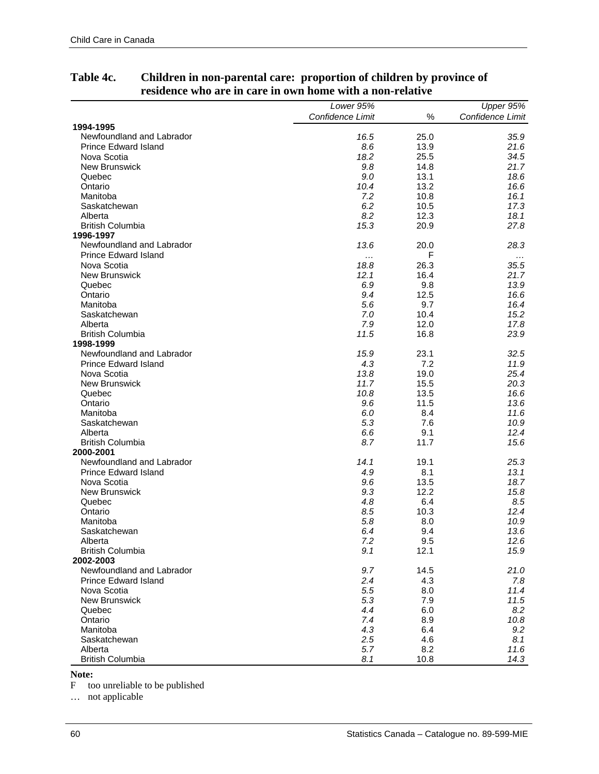|                             | Lower 95%        |      | Upper 95%        |
|-----------------------------|------------------|------|------------------|
|                             | Confidence Limit | $\%$ | Confidence Limit |
| 1994-1995                   |                  |      |                  |
| Newfoundland and Labrador   | 16.5             | 25.0 | 35.9             |
| <b>Prince Edward Island</b> | 8.6              | 13.9 | 21.6             |
| Nova Scotia                 | 18.2             | 25.5 | 34.5             |
| <b>New Brunswick</b>        | 9.8              | 14.8 | 21.7             |
| Quebec                      | 9.0              | 13.1 | 18.6             |
| Ontario                     | 10.4             | 13.2 | 16.6             |
| Manitoba                    | 7.2              | 10.8 | 16.1             |
| Saskatchewan                | 6.2              | 10.5 | 17.3             |
| Alberta                     | 8.2              | 12.3 | 18.1             |
| <b>British Columbia</b>     | 15.3             | 20.9 | 27.8             |
| 1996-1997                   |                  |      |                  |
| Newfoundland and Labrador   | 13.6             | 20.0 | 28.3             |
| <b>Prince Edward Island</b> | .                | F    | $\cdots$         |
| Nova Scotia                 | 18.8             | 26.3 | 35.5             |
| New Brunswick               | 12.1             | 16.4 | 21.7             |
| Quebec                      | 6.9              | 9.8  | 13.9             |
| Ontario                     | 9.4              | 12.5 | 16.6             |
| Manitoba                    | 5.6              | 9.7  | 16.4             |
| Saskatchewan                | 7.0              | 10.4 | 15.2             |
| Alberta                     | 7.9              | 12.0 | 17.8             |
| <b>British Columbia</b>     | 11.5             | 16.8 | 23.9             |
| 1998-1999                   |                  |      |                  |
| Newfoundland and Labrador   | 15.9             | 23.1 | 32.5             |
| <b>Prince Edward Island</b> | 4.3              | 7.2  | 11.9             |
| Nova Scotia                 | 13.8             | 19.0 | 25.4             |
| <b>New Brunswick</b>        | 11.7             | 15.5 | 20.3             |
| Quebec                      | 10.8             | 13.5 | 16.6             |
| Ontario                     | 9.6              | 11.5 | 13.6             |
| Manitoba                    | 6.0              | 8.4  | 11.6             |
| Saskatchewan                | 5.3              | 7.6  | 10.9             |
| Alberta                     | 6.6              | 9.1  | 12.4             |
| <b>British Columbia</b>     | 8.7              | 11.7 | 15.6             |
| 2000-2001                   |                  |      |                  |
| Newfoundland and Labrador   | 14.1             | 19.1 | 25.3             |
| <b>Prince Edward Island</b> | 4.9              | 8.1  | 13.1             |
| Nova Scotia                 | 9.6              | 13.5 | 18.7             |
| <b>New Brunswick</b>        | 9.3              | 12.2 | 15.8             |
| Quebec                      | 4.8              | 6.4  | 8.5              |
| Ontario                     | 8.5              | 10.3 | 12.4             |
| Manitoba                    | 5.8              | 8.0  | 10.9             |
| Saskatchewan                | 6.4              | 9.4  | 13.6             |
| Alberta                     | 7.2              | 9.5  | 12.6             |
| <b>British Columbia</b>     | 9.1              | 12.1 | 15.9             |
| 2002-2003                   |                  |      |                  |
| Newfoundland and Labrador   | 9.7              | 14.5 | 21.0             |
| <b>Prince Edward Island</b> | 2.4              | 4.3  | 7.8              |
| Nova Scotia                 | 5.5              | 8.0  | 11.4             |
| <b>New Brunswick</b>        | 5.3              | 7.9  | 11.5             |
| Quebec                      | 4.4              | 6.0  | 8.2              |
| Ontario                     | 7.4              | 8.9  | 10.8             |
| Manitoba                    | 4.3              | 6.4  | 9.2              |
| Saskatchewan                | 2.5              | 4.6  | 8.1              |
| Alberta                     | 5.7              | 8.2  | 11.6             |
| <b>British Columbia</b>     | 8.1              | 10.8 | 14.3             |

## **Table 4c. Children in non-parental care: proportion of children by province of residence who are in care in own home with a non-relative**

**Note:** 

F too unreliable to be published

… not applicable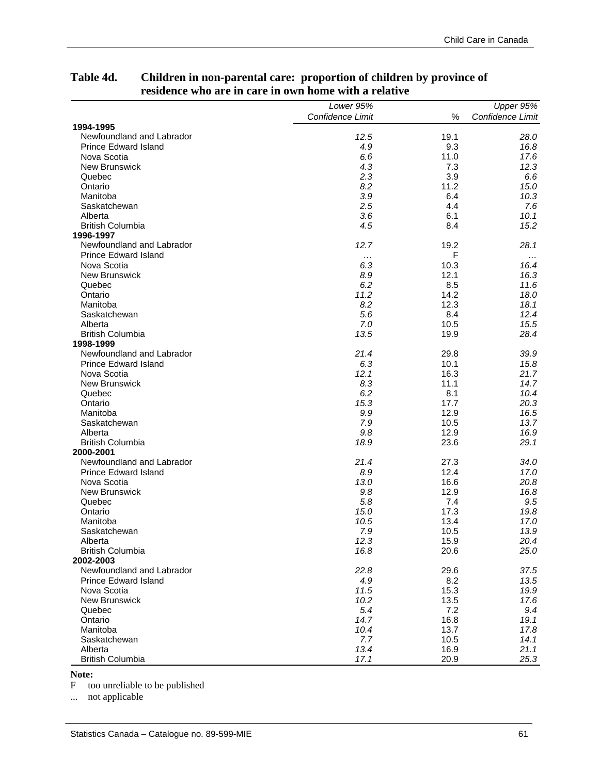| Confidence Limit<br>$\frac{0}{0}$<br>Confidence Limit<br>1994-1995<br>Newfoundland and Labrador<br>19.1<br>12.5<br>28.0<br><b>Prince Edward Island</b><br>9.3<br>4.9<br>16.8<br>6.6<br>11.0<br>Nova Scotia<br>17.6<br><b>New Brunswick</b><br>4.3<br>7.3<br>12.3<br>Quebec<br>2.3<br>3.9<br>6.6<br>8.2<br>11.2<br>15.0<br>Ontario<br>3.9<br>6.4<br>10.3<br>Manitoba<br>2.5<br>4.4<br>Saskatchewan<br>7.6<br>3.6<br>Alberta<br>6.1<br>10.1<br><b>British Columbia</b><br>4.5<br>8.4<br>15.2<br>1996-1997<br>Newfoundland and Labrador<br>12.7<br>28.1<br>19.2<br><b>Prince Edward Island</b><br>F<br>$\cdots$<br>$\cdots$<br>6.3<br>10.3<br>Nova Scotia<br>16.4<br>12.1<br><b>New Brunswick</b><br>8.9<br>16.3<br>6.2<br>8.5<br>Quebec<br>11.6<br>Ontario<br>11.2<br>14.2<br>18.0<br>8.2<br>12.3<br>18.1<br>Manitoba<br>5.6<br>8.4<br>Saskatchewan<br>12.4<br>7.0<br>10.5<br>15.5<br>Alberta<br><b>British Columbia</b><br>13.5<br>19.9<br>28.4<br>1998-1999<br>Newfoundland and Labrador<br>21.4<br>29.8<br>39.9<br><b>Prince Edward Island</b><br>6.3<br>10.1<br>15.8<br>Nova Scotia<br>12.1<br>16.3<br>21.7<br>8.3<br>11.1<br><b>New Brunswick</b><br>14.7<br>6.2<br>8.1<br>Quebec<br>10.4<br>15.3<br>17.7<br>Ontario<br>20.3<br>9.9<br>12.9<br>Manitoba<br>16.5<br>Saskatchewan<br>7.9<br>10.5<br>13.7<br>9.8<br>12.9<br>Alberta<br>16.9<br><b>British Columbia</b><br>18.9<br>23.6<br>29.1<br>2000-2001<br>Newfoundland and Labrador<br>21.4<br>27.3<br>34.0<br><b>Prince Edward Island</b><br>12.4<br>8.9<br>17.0<br>16.6<br>Nova Scotia<br>13.0<br>20.8<br>9.8<br>12.9<br><b>New Brunswick</b><br>16.8<br>7.4<br>Quebec<br>5.8<br>9.5<br>17.3<br>Ontario<br>15.0<br>19.8<br>Manitoba<br>10.5<br>13.4<br>17.0<br>13.9<br>Saskatchewan<br>7.9<br>10.5<br>Alberta<br>12.3<br>15.9<br>20.4<br><b>British Columbia</b><br>16.8<br>20.6<br>25.0<br>2002-2003<br>Newfoundland and Labrador<br>22.8<br>29.6<br>37.5<br>8.2<br><b>Prince Edward Island</b><br>4.9<br>13.5<br>15.3<br>Nova Scotia<br>11.5<br>19.9<br><b>New Brunswick</b><br>10.2<br>13.5<br>17.6<br>5.4<br>7.2<br>Quebec<br>9.4<br>14.7<br>16.8<br>Ontario<br>19.1<br>13.7<br>Manitoba<br>10.4<br>17.8 | Lower $95\%$ | Upper 95% |
|---------------------------------------------------------------------------------------------------------------------------------------------------------------------------------------------------------------------------------------------------------------------------------------------------------------------------------------------------------------------------------------------------------------------------------------------------------------------------------------------------------------------------------------------------------------------------------------------------------------------------------------------------------------------------------------------------------------------------------------------------------------------------------------------------------------------------------------------------------------------------------------------------------------------------------------------------------------------------------------------------------------------------------------------------------------------------------------------------------------------------------------------------------------------------------------------------------------------------------------------------------------------------------------------------------------------------------------------------------------------------------------------------------------------------------------------------------------------------------------------------------------------------------------------------------------------------------------------------------------------------------------------------------------------------------------------------------------------------------------------------------------------------------------------------------------------------------------------------------------------------------------------------------------------------------------------------------------------------------------------------------------------------------------------------------------------------------------------------------------------------------------------------------------------|--------------|-----------|
|                                                                                                                                                                                                                                                                                                                                                                                                                                                                                                                                                                                                                                                                                                                                                                                                                                                                                                                                                                                                                                                                                                                                                                                                                                                                                                                                                                                                                                                                                                                                                                                                                                                                                                                                                                                                                                                                                                                                                                                                                                                                                                                                                                     |              |           |
|                                                                                                                                                                                                                                                                                                                                                                                                                                                                                                                                                                                                                                                                                                                                                                                                                                                                                                                                                                                                                                                                                                                                                                                                                                                                                                                                                                                                                                                                                                                                                                                                                                                                                                                                                                                                                                                                                                                                                                                                                                                                                                                                                                     |              |           |
|                                                                                                                                                                                                                                                                                                                                                                                                                                                                                                                                                                                                                                                                                                                                                                                                                                                                                                                                                                                                                                                                                                                                                                                                                                                                                                                                                                                                                                                                                                                                                                                                                                                                                                                                                                                                                                                                                                                                                                                                                                                                                                                                                                     |              |           |
|                                                                                                                                                                                                                                                                                                                                                                                                                                                                                                                                                                                                                                                                                                                                                                                                                                                                                                                                                                                                                                                                                                                                                                                                                                                                                                                                                                                                                                                                                                                                                                                                                                                                                                                                                                                                                                                                                                                                                                                                                                                                                                                                                                     |              |           |
|                                                                                                                                                                                                                                                                                                                                                                                                                                                                                                                                                                                                                                                                                                                                                                                                                                                                                                                                                                                                                                                                                                                                                                                                                                                                                                                                                                                                                                                                                                                                                                                                                                                                                                                                                                                                                                                                                                                                                                                                                                                                                                                                                                     |              |           |
|                                                                                                                                                                                                                                                                                                                                                                                                                                                                                                                                                                                                                                                                                                                                                                                                                                                                                                                                                                                                                                                                                                                                                                                                                                                                                                                                                                                                                                                                                                                                                                                                                                                                                                                                                                                                                                                                                                                                                                                                                                                                                                                                                                     |              |           |
|                                                                                                                                                                                                                                                                                                                                                                                                                                                                                                                                                                                                                                                                                                                                                                                                                                                                                                                                                                                                                                                                                                                                                                                                                                                                                                                                                                                                                                                                                                                                                                                                                                                                                                                                                                                                                                                                                                                                                                                                                                                                                                                                                                     |              |           |
|                                                                                                                                                                                                                                                                                                                                                                                                                                                                                                                                                                                                                                                                                                                                                                                                                                                                                                                                                                                                                                                                                                                                                                                                                                                                                                                                                                                                                                                                                                                                                                                                                                                                                                                                                                                                                                                                                                                                                                                                                                                                                                                                                                     |              |           |
|                                                                                                                                                                                                                                                                                                                                                                                                                                                                                                                                                                                                                                                                                                                                                                                                                                                                                                                                                                                                                                                                                                                                                                                                                                                                                                                                                                                                                                                                                                                                                                                                                                                                                                                                                                                                                                                                                                                                                                                                                                                                                                                                                                     |              |           |
|                                                                                                                                                                                                                                                                                                                                                                                                                                                                                                                                                                                                                                                                                                                                                                                                                                                                                                                                                                                                                                                                                                                                                                                                                                                                                                                                                                                                                                                                                                                                                                                                                                                                                                                                                                                                                                                                                                                                                                                                                                                                                                                                                                     |              |           |
|                                                                                                                                                                                                                                                                                                                                                                                                                                                                                                                                                                                                                                                                                                                                                                                                                                                                                                                                                                                                                                                                                                                                                                                                                                                                                                                                                                                                                                                                                                                                                                                                                                                                                                                                                                                                                                                                                                                                                                                                                                                                                                                                                                     |              |           |
|                                                                                                                                                                                                                                                                                                                                                                                                                                                                                                                                                                                                                                                                                                                                                                                                                                                                                                                                                                                                                                                                                                                                                                                                                                                                                                                                                                                                                                                                                                                                                                                                                                                                                                                                                                                                                                                                                                                                                                                                                                                                                                                                                                     |              |           |
|                                                                                                                                                                                                                                                                                                                                                                                                                                                                                                                                                                                                                                                                                                                                                                                                                                                                                                                                                                                                                                                                                                                                                                                                                                                                                                                                                                                                                                                                                                                                                                                                                                                                                                                                                                                                                                                                                                                                                                                                                                                                                                                                                                     |              |           |
|                                                                                                                                                                                                                                                                                                                                                                                                                                                                                                                                                                                                                                                                                                                                                                                                                                                                                                                                                                                                                                                                                                                                                                                                                                                                                                                                                                                                                                                                                                                                                                                                                                                                                                                                                                                                                                                                                                                                                                                                                                                                                                                                                                     |              |           |
|                                                                                                                                                                                                                                                                                                                                                                                                                                                                                                                                                                                                                                                                                                                                                                                                                                                                                                                                                                                                                                                                                                                                                                                                                                                                                                                                                                                                                                                                                                                                                                                                                                                                                                                                                                                                                                                                                                                                                                                                                                                                                                                                                                     |              |           |
|                                                                                                                                                                                                                                                                                                                                                                                                                                                                                                                                                                                                                                                                                                                                                                                                                                                                                                                                                                                                                                                                                                                                                                                                                                                                                                                                                                                                                                                                                                                                                                                                                                                                                                                                                                                                                                                                                                                                                                                                                                                                                                                                                                     |              |           |
|                                                                                                                                                                                                                                                                                                                                                                                                                                                                                                                                                                                                                                                                                                                                                                                                                                                                                                                                                                                                                                                                                                                                                                                                                                                                                                                                                                                                                                                                                                                                                                                                                                                                                                                                                                                                                                                                                                                                                                                                                                                                                                                                                                     |              |           |
|                                                                                                                                                                                                                                                                                                                                                                                                                                                                                                                                                                                                                                                                                                                                                                                                                                                                                                                                                                                                                                                                                                                                                                                                                                                                                                                                                                                                                                                                                                                                                                                                                                                                                                                                                                                                                                                                                                                                                                                                                                                                                                                                                                     |              |           |
|                                                                                                                                                                                                                                                                                                                                                                                                                                                                                                                                                                                                                                                                                                                                                                                                                                                                                                                                                                                                                                                                                                                                                                                                                                                                                                                                                                                                                                                                                                                                                                                                                                                                                                                                                                                                                                                                                                                                                                                                                                                                                                                                                                     |              |           |
|                                                                                                                                                                                                                                                                                                                                                                                                                                                                                                                                                                                                                                                                                                                                                                                                                                                                                                                                                                                                                                                                                                                                                                                                                                                                                                                                                                                                                                                                                                                                                                                                                                                                                                                                                                                                                                                                                                                                                                                                                                                                                                                                                                     |              |           |
|                                                                                                                                                                                                                                                                                                                                                                                                                                                                                                                                                                                                                                                                                                                                                                                                                                                                                                                                                                                                                                                                                                                                                                                                                                                                                                                                                                                                                                                                                                                                                                                                                                                                                                                                                                                                                                                                                                                                                                                                                                                                                                                                                                     |              |           |
|                                                                                                                                                                                                                                                                                                                                                                                                                                                                                                                                                                                                                                                                                                                                                                                                                                                                                                                                                                                                                                                                                                                                                                                                                                                                                                                                                                                                                                                                                                                                                                                                                                                                                                                                                                                                                                                                                                                                                                                                                                                                                                                                                                     |              |           |
|                                                                                                                                                                                                                                                                                                                                                                                                                                                                                                                                                                                                                                                                                                                                                                                                                                                                                                                                                                                                                                                                                                                                                                                                                                                                                                                                                                                                                                                                                                                                                                                                                                                                                                                                                                                                                                                                                                                                                                                                                                                                                                                                                                     |              |           |
|                                                                                                                                                                                                                                                                                                                                                                                                                                                                                                                                                                                                                                                                                                                                                                                                                                                                                                                                                                                                                                                                                                                                                                                                                                                                                                                                                                                                                                                                                                                                                                                                                                                                                                                                                                                                                                                                                                                                                                                                                                                                                                                                                                     |              |           |
|                                                                                                                                                                                                                                                                                                                                                                                                                                                                                                                                                                                                                                                                                                                                                                                                                                                                                                                                                                                                                                                                                                                                                                                                                                                                                                                                                                                                                                                                                                                                                                                                                                                                                                                                                                                                                                                                                                                                                                                                                                                                                                                                                                     |              |           |
|                                                                                                                                                                                                                                                                                                                                                                                                                                                                                                                                                                                                                                                                                                                                                                                                                                                                                                                                                                                                                                                                                                                                                                                                                                                                                                                                                                                                                                                                                                                                                                                                                                                                                                                                                                                                                                                                                                                                                                                                                                                                                                                                                                     |              |           |
|                                                                                                                                                                                                                                                                                                                                                                                                                                                                                                                                                                                                                                                                                                                                                                                                                                                                                                                                                                                                                                                                                                                                                                                                                                                                                                                                                                                                                                                                                                                                                                                                                                                                                                                                                                                                                                                                                                                                                                                                                                                                                                                                                                     |              |           |
|                                                                                                                                                                                                                                                                                                                                                                                                                                                                                                                                                                                                                                                                                                                                                                                                                                                                                                                                                                                                                                                                                                                                                                                                                                                                                                                                                                                                                                                                                                                                                                                                                                                                                                                                                                                                                                                                                                                                                                                                                                                                                                                                                                     |              |           |
|                                                                                                                                                                                                                                                                                                                                                                                                                                                                                                                                                                                                                                                                                                                                                                                                                                                                                                                                                                                                                                                                                                                                                                                                                                                                                                                                                                                                                                                                                                                                                                                                                                                                                                                                                                                                                                                                                                                                                                                                                                                                                                                                                                     |              |           |
|                                                                                                                                                                                                                                                                                                                                                                                                                                                                                                                                                                                                                                                                                                                                                                                                                                                                                                                                                                                                                                                                                                                                                                                                                                                                                                                                                                                                                                                                                                                                                                                                                                                                                                                                                                                                                                                                                                                                                                                                                                                                                                                                                                     |              |           |
|                                                                                                                                                                                                                                                                                                                                                                                                                                                                                                                                                                                                                                                                                                                                                                                                                                                                                                                                                                                                                                                                                                                                                                                                                                                                                                                                                                                                                                                                                                                                                                                                                                                                                                                                                                                                                                                                                                                                                                                                                                                                                                                                                                     |              |           |
|                                                                                                                                                                                                                                                                                                                                                                                                                                                                                                                                                                                                                                                                                                                                                                                                                                                                                                                                                                                                                                                                                                                                                                                                                                                                                                                                                                                                                                                                                                                                                                                                                                                                                                                                                                                                                                                                                                                                                                                                                                                                                                                                                                     |              |           |
|                                                                                                                                                                                                                                                                                                                                                                                                                                                                                                                                                                                                                                                                                                                                                                                                                                                                                                                                                                                                                                                                                                                                                                                                                                                                                                                                                                                                                                                                                                                                                                                                                                                                                                                                                                                                                                                                                                                                                                                                                                                                                                                                                                     |              |           |
|                                                                                                                                                                                                                                                                                                                                                                                                                                                                                                                                                                                                                                                                                                                                                                                                                                                                                                                                                                                                                                                                                                                                                                                                                                                                                                                                                                                                                                                                                                                                                                                                                                                                                                                                                                                                                                                                                                                                                                                                                                                                                                                                                                     |              |           |
|                                                                                                                                                                                                                                                                                                                                                                                                                                                                                                                                                                                                                                                                                                                                                                                                                                                                                                                                                                                                                                                                                                                                                                                                                                                                                                                                                                                                                                                                                                                                                                                                                                                                                                                                                                                                                                                                                                                                                                                                                                                                                                                                                                     |              |           |
|                                                                                                                                                                                                                                                                                                                                                                                                                                                                                                                                                                                                                                                                                                                                                                                                                                                                                                                                                                                                                                                                                                                                                                                                                                                                                                                                                                                                                                                                                                                                                                                                                                                                                                                                                                                                                                                                                                                                                                                                                                                                                                                                                                     |              |           |
|                                                                                                                                                                                                                                                                                                                                                                                                                                                                                                                                                                                                                                                                                                                                                                                                                                                                                                                                                                                                                                                                                                                                                                                                                                                                                                                                                                                                                                                                                                                                                                                                                                                                                                                                                                                                                                                                                                                                                                                                                                                                                                                                                                     |              |           |
|                                                                                                                                                                                                                                                                                                                                                                                                                                                                                                                                                                                                                                                                                                                                                                                                                                                                                                                                                                                                                                                                                                                                                                                                                                                                                                                                                                                                                                                                                                                                                                                                                                                                                                                                                                                                                                                                                                                                                                                                                                                                                                                                                                     |              |           |
|                                                                                                                                                                                                                                                                                                                                                                                                                                                                                                                                                                                                                                                                                                                                                                                                                                                                                                                                                                                                                                                                                                                                                                                                                                                                                                                                                                                                                                                                                                                                                                                                                                                                                                                                                                                                                                                                                                                                                                                                                                                                                                                                                                     |              |           |
|                                                                                                                                                                                                                                                                                                                                                                                                                                                                                                                                                                                                                                                                                                                                                                                                                                                                                                                                                                                                                                                                                                                                                                                                                                                                                                                                                                                                                                                                                                                                                                                                                                                                                                                                                                                                                                                                                                                                                                                                                                                                                                                                                                     |              |           |
|                                                                                                                                                                                                                                                                                                                                                                                                                                                                                                                                                                                                                                                                                                                                                                                                                                                                                                                                                                                                                                                                                                                                                                                                                                                                                                                                                                                                                                                                                                                                                                                                                                                                                                                                                                                                                                                                                                                                                                                                                                                                                                                                                                     |              |           |
|                                                                                                                                                                                                                                                                                                                                                                                                                                                                                                                                                                                                                                                                                                                                                                                                                                                                                                                                                                                                                                                                                                                                                                                                                                                                                                                                                                                                                                                                                                                                                                                                                                                                                                                                                                                                                                                                                                                                                                                                                                                                                                                                                                     |              |           |
|                                                                                                                                                                                                                                                                                                                                                                                                                                                                                                                                                                                                                                                                                                                                                                                                                                                                                                                                                                                                                                                                                                                                                                                                                                                                                                                                                                                                                                                                                                                                                                                                                                                                                                                                                                                                                                                                                                                                                                                                                                                                                                                                                                     |              |           |
|                                                                                                                                                                                                                                                                                                                                                                                                                                                                                                                                                                                                                                                                                                                                                                                                                                                                                                                                                                                                                                                                                                                                                                                                                                                                                                                                                                                                                                                                                                                                                                                                                                                                                                                                                                                                                                                                                                                                                                                                                                                                                                                                                                     |              |           |
|                                                                                                                                                                                                                                                                                                                                                                                                                                                                                                                                                                                                                                                                                                                                                                                                                                                                                                                                                                                                                                                                                                                                                                                                                                                                                                                                                                                                                                                                                                                                                                                                                                                                                                                                                                                                                                                                                                                                                                                                                                                                                                                                                                     |              |           |
|                                                                                                                                                                                                                                                                                                                                                                                                                                                                                                                                                                                                                                                                                                                                                                                                                                                                                                                                                                                                                                                                                                                                                                                                                                                                                                                                                                                                                                                                                                                                                                                                                                                                                                                                                                                                                                                                                                                                                                                                                                                                                                                                                                     |              |           |
|                                                                                                                                                                                                                                                                                                                                                                                                                                                                                                                                                                                                                                                                                                                                                                                                                                                                                                                                                                                                                                                                                                                                                                                                                                                                                                                                                                                                                                                                                                                                                                                                                                                                                                                                                                                                                                                                                                                                                                                                                                                                                                                                                                     |              |           |
|                                                                                                                                                                                                                                                                                                                                                                                                                                                                                                                                                                                                                                                                                                                                                                                                                                                                                                                                                                                                                                                                                                                                                                                                                                                                                                                                                                                                                                                                                                                                                                                                                                                                                                                                                                                                                                                                                                                                                                                                                                                                                                                                                                     |              |           |
|                                                                                                                                                                                                                                                                                                                                                                                                                                                                                                                                                                                                                                                                                                                                                                                                                                                                                                                                                                                                                                                                                                                                                                                                                                                                                                                                                                                                                                                                                                                                                                                                                                                                                                                                                                                                                                                                                                                                                                                                                                                                                                                                                                     |              |           |
|                                                                                                                                                                                                                                                                                                                                                                                                                                                                                                                                                                                                                                                                                                                                                                                                                                                                                                                                                                                                                                                                                                                                                                                                                                                                                                                                                                                                                                                                                                                                                                                                                                                                                                                                                                                                                                                                                                                                                                                                                                                                                                                                                                     |              |           |
|                                                                                                                                                                                                                                                                                                                                                                                                                                                                                                                                                                                                                                                                                                                                                                                                                                                                                                                                                                                                                                                                                                                                                                                                                                                                                                                                                                                                                                                                                                                                                                                                                                                                                                                                                                                                                                                                                                                                                                                                                                                                                                                                                                     |              |           |
|                                                                                                                                                                                                                                                                                                                                                                                                                                                                                                                                                                                                                                                                                                                                                                                                                                                                                                                                                                                                                                                                                                                                                                                                                                                                                                                                                                                                                                                                                                                                                                                                                                                                                                                                                                                                                                                                                                                                                                                                                                                                                                                                                                     |              |           |
|                                                                                                                                                                                                                                                                                                                                                                                                                                                                                                                                                                                                                                                                                                                                                                                                                                                                                                                                                                                                                                                                                                                                                                                                                                                                                                                                                                                                                                                                                                                                                                                                                                                                                                                                                                                                                                                                                                                                                                                                                                                                                                                                                                     |              |           |
|                                                                                                                                                                                                                                                                                                                                                                                                                                                                                                                                                                                                                                                                                                                                                                                                                                                                                                                                                                                                                                                                                                                                                                                                                                                                                                                                                                                                                                                                                                                                                                                                                                                                                                                                                                                                                                                                                                                                                                                                                                                                                                                                                                     |              |           |
| Saskatchewan<br>7.7<br>10.5<br>14.1                                                                                                                                                                                                                                                                                                                                                                                                                                                                                                                                                                                                                                                                                                                                                                                                                                                                                                                                                                                                                                                                                                                                                                                                                                                                                                                                                                                                                                                                                                                                                                                                                                                                                                                                                                                                                                                                                                                                                                                                                                                                                                                                 |              |           |
| 13.4<br>16.9<br>Alberta<br>21.1                                                                                                                                                                                                                                                                                                                                                                                                                                                                                                                                                                                                                                                                                                                                                                                                                                                                                                                                                                                                                                                                                                                                                                                                                                                                                                                                                                                                                                                                                                                                                                                                                                                                                                                                                                                                                                                                                                                                                                                                                                                                                                                                     |              |           |
| <b>British Columbia</b><br>20.9<br>25.3<br>17.1                                                                                                                                                                                                                                                                                                                                                                                                                                                                                                                                                                                                                                                                                                                                                                                                                                                                                                                                                                                                                                                                                                                                                                                                                                                                                                                                                                                                                                                                                                                                                                                                                                                                                                                                                                                                                                                                                                                                                                                                                                                                                                                     |              |           |

## **Table 4d. Children in non-parental care: proportion of children by province of residence who are in care in own home with a relative**

**Note:** 

F too unreliable to be published

... not applicable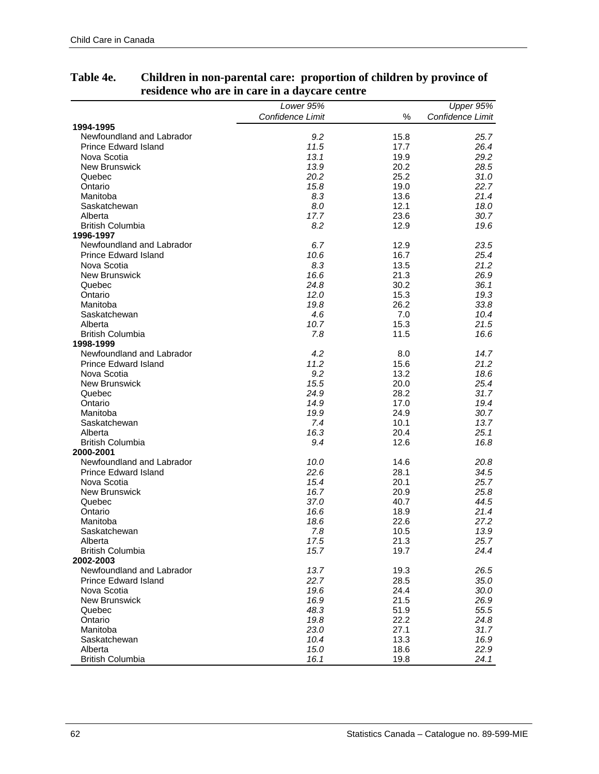|                             | Lower 95%        |      | Upper 95%        |
|-----------------------------|------------------|------|------------------|
|                             | Confidence Limit | $\%$ | Confidence Limit |
| 1994-1995                   |                  |      |                  |
| Newfoundland and Labrador   | 9.2              | 15.8 | 25.7             |
| <b>Prince Edward Island</b> | 11.5             | 17.7 | 26.4             |
| Nova Scotia                 | 13.1             | 19.9 | 29.2             |
| <b>New Brunswick</b>        | 13.9             | 20.2 | 28.5             |
| Quebec                      | 20.2             | 25.2 | 31.0             |
| Ontario                     | 15.8             | 19.0 | 22.7             |
| Manitoba                    | 8.3              | 13.6 | 21.4             |
| Saskatchewan                | 8.0              | 12.1 | 18.0             |
| Alberta                     | 17.7             | 23.6 | 30.7             |
| <b>British Columbia</b>     | 8.2              | 12.9 | 19.6             |
| 1996-1997                   |                  |      |                  |
| Newfoundland and Labrador   | 6.7              | 12.9 | 23.5             |
| <b>Prince Edward Island</b> | 10.6             | 16.7 | 25.4             |
| Nova Scotia                 | 8.3              | 13.5 | 21.2             |
| <b>New Brunswick</b>        | 16.6             | 21.3 | 26.9             |
| Quebec                      | 24.8             | 30.2 | 36.1             |
| Ontario                     | 12.0             | 15.3 | 19.3             |
| Manitoba                    | 19.8             | 26.2 | 33.8             |
| Saskatchewan                | 4.6              | 7.0  | 10.4             |
| Alberta                     | 10.7             | 15.3 | 21.5             |
| <b>British Columbia</b>     | 7.8              | 11.5 | 16.6             |
| 1998-1999                   |                  |      |                  |
| Newfoundland and Labrador   | 4.2              | 8.0  | 14.7             |
| <b>Prince Edward Island</b> | 11.2             | 15.6 | 21.2             |
| Nova Scotia                 | 9.2              | 13.2 | 18.6             |
| New Brunswick               | 15.5             | 20.0 | 25.4             |
| Quebec                      | 24.9             | 28.2 | 31.7             |
| Ontario                     | 14.9             | 17.0 | 19.4             |
| Manitoba                    | 19.9             | 24.9 | 30.7             |
| Saskatchewan                | 7.4              | 10.1 | 13.7             |
| Alberta                     | 16.3             | 20.4 | 25.1             |
| <b>British Columbia</b>     | 9.4              | 12.6 | 16.8             |
| 2000-2001                   |                  |      |                  |
| Newfoundland and Labrador   | 10.0             | 14.6 | 20.8             |
| Prince Edward Island        | 22.6             | 28.1 | 34.5             |
| Nova Scotia                 | 15.4             | 20.1 | 25.7             |
| New Brunswick               | 16.7             | 20.9 | 25.8             |
| Quebec                      | 37.0             | 40.7 | 44.5             |
| Ontario                     | 16.6             | 18.9 | 21.4             |
| Manitoba                    | 18.6             | 22.6 | 27.2             |
| Saskatchewan                | 7.8              | 10.5 | 13.9             |
| Alberta                     | 17.5             | 21.3 | 25.7             |
| <b>British Columbia</b>     | 15.7             | 19.7 | 24.4             |
| 2002-2003                   |                  |      |                  |
| Newfoundland and Labrador   | 13.7             | 19.3 | 26.5             |
| <b>Prince Edward Island</b> | 22.7             | 28.5 | 35.0             |
| Nova Scotia                 | 19.6             | 24.4 | 30.0             |
| <b>New Brunswick</b>        | 16.9             | 21.5 | 26.9             |
| Quebec                      | 48.3             | 51.9 | 55.5             |
| Ontario                     | 19.8             | 22.2 | 24.8             |
| Manitoba                    | 23.0             | 27.1 | 31.7             |
| Saskatchewan                | 10.4             | 13.3 | 16.9             |
| Alberta                     | 15.0             | 18.6 | 22.9             |
| <b>British Columbia</b>     | 16.1             | 19.8 | 24.1             |

## **Table 4e. Children in non-parental care: proportion of children by province of residence who are in care in a daycare centre**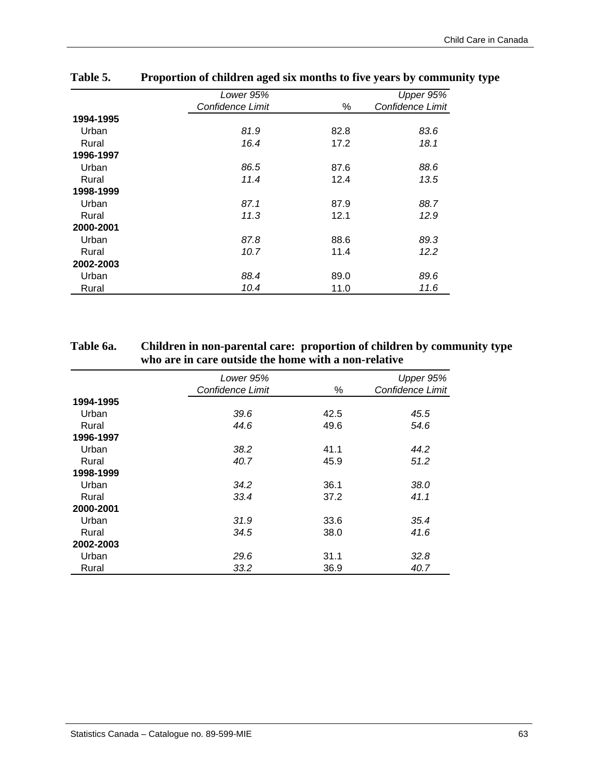|           | Lower 95%        |      | Upper $95\%$     |
|-----------|------------------|------|------------------|
|           | Confidence Limit | %    | Confidence Limit |
| 1994-1995 |                  |      |                  |
| Urban     | 81.9             | 82.8 | 83.6             |
| Rural     | 16.4             | 17.2 | 18.1             |
| 1996-1997 |                  |      |                  |
| Urban     | 86.5             | 87.6 | 88.6             |
| Rural     | 11.4             | 12.4 | 13.5             |
| 1998-1999 |                  |      |                  |
| Urban     | 87.1             | 87.9 | 88.7             |
| Rural     | 11.3             | 12.1 | 12.9             |
| 2000-2001 |                  |      |                  |
| Urban     | 87.8             | 88.6 | 89.3             |
| Rural     | 10.7             | 11.4 | 12.2             |
| 2002-2003 |                  |      |                  |
| Urban     | 88.4             | 89.0 | 89.6             |
| Rural     | 10.4             | 11.0 | 11.6             |

## **Table 5. Proportion of children aged six months to five years by community type**

## **Table 6a. Children in non-parental care: proportion of children by community type who are in care outside the home with a non-relative**

|           | Lower 95%        |      | Upper 95%        |
|-----------|------------------|------|------------------|
|           | Confidence Limit | %    | Confidence Limit |
| 1994-1995 |                  |      |                  |
| Urban     | 39.6             | 42.5 | 45.5             |
| Rural     | 44.6             | 49.6 | 54.6             |
| 1996-1997 |                  |      |                  |
| Urban     | 38.2             | 41.1 | 44.2             |
| Rural     | 40.7             | 45.9 | 51.2             |
| 1998-1999 |                  |      |                  |
| Urban     | 34.2             | 36.1 | 38.0             |
| Rural     | 33.4             | 37.2 | 41.1             |
| 2000-2001 |                  |      |                  |
| Urban     | 31.9             | 33.6 | 35.4             |
| Rural     | 34.5             | 38.0 | 41.6             |
| 2002-2003 |                  |      |                  |
| Urban     | 29.6             | 31.1 | 32.8             |
| Rural     | 33.2             | 36.9 | 40.7             |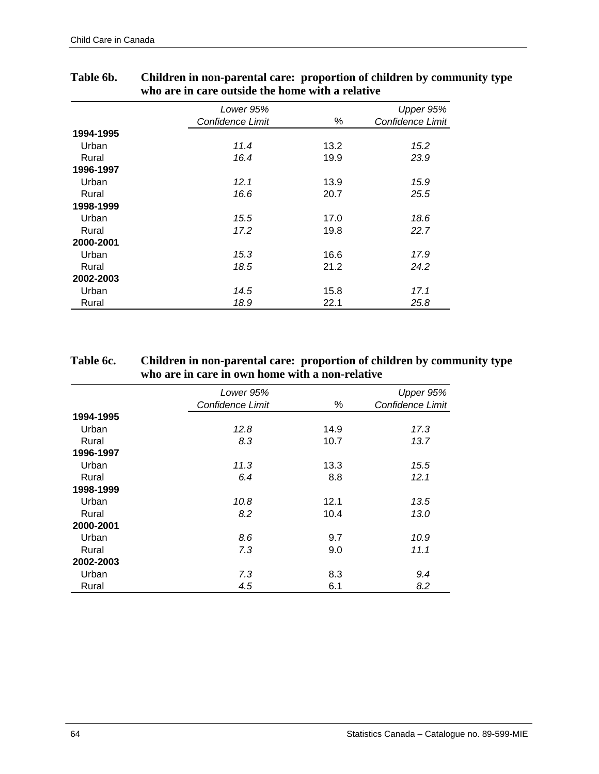|           | Lower 95%        |      | Upper 95%        |
|-----------|------------------|------|------------------|
|           | Confidence Limit | %    | Confidence Limit |
| 1994-1995 |                  |      |                  |
| Urban     | 11.4             | 13.2 | 15.2             |
| Rural     | 16.4             | 19.9 | 23.9             |
| 1996-1997 |                  |      |                  |
| Urban     | 12.1             | 13.9 | 15.9             |
| Rural     | 16.6             | 20.7 | 25.5             |
| 1998-1999 |                  |      |                  |
| Urban     | 15.5             | 17.0 | 18.6             |
| Rural     | 17.2             | 19.8 | 22.7             |
| 2000-2001 |                  |      |                  |
| Urban     | 15.3             | 16.6 | 17.9             |
| Rural     | 18.5             | 21.2 | 24.2             |
| 2002-2003 |                  |      |                  |
| Urban     | 14.5             | 15.8 | 17.1             |
| Rural     | 18.9             | 22.1 | 25.8             |

## **Table 6b. Children in non-parental care: proportion of children by community type who are in care outside the home with a relative**

## **Table 6c. Children in non-parental care: proportion of children by community type who are in care in own home with a non-relative**

|           | Lower 95%        |      | Upper 95%        |
|-----------|------------------|------|------------------|
|           | Confidence Limit | %    | Confidence Limit |
| 1994-1995 |                  |      |                  |
| Urban     | 12.8             | 14.9 | 17.3             |
| Rural     | 8.3              | 10.7 | 13.7             |
| 1996-1997 |                  |      |                  |
| Urban     | 11.3             | 13.3 | 15.5             |
| Rural     | 6.4              | 8.8  | 12.1             |
| 1998-1999 |                  |      |                  |
| Urban     | 10.8             | 12.1 | 13.5             |
| Rural     | 8.2              | 10.4 | 13.0             |
| 2000-2001 |                  |      |                  |
| Urban     | 8.6              | 9.7  | 10.9             |
| Rural     | 7.3              | 9.0  | 11.1             |
| 2002-2003 |                  |      |                  |
| Urban     | 7.3              | 8.3  | 9.4              |
| Rural     | 4.5              | 6.1  | 8.2              |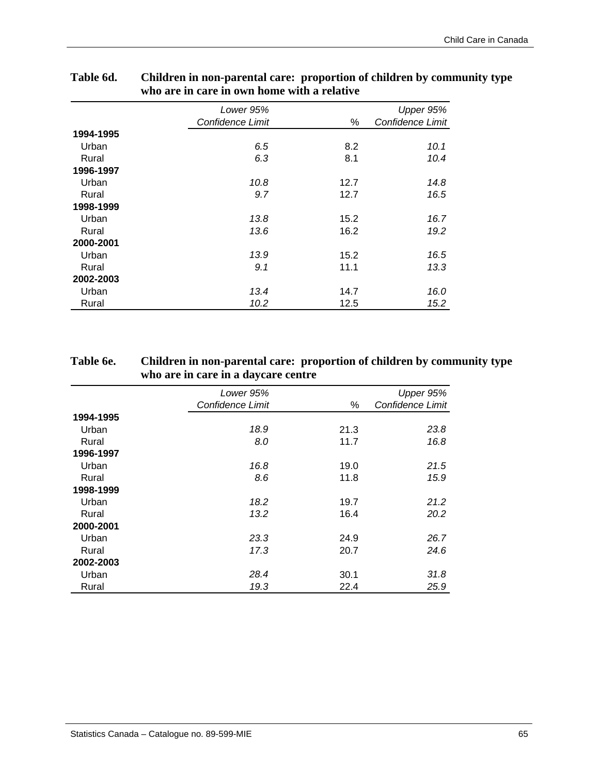|           | Lower 95%        |      | Upper 95%        |
|-----------|------------------|------|------------------|
|           | Confidence Limit | %    | Confidence Limit |
| 1994-1995 |                  |      |                  |
| Urban     | 6.5              | 8.2  | 10.1             |
| Rural     | 6.3              | 8.1  | 10.4             |
| 1996-1997 |                  |      |                  |
| Urban     | 10.8             | 12.7 | 14.8             |
| Rural     | 9.7              | 12.7 | 16.5             |
| 1998-1999 |                  |      |                  |
| Urban     | 13.8             | 15.2 | 16.7             |
| Rural     | 13.6             | 16.2 | 19.2             |
| 2000-2001 |                  |      |                  |
| Urban     | 13.9             | 15.2 | 16.5             |
| Rural     | 9.1              | 11.1 | 13.3             |
| 2002-2003 |                  |      |                  |
| Urban     | 13.4             | 14.7 | 16.0             |
| Rural     | 10.2             | 12.5 | 15.2             |

## **Table 6d. Children in non-parental care: proportion of children by community type who are in care in own home with a relative**

## **Table 6e. Children in non-parental care: proportion of children by community type who are in care in a daycare centre**

|           | Lower 95%        |      | Upper 95%        |
|-----------|------------------|------|------------------|
|           | Confidence Limit | %    | Confidence Limit |
| 1994-1995 |                  |      |                  |
| Urban     | 18.9             | 21.3 | 23.8             |
| Rural     | 8.0              | 11.7 | 16.8             |
| 1996-1997 |                  |      |                  |
| Urban     | 16.8             | 19.0 | 21.5             |
| Rural     | 8.6              | 11.8 | 15.9             |
| 1998-1999 |                  |      |                  |
| Urban     | 18.2             | 19.7 | 21.2             |
| Rural     | 13.2             | 16.4 | 20.2             |
| 2000-2001 |                  |      |                  |
| Urban     | 23.3             | 24.9 | 26.7             |
| Rural     | 17.3             | 20.7 | 24.6             |
| 2002-2003 |                  |      |                  |
| Urban     | 28.4             | 30.1 | 31.8             |
| Rural     | 19.3             | 22.4 | 25.9             |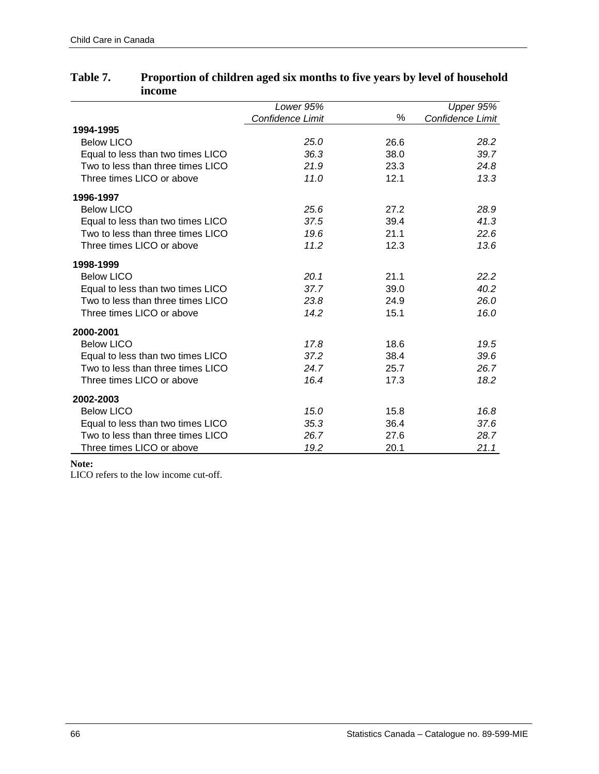|                                   | Lower 95%        |      | Upper 95%        |
|-----------------------------------|------------------|------|------------------|
|                                   | Confidence Limit | ℅    | Confidence Limit |
| 1994-1995                         |                  |      |                  |
| <b>Below LICO</b>                 | 25.0             | 26.6 | 28.2             |
| Equal to less than two times LICO | 36.3             | 38.0 | 39.7             |
| Two to less than three times LICO | 21.9             | 23.3 | 24.8             |
| Three times LICO or above         | 11.0             | 12.1 | 13.3             |
| 1996-1997                         |                  |      |                  |
| <b>Below LICO</b>                 | 25.6             | 27.2 | 28.9             |
| Equal to less than two times LICO | 37.5             | 39.4 | 41.3             |
| Two to less than three times LICO | 19.6             | 21.1 | 22.6             |
| Three times LICO or above         | 11.2             | 12.3 | 13.6             |
| 1998-1999                         |                  |      |                  |
| <b>Below LICO</b>                 | 20.1             | 21.1 | 22.2             |
| Equal to less than two times LICO | 37.7             | 39.0 | 40.2             |
| Two to less than three times LICO | 23.8             | 24.9 | 26.0             |
| Three times LICO or above         | 14.2             | 15.1 | 16.0             |
| 2000-2001                         |                  |      |                  |
| <b>Below LICO</b>                 | 17.8             | 18.6 | 19.5             |
| Equal to less than two times LICO | 37.2             | 38.4 | 39.6             |
| Two to less than three times LICO | 24.7             | 25.7 | 26.7             |
| Three times LICO or above         | 16.4             | 17.3 | 18.2             |
| 2002-2003                         |                  |      |                  |
| <b>Below LICO</b>                 | 15.0             | 15.8 | 16.8             |
| Equal to less than two times LICO | 35.3             | 36.4 | 37.6             |
| Two to less than three times LICO | 26.7             | 27.6 | 28.7             |
| Three times LICO or above         | 19.2             | 20.1 | 21.1             |

## **Table 7. Proportion of children aged six months to five years by level of household income**

#### **Note:**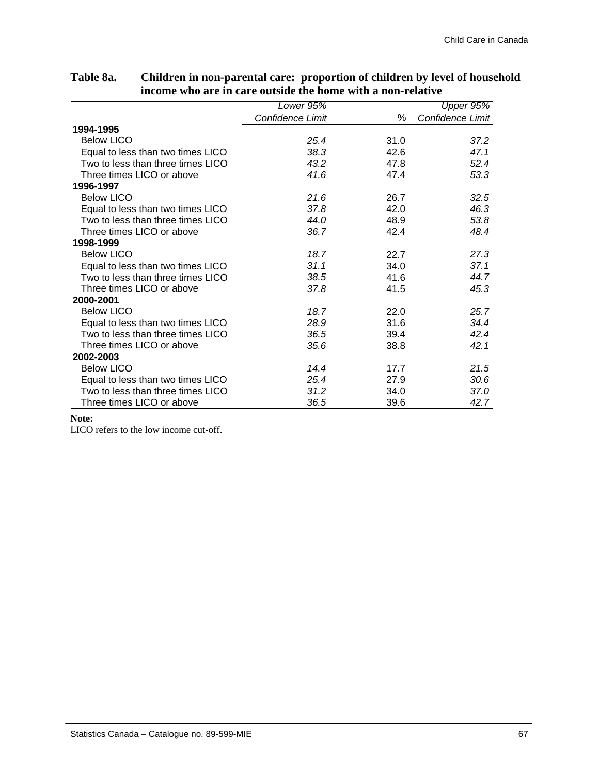|                                   | Lower 95%        |      | Upper 95%        |
|-----------------------------------|------------------|------|------------------|
|                                   | Confidence Limit | %    | Confidence Limit |
| 1994-1995                         |                  |      |                  |
| <b>Below LICO</b>                 | 25.4             | 31.0 | 37.2             |
| Equal to less than two times LICO | 38.3             | 42.6 | 47.1             |
| Two to less than three times LICO | 43.2             | 47.8 | 52.4             |
| Three times LICO or above         | 41.6             | 47.4 | 53.3             |
| 1996-1997                         |                  |      |                  |
| <b>Below LICO</b>                 | 21.6             | 26.7 | 32.5             |
| Equal to less than two times LICO | 37.8             | 42.0 | 46.3             |
| Two to less than three times LICO | 44.0             | 48.9 | 53.8             |
| Three times LICO or above         | 36.7             | 42.4 | 48.4             |
| 1998-1999                         |                  |      |                  |
| <b>Below LICO</b>                 | 18.7             | 22.7 | 27.3             |
| Equal to less than two times LICO | 31.1             | 34.0 | 37.1             |
| Two to less than three times LICO | 38.5             | 41.6 | 44.7             |
| Three times LICO or above         | 37.8             | 41.5 | 45.3             |
| 2000-2001                         |                  |      |                  |
| <b>Below LICO</b>                 | 18.7             | 22.0 | 25.7             |
| Equal to less than two times LICO | 28.9             | 31.6 | 34.4             |
| Two to less than three times LICO | 36.5             | 39.4 | 42.4             |
| Three times LICO or above         | 35.6             | 38.8 | 42.1             |
| 2002-2003                         |                  |      |                  |
| <b>Below LICO</b>                 | 14.4             | 17.7 | 21.5             |
| Equal to less than two times LICO | 25.4             | 27.9 | 30.6             |
| Two to less than three times LICO | 31.2             | 34.0 | 37.0             |
| Three times LICO or above         | 36.5             | 39.6 | 42.7             |

## **Table 8a. Children in non-parental care: proportion of children by level of household income who are in care outside the home with a non-relative**

#### **Note:**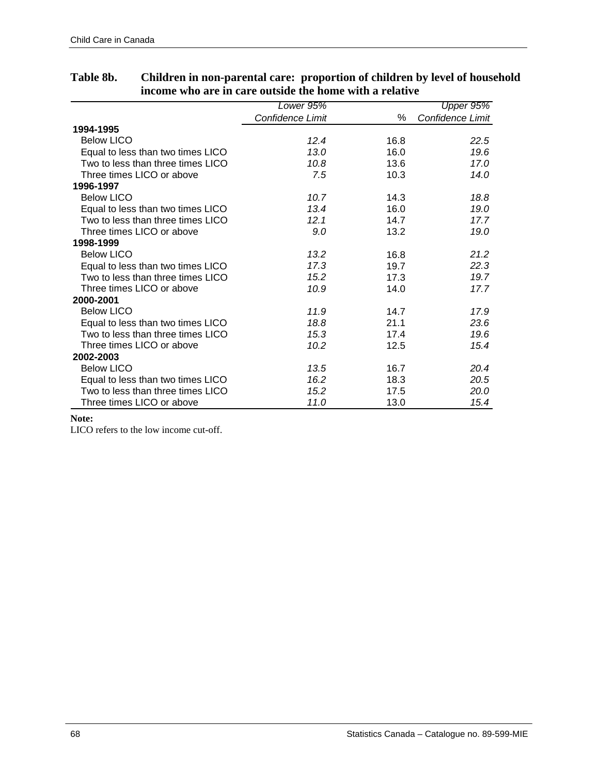|                                   | Lower 95%        |      | Upper 95%        |
|-----------------------------------|------------------|------|------------------|
|                                   | Confidence Limit | %    | Confidence Limit |
| 1994-1995                         |                  |      |                  |
| <b>Below LICO</b>                 | 12.4             | 16.8 | 22.5             |
| Equal to less than two times LICO | 13.0             | 16.0 | 19.6             |
| Two to less than three times LICO | 10.8             | 13.6 | 17.0             |
| Three times LICO or above         | 7.5              | 10.3 | 14.0             |
| 1996-1997                         |                  |      |                  |
| <b>Below LICO</b>                 | 10.7             | 14.3 | 18.8             |
| Equal to less than two times LICO | 13.4             | 16.0 | 19.0             |
| Two to less than three times LICO | 12.1             | 14.7 | 17.7             |
| Three times LICO or above         | 9.0              | 13.2 | 19.0             |
| 1998-1999                         |                  |      |                  |
| <b>Below LICO</b>                 | 13.2             | 16.8 | 21.2             |
| Equal to less than two times LICO | 17.3             | 19.7 | 22.3             |
| Two to less than three times LICO | 15.2             | 17.3 | 19.7             |
| Three times LICO or above         | 10.9             | 14.0 | 17.7             |
| 2000-2001                         |                  |      |                  |
| <b>Below LICO</b>                 | 11.9             | 14.7 | 17.9             |
| Equal to less than two times LICO | 18.8             | 21.1 | 23.6             |
| Two to less than three times LICO | 15.3             | 17.4 | 19.6             |
| Three times LICO or above         | 10.2             | 12.5 | 15.4             |
| 2002-2003                         |                  |      |                  |
| <b>Below LICO</b>                 | 13.5             | 16.7 | 20.4             |
| Equal to less than two times LICO | 16.2             | 18.3 | 20.5             |
| Two to less than three times LICO | 15.2             | 17.5 | 20.0             |
| Three times LICO or above         | 11.0             | 13.0 | 15.4             |

## **Table 8b. Children in non-parental care: proportion of children by level of household income who are in care outside the home with a relative**

#### **Note:**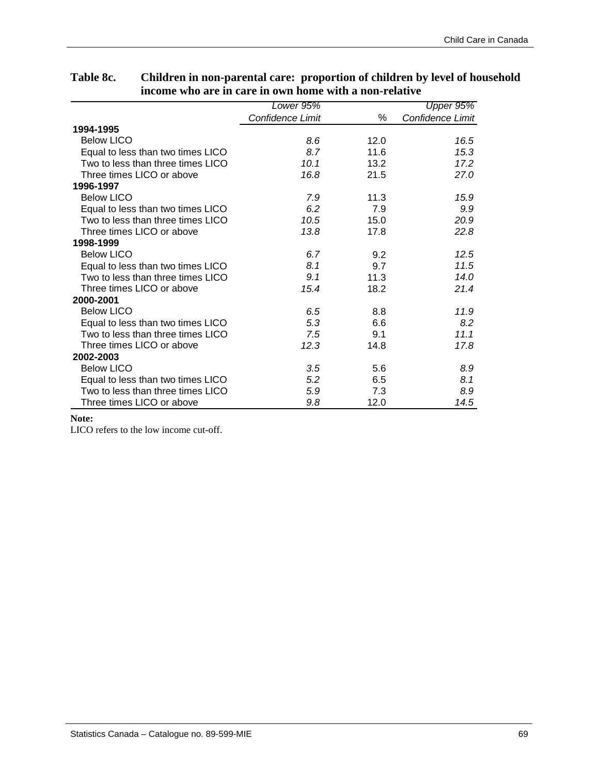|                                   | Lower 95%        |      | Upper 95%        |
|-----------------------------------|------------------|------|------------------|
|                                   | Confidence Limit | %    | Confidence Limit |
| 1994-1995                         |                  |      |                  |
| <b>Below LICO</b>                 | 8.6              | 12.0 | 16.5             |
| Equal to less than two times LICO | 8.7              | 11.6 | 15.3             |
| Two to less than three times LICO | 10.1             | 13.2 | 17.2             |
| Three times LICO or above         | 16.8             | 21.5 | 27.0             |
| 1996-1997                         |                  |      |                  |
| <b>Below LICO</b>                 | 7.9              | 11.3 | 15.9             |
| Equal to less than two times LICO | 6.2              | 7.9  | 9.9              |
| Two to less than three times LICO | 10.5             | 15.0 | 20.9             |
| Three times LICO or above         | 13.8             | 17.8 | 22.8             |
| 1998-1999                         |                  |      |                  |
| <b>Below LICO</b>                 | 6.7              | 9.2  | 12.5             |
| Equal to less than two times LICO | 8.1              | 9.7  | 11.5             |
| Two to less than three times LICO | 9.1              | 11.3 | 14.0             |
| Three times LICO or above         | 15.4             | 18.2 | 21.4             |
| 2000-2001                         |                  |      |                  |
| <b>Below LICO</b>                 | 6.5              | 8.8  | 11.9             |
| Equal to less than two times LICO | 5.3              | 6.6  | 8.2              |
| Two to less than three times LICO | 7.5              | 9.1  | 11.1             |
| Three times LICO or above         | 12.3             | 14.8 | 17.8             |
| 2002-2003                         |                  |      |                  |
| <b>Below LICO</b>                 | 3.5              | 5.6  | 8.9              |
| Equal to less than two times LICO | 5.2              | 6.5  | 8.1              |
| Two to less than three times LICO | 5.9              | 7.3  | 8.9              |
| Three times LICO or above         | 9.8              | 12.0 | 14.5             |

## **Table 8c. Children in non-parental care: proportion of children by level of household income who are in care in own home with a non-relative**

#### **Note:**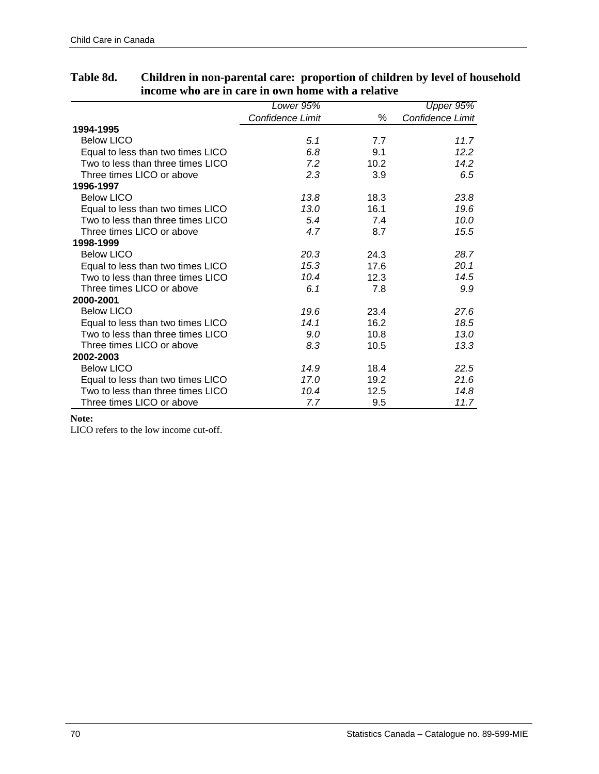|                                   | Lower 95%        |      | Upper 95%        |
|-----------------------------------|------------------|------|------------------|
|                                   | Confidence Limit | %    | Confidence Limit |
| 1994-1995                         |                  |      |                  |
| <b>Below LICO</b>                 | 5.1              | 7.7  | 11.7             |
| Equal to less than two times LICO | 6.8              | 9.1  | 12.2             |
| Two to less than three times LICO | 7.2              | 10.2 | 14.2             |
| Three times LICO or above         | 2.3              | 3.9  | 6.5              |
| 1996-1997                         |                  |      |                  |
| <b>Below LICO</b>                 | 13.8             | 18.3 | 23.8             |
| Equal to less than two times LICO | 13.0             | 16.1 | 19.6             |
| Two to less than three times LICO | 5.4              | 7.4  | 10.0             |
| Three times LICO or above         | 4.7              | 8.7  | 15.5             |
| 1998-1999                         |                  |      |                  |
| <b>Below LICO</b>                 | 20.3             | 24.3 | 28.7             |
| Equal to less than two times LICO | 15.3             | 17.6 | 20.1             |
| Two to less than three times LICO | 10.4             | 12.3 | 14.5             |
| Three times LICO or above         | 6.1              | 7.8  | 9.9              |
| 2000-2001                         |                  |      |                  |
| <b>Below LICO</b>                 | 19.6             | 23.4 | 27.6             |
| Equal to less than two times LICO | 14.1             | 16.2 | 18.5             |
| Two to less than three times LICO | 9.0              | 10.8 | 13.0             |
| Three times LICO or above         | 8.3              | 10.5 | 13.3             |
| 2002-2003                         |                  |      |                  |
| <b>Below LICO</b>                 | 14.9             | 18.4 | 22.5             |
| Equal to less than two times LICO | 17.0             | 19.2 | 21.6             |
| Two to less than three times LICO | 10.4             | 12.5 | 14.8             |
| Three times LICO or above         | 7.7              | 9.5  | 11.7             |

## **Table 8d. Children in non-parental care: proportion of children by level of household income who are in care in own home with a relative**

#### **Note:**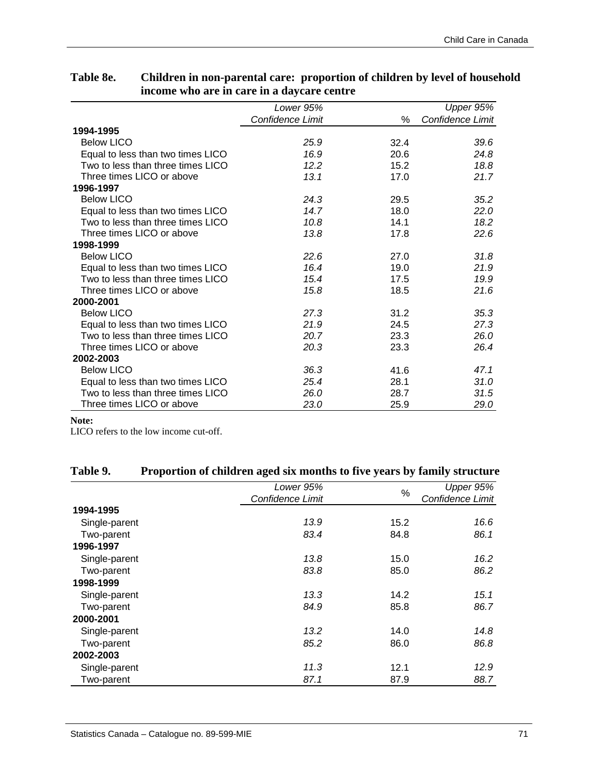|                                   | Lower 95%               |      | Upper 95%        |
|-----------------------------------|-------------------------|------|------------------|
|                                   | <b>Confidence Limit</b> | ℅    | Confidence Limit |
| 1994-1995                         |                         |      |                  |
| <b>Below LICO</b>                 | 25.9                    | 32.4 | 39.6             |
| Equal to less than two times LICO | 16.9                    | 20.6 | 24.8             |
| Two to less than three times LICO | 12.2                    | 15.2 | 18.8             |
| Three times LICO or above         | 13.1                    | 17.0 | 21.7             |
| 1996-1997                         |                         |      |                  |
| <b>Below LICO</b>                 | 24.3                    | 29.5 | 35.2             |
| Equal to less than two times LICO | 14.7                    | 18.0 | 22.0             |
| Two to less than three times LICO | 10.8                    | 14.1 | 18.2             |
| Three times LICO or above         | 13.8                    | 17.8 | 22.6             |
| 1998-1999                         |                         |      |                  |
| <b>Below LICO</b>                 | 22.6                    | 27.0 | 31.8             |
| Equal to less than two times LICO | 16.4                    | 19.0 | 21.9             |
| Two to less than three times LICO | 15.4                    | 17.5 | 19.9             |
| Three times LICO or above         | 15.8                    | 18.5 | 21.6             |
| 2000-2001                         |                         |      |                  |
| <b>Below LICO</b>                 | 27.3                    | 31.2 | 35.3             |
| Equal to less than two times LICO | 21.9                    | 24.5 | 27.3             |
| Two to less than three times LICO | 20.7                    | 23.3 | 26.0             |
| Three times LICO or above         | 20.3                    | 23.3 | 26.4             |
| 2002-2003                         |                         |      |                  |
| <b>Below LICO</b>                 | 36.3                    | 41.6 | 47.1             |
| Equal to less than two times LICO | 25.4                    | 28.1 | 31.0             |
| Two to less than three times LICO | 26.0                    | 28.7 | 31.5             |
| Three times LICO or above         | 23.0                    | 25.9 | 29.0             |

## **Table 8e. Children in non-parental care: proportion of children by level of household income who are in care in a daycare centre**

#### **Note:**

| Table 9. | Proportion of children aged six months to five years by family structure |  |  |  |
|----------|--------------------------------------------------------------------------|--|--|--|
|          |                                                                          |  |  |  |

|               | Lower 95%        | $\%$ | Upper 95%        |
|---------------|------------------|------|------------------|
|               | Confidence Limit |      | Confidence Limit |
| 1994-1995     |                  |      |                  |
| Single-parent | 13.9             | 15.2 | 16.6             |
| Two-parent    | 83.4             | 84.8 | 86.1             |
| 1996-1997     |                  |      |                  |
| Single-parent | 13.8             | 15.0 | 16.2             |
| Two-parent    | 83.8             | 85.0 | 86.2             |
| 1998-1999     |                  |      |                  |
| Single-parent | 13.3             | 14.2 | 15.1             |
| Two-parent    | 84.9             | 85.8 | 86.7             |
| 2000-2001     |                  |      |                  |
| Single-parent | 13.2             | 14.0 | 14.8             |
| Two-parent    | 85.2             | 86.0 | 86.8             |
| 2002-2003     |                  |      |                  |
| Single-parent | 11.3             | 12.1 | 12.9             |
| Two-parent    | 87.1             | 87.9 | 88.7             |
|               |                  |      |                  |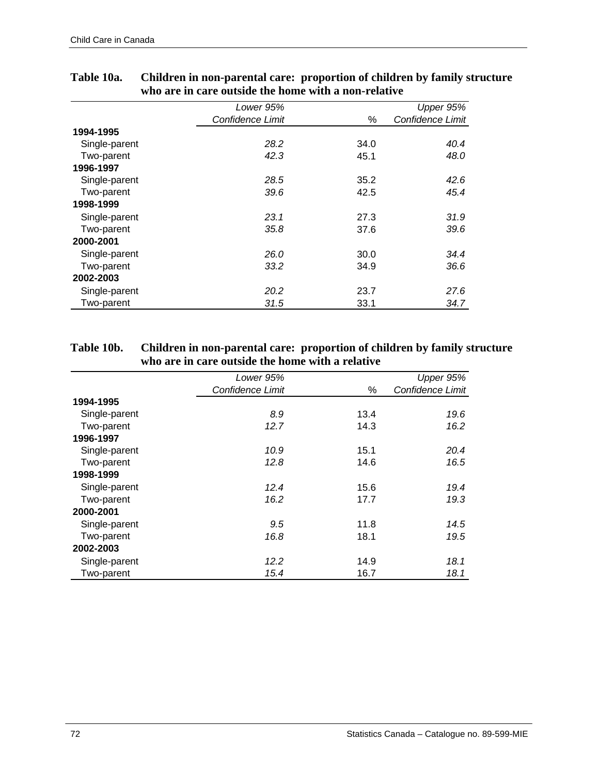|               | Lower 95%        |      | Upper 95%        |
|---------------|------------------|------|------------------|
|               | Confidence Limit | %    | Confidence Limit |
| 1994-1995     |                  |      |                  |
| Single-parent | 28.2             | 34.0 | 40.4             |
| Two-parent    | 42.3             | 45.1 | 48.0             |
| 1996-1997     |                  |      |                  |
| Single-parent | 28.5             | 35.2 | 42.6             |
| Two-parent    | 39.6             | 42.5 | 45.4             |
| 1998-1999     |                  |      |                  |
| Single-parent | 23.1             | 27.3 | 31.9             |
| Two-parent    | 35.8             | 37.6 | 39.6             |
| 2000-2001     |                  |      |                  |
| Single-parent | 26.0             | 30.0 | 34.4             |
| Two-parent    | 33.2             | 34.9 | 36.6             |
| 2002-2003     |                  |      |                  |
| Single-parent | 20.2             | 23.7 | 27.6             |
| Two-parent    | 31.5             | 33.1 | 34.7             |

## **Table 10a. Children in non-parental care: proportion of children by family structure who are in care outside the home with a non-relative**

## **Table 10b. Children in non-parental care: proportion of children by family structure who are in care outside the home with a relative**

|               | Lower 95%        |      | Upper 95%        |
|---------------|------------------|------|------------------|
|               | Confidence Limit | %    | Confidence Limit |
| 1994-1995     |                  |      |                  |
| Single-parent | 8.9              | 13.4 | 19.6             |
| Two-parent    | 12.7             | 14.3 | 16.2             |
| 1996-1997     |                  |      |                  |
| Single-parent | 10.9             | 15.1 | 20.4             |
| Two-parent    | 12.8             | 14.6 | 16.5             |
| 1998-1999     |                  |      |                  |
| Single-parent | 12.4             | 15.6 | 19.4             |
| Two-parent    | 16.2             | 17.7 | 19.3             |
| 2000-2001     |                  |      |                  |
| Single-parent | 9.5              | 11.8 | 14.5             |
| Two-parent    | 16.8             | 18.1 | 19.5             |
| 2002-2003     |                  |      |                  |
| Single-parent | 12.2             | 14.9 | 18.1             |
| Two-parent    | 15.4             | 16.7 | 18.1             |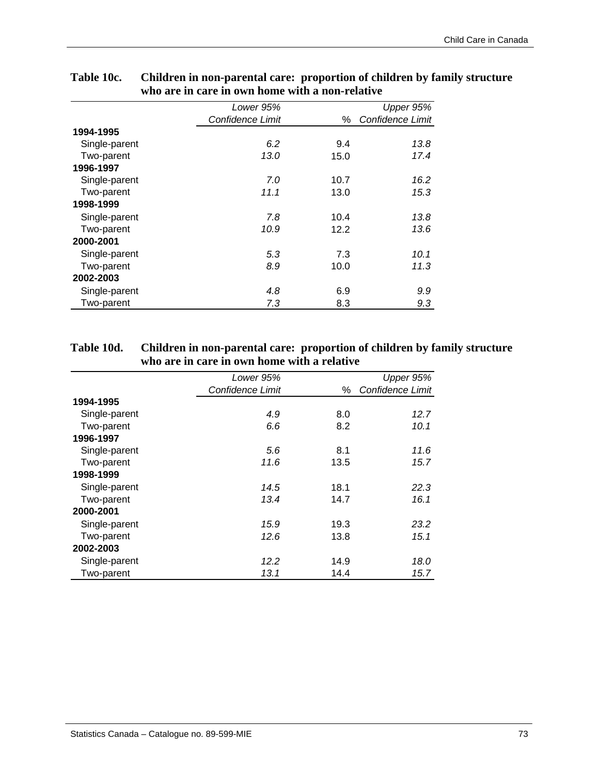|               | Lower 95%        |      | Upper 95%        |
|---------------|------------------|------|------------------|
|               | Confidence Limit | %    | Confidence Limit |
| 1994-1995     |                  |      |                  |
| Single-parent | 6.2              | 9.4  | 13.8             |
| Two-parent    | 13.0             | 15.0 | 17.4             |
| 1996-1997     |                  |      |                  |
| Single-parent | 7.0              | 10.7 | 16.2             |
| Two-parent    | 11.1             | 13.0 | 15.3             |
| 1998-1999     |                  |      |                  |
| Single-parent | 7.8              | 10.4 | 13.8             |
| Two-parent    | 10.9             | 12.2 | 13.6             |
| 2000-2001     |                  |      |                  |
| Single-parent | 5.3              | 7.3  | 10.1             |
| Two-parent    | 8.9              | 10.0 | 11.3             |
| 2002-2003     |                  |      |                  |
| Single-parent | 4.8              | 6.9  | 9.9              |
| Two-parent    | 7.3              | 8.3  | 9.3              |

### **Table 10c. Children in non-parental care: proportion of children by family structure who are in care in own home with a non-relative**

### **Table 10d. Children in non-parental care: proportion of children by family structure who are in care in own home with a relative**

|               | Lower 95%        |      | Upper 95%        |
|---------------|------------------|------|------------------|
|               | Confidence Limit | %    | Confidence Limit |
| 1994-1995     |                  |      |                  |
| Single-parent | 4.9              | 8.0  | 12.7             |
| Two-parent    | 6.6              | 8.2  | 10.1             |
| 1996-1997     |                  |      |                  |
| Single-parent | 5.6              | 8.1  | 11.6             |
| Two-parent    | 11.6             | 13.5 | 15.7             |
| 1998-1999     |                  |      |                  |
| Single-parent | 14.5             | 18.1 | 22.3             |
| Two-parent    | 13.4             | 14.7 | 16.1             |
| 2000-2001     |                  |      |                  |
| Single-parent | 15.9             | 19.3 | 23.2             |
| Two-parent    | 12.6             | 13.8 | 15.1             |
| 2002-2003     |                  |      |                  |
| Single-parent | 12.2             | 14.9 | 18.0             |
| Two-parent    | 13.1             | 14.4 | 15.7             |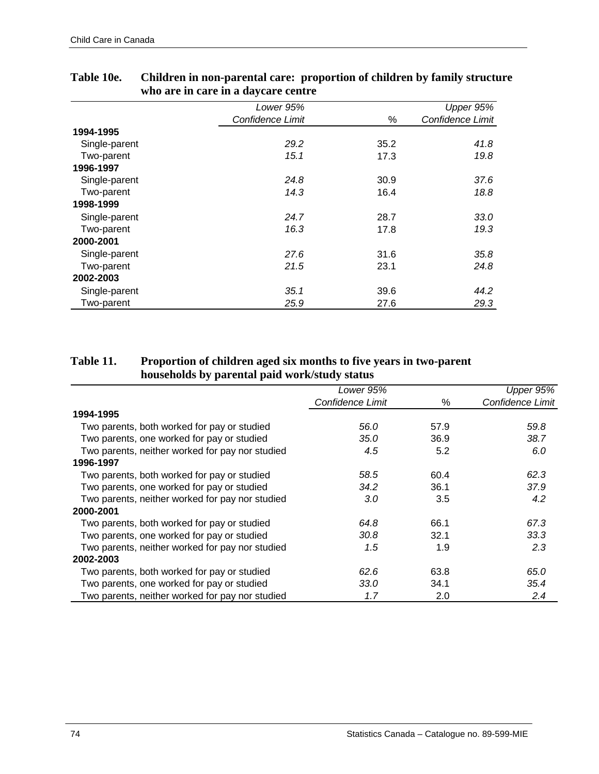|               | Lower 95%        |      | Upper 95%        |
|---------------|------------------|------|------------------|
|               | Confidence Limit | ℅    | Confidence Limit |
| 1994-1995     |                  |      |                  |
| Single-parent | 29.2             | 35.2 | 41.8             |
| Two-parent    | 15.1             | 17.3 | 19.8             |
| 1996-1997     |                  |      |                  |
| Single-parent | 24.8             | 30.9 | 37.6             |
| Two-parent    | 14.3             | 16.4 | 18.8             |
| 1998-1999     |                  |      |                  |
| Single-parent | 24.7             | 28.7 | 33.0             |
| Two-parent    | 16.3             | 17.8 | 19.3             |
| 2000-2001     |                  |      |                  |
| Single-parent | 27.6             | 31.6 | 35.8             |
| Two-parent    | 21.5             | 23.1 | 24.8             |
| 2002-2003     |                  |      |                  |
| Single-parent | 35.1             | 39.6 | 44.2             |
| Two-parent    | 25.9             | 27.6 | 29.3             |

# **Table 10e. Children in non-parental care: proportion of children by family structure who are in care in a daycare centre**

## **Table 11. Proportion of children aged six months to five years in two-parent households by parental paid work/study status**

|                                                 | Lower 95%        |      | Upper 95%        |
|-------------------------------------------------|------------------|------|------------------|
|                                                 | Confidence Limit | %    | Confidence Limit |
| 1994-1995                                       |                  |      |                  |
| Two parents, both worked for pay or studied     | 56.0             | 57.9 | 59.8             |
| Two parents, one worked for pay or studied      | 35.0             | 36.9 | 38.7             |
| Two parents, neither worked for pay nor studied | 4.5              | 5.2  | 6.0              |
| 1996-1997                                       |                  |      |                  |
| Two parents, both worked for pay or studied     | 58.5             | 60.4 | 62.3             |
| Two parents, one worked for pay or studied      | 34.2             | 36.1 | 37.9             |
| Two parents, neither worked for pay nor studied | 3.0              | 3.5  | 4.2              |
| 2000-2001                                       |                  |      |                  |
| Two parents, both worked for pay or studied     | 64.8             | 66.1 | 67.3             |
| Two parents, one worked for pay or studied      | 30.8             | 32.1 | 33.3             |
| Two parents, neither worked for pay nor studied | 1.5              | 1.9  | 2.3              |
| 2002-2003                                       |                  |      |                  |
| Two parents, both worked for pay or studied     | 62.6             | 63.8 | 65.0             |
| Two parents, one worked for pay or studied      | 33.0             | 34.1 | 35.4             |
| Two parents, neither worked for pay nor studied | 1.7              | 2.0  | 2.4              |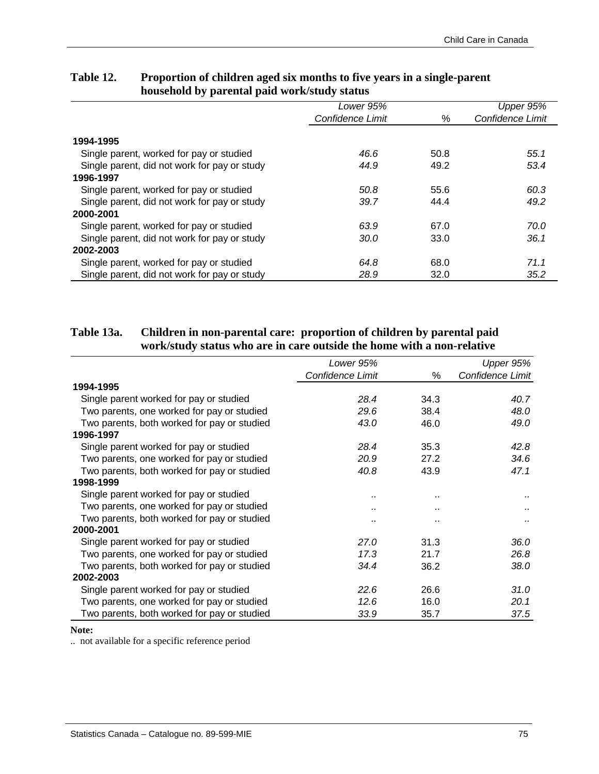|                                              | Lower 95%        |      | Upper 95%        |
|----------------------------------------------|------------------|------|------------------|
|                                              | Confidence Limit | %    | Confidence Limit |
|                                              |                  |      |                  |
| 1994-1995                                    |                  |      |                  |
| Single parent, worked for pay or studied     | 46.6             | 50.8 | 55.1             |
| Single parent, did not work for pay or study | 44.9             | 49.2 | 53.4             |
| 1996-1997                                    |                  |      |                  |
| Single parent, worked for pay or studied     | 50.8             | 55.6 | 60.3             |
| Single parent, did not work for pay or study | 39.7             | 44.4 | 49.2             |
| 2000-2001                                    |                  |      |                  |
| Single parent, worked for pay or studied     | 63.9             | 67.0 | 70.0             |
| Single parent, did not work for pay or study | 30.0             | 33.0 | 36.1             |
| 2002-2003                                    |                  |      |                  |
| Single parent, worked for pay or studied     | 64.8             | 68.0 | 71.1             |
| Single parent, did not work for pay or study | 28.9             | 32.0 | 35.2             |

## **Table 12. Proportion of children aged six months to five years in a single-parent household by parental paid work/study status**

## **Table 13a. Children in non-parental care: proportion of children by parental paid work/study status who are in care outside the home with a non-relative**

|                                             | Lower 95%        |                      | Upper 95%        |
|---------------------------------------------|------------------|----------------------|------------------|
|                                             | Confidence Limit | %                    | Confidence Limit |
| 1994-1995                                   |                  |                      |                  |
| Single parent worked for pay or studied     | 28.4             | 34.3                 | 40.7             |
| Two parents, one worked for pay or studied  | 29.6             | 38.4                 | 48.0             |
| Two parents, both worked for pay or studied | 43.0             | 46.0                 | 49.0             |
| 1996-1997                                   |                  |                      |                  |
| Single parent worked for pay or studied     | 28.4             | 35.3                 | 42.8             |
| Two parents, one worked for pay or studied  | 20.9             | 27.2                 | 34.6             |
| Two parents, both worked for pay or studied | 40.8             | 43.9                 | 47.1             |
| 1998-1999                                   |                  |                      |                  |
| Single parent worked for pay or studied     |                  | $\sim$               |                  |
| Two parents, one worked for pay or studied  |                  | $\ddot{\phantom{a}}$ |                  |
| Two parents, both worked for pay or studied |                  | $\ddot{\phantom{a}}$ |                  |
| 2000-2001                                   |                  |                      |                  |
| Single parent worked for pay or studied     | 27.0             | 31.3                 | 36.0             |
| Two parents, one worked for pay or studied  | 17.3             | 21.7                 | 26.8             |
| Two parents, both worked for pay or studied | 34.4             | 36.2                 | 38.0             |
| 2002-2003                                   |                  |                      |                  |
| Single parent worked for pay or studied     | 22.6             | 26.6                 | 31.0             |
| Two parents, one worked for pay or studied  | 12.6             | 16.0                 | 20.1             |
| Two parents, both worked for pay or studied | 33.9             | 35.7                 | 37.5             |

#### **Note:**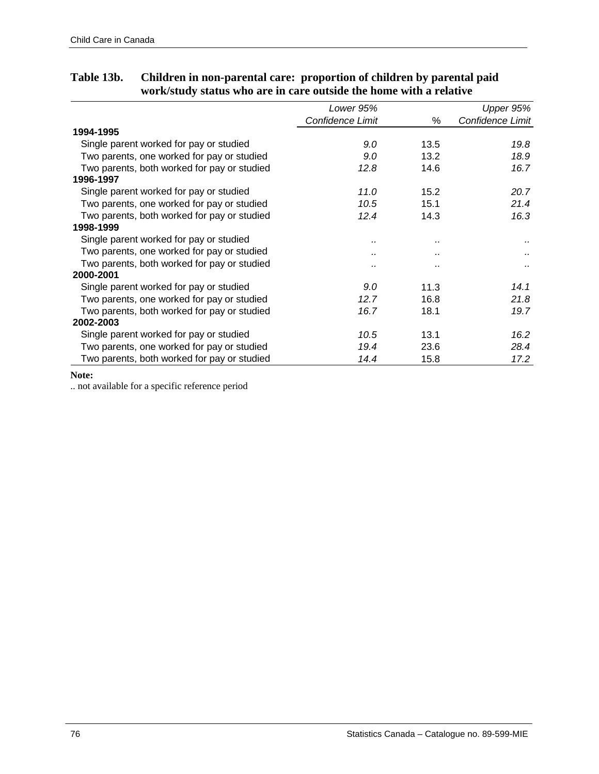|                                             | Lower 95%        |      | Upper 95%        |
|---------------------------------------------|------------------|------|------------------|
|                                             | Confidence Limit | ℅    | Confidence Limit |
| 1994-1995                                   |                  |      |                  |
| Single parent worked for pay or studied     | 9.0              | 13.5 | 19.8             |
| Two parents, one worked for pay or studied  | 9.0              | 13.2 | 18.9             |
| Two parents, both worked for pay or studied | 12.8             | 14.6 | 16.7             |
| 1996-1997                                   |                  |      |                  |
| Single parent worked for pay or studied     | 11.0             | 15.2 | 20.7             |
| Two parents, one worked for pay or studied  | 10.5             | 15.1 | 21.4             |
| Two parents, both worked for pay or studied | 12.4             | 14.3 | 16.3             |
| 1998-1999                                   |                  |      |                  |
| Single parent worked for pay or studied     |                  |      |                  |
| Two parents, one worked for pay or studied  |                  |      |                  |
| Two parents, both worked for pay or studied |                  |      |                  |
| 2000-2001                                   |                  |      |                  |
| Single parent worked for pay or studied     | 9.0              | 11.3 | 14.1             |
| Two parents, one worked for pay or studied  | 12.7             | 16.8 | 21.8             |
| Two parents, both worked for pay or studied | 16.7             | 18.1 | 19.7             |
| 2002-2003                                   |                  |      |                  |
| Single parent worked for pay or studied     | 10.5             | 13.1 | 16.2             |
| Two parents, one worked for pay or studied  | 19.4             | 23.6 | 28.4             |
| Two parents, both worked for pay or studied | 14.4             | 15.8 | 17.2             |

# **Table 13b. Children in non-parental care: proportion of children by parental paid work/study status who are in care outside the home with a relative**

#### **Note:**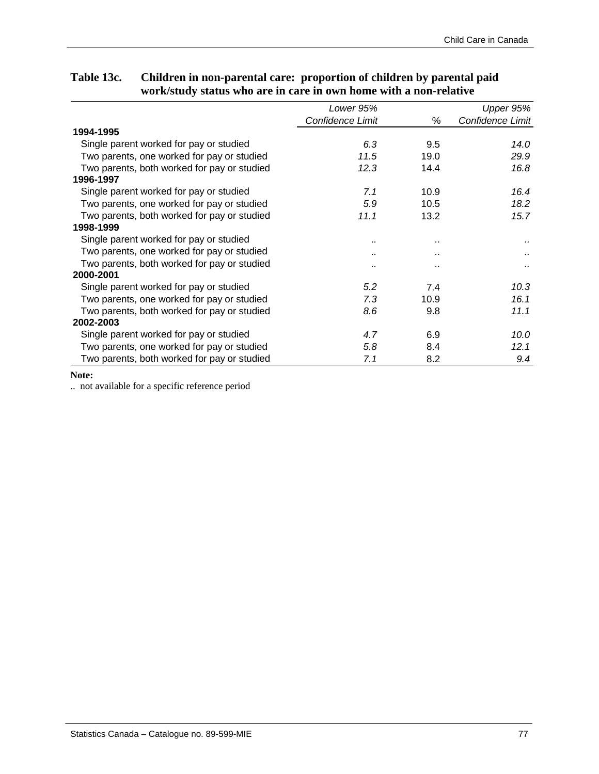# **Table 13c. Children in non-parental care: proportion of children by parental paid work/study status who are in care in own home with a non-relative**

|                                             | Lower 95%        |      | Upper 95%        |
|---------------------------------------------|------------------|------|------------------|
|                                             | Confidence Limit | %    | Confidence Limit |
| 1994-1995                                   |                  |      |                  |
| Single parent worked for pay or studied     | 6.3              | 9.5  | 14.0             |
| Two parents, one worked for pay or studied  | 11.5             | 19.0 | 29.9             |
| Two parents, both worked for pay or studied | 12.3             | 14.4 | 16.8             |
| 1996-1997                                   |                  |      |                  |
| Single parent worked for pay or studied     | 7.1              | 10.9 | 16.4             |
| Two parents, one worked for pay or studied  | 5.9              | 10.5 | 18.2             |
| Two parents, both worked for pay or studied | 11.1             | 13.2 | 15.7             |
| 1998-1999                                   |                  |      |                  |
| Single parent worked for pay or studied     |                  |      |                  |
| Two parents, one worked for pay or studied  |                  |      |                  |
| Two parents, both worked for pay or studied |                  |      |                  |
| 2000-2001                                   |                  |      |                  |
| Single parent worked for pay or studied     | 5.2              | 7.4  | 10.3             |
| Two parents, one worked for pay or studied  | 7.3              | 10.9 | 16.1             |
| Two parents, both worked for pay or studied | 8.6              | 9.8  | 11.1             |
| 2002-2003                                   |                  |      |                  |
| Single parent worked for pay or studied     | 4.7              | 6.9  | 10.0             |
| Two parents, one worked for pay or studied  | 5.8              | 8.4  | 12.1             |
| Two parents, both worked for pay or studied | 7.1              | 8.2  | 9.4              |

#### **Note:**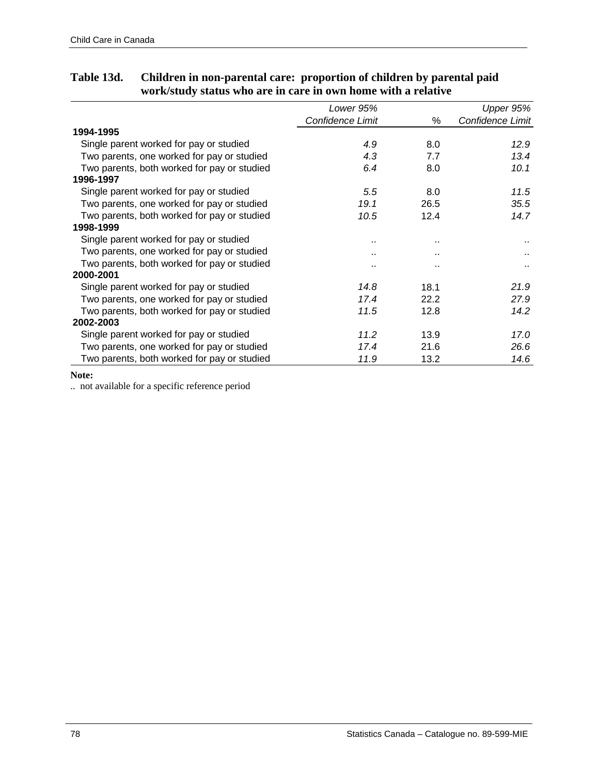|                                             | Lower 95%        |      | Upper 95%        |
|---------------------------------------------|------------------|------|------------------|
|                                             | Confidence Limit | %    | Confidence Limit |
| 1994-1995                                   |                  |      |                  |
| Single parent worked for pay or studied     | 4.9              | 8.0  | 12.9             |
| Two parents, one worked for pay or studied  | 4.3              | 7.7  | 13.4             |
| Two parents, both worked for pay or studied | 6.4              | 8.0  | 10.1             |
| 1996-1997                                   |                  |      |                  |
| Single parent worked for pay or studied     | $5.5^{\circ}$    | 8.0  | 11.5             |
| Two parents, one worked for pay or studied  | 19.1             | 26.5 | 35.5             |
| Two parents, both worked for pay or studied | 10.5             | 12.4 | 14.7             |
| 1998-1999                                   |                  |      |                  |
| Single parent worked for pay or studied     |                  |      |                  |
| Two parents, one worked for pay or studied  |                  |      |                  |
| Two parents, both worked for pay or studied |                  |      |                  |
| 2000-2001                                   |                  |      |                  |
| Single parent worked for pay or studied     | 14.8             | 18.1 | 21.9             |
| Two parents, one worked for pay or studied  | 17.4             | 22.2 | 27.9             |
| Two parents, both worked for pay or studied | 11.5             | 12.8 | 14.2             |
| 2002-2003                                   |                  |      |                  |
| Single parent worked for pay or studied     | 11.2             | 13.9 | 17.0             |
| Two parents, one worked for pay or studied  | 17.4             | 21.6 | 26.6             |
| Two parents, both worked for pay or studied | 11.9             | 13.2 | 14.6             |

# **Table 13d. Children in non-parental care: proportion of children by parental paid work/study status who are in care in own home with a relative**

#### **Note:**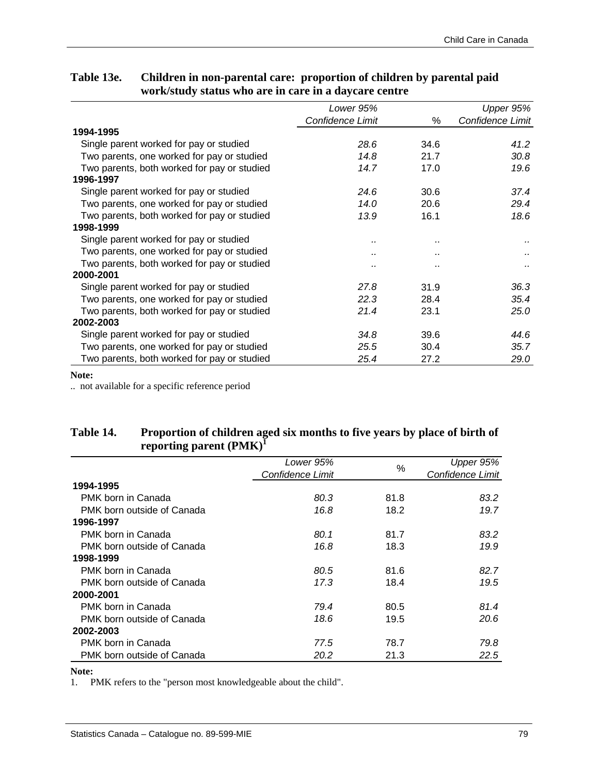# **Table 13e. Children in non-parental care: proportion of children by parental paid work/study status who are in care in a daycare centre**

|                                             | Lower 95%        |      | Upper 95%        |
|---------------------------------------------|------------------|------|------------------|
|                                             | Confidence Limit | %    | Confidence Limit |
| 1994-1995                                   |                  |      |                  |
| Single parent worked for pay or studied     | 28.6             | 34.6 | 41.2             |
| Two parents, one worked for pay or studied  | 14.8             | 21.7 | 30.8             |
| Two parents, both worked for pay or studied | 14.7             | 17.0 | 19.6             |
| 1996-1997                                   |                  |      |                  |
| Single parent worked for pay or studied     | 24.6             | 30.6 | 37.4             |
| Two parents, one worked for pay or studied  | 14.0             | 20.6 | 29.4             |
| Two parents, both worked for pay or studied | 13.9             | 16.1 | 18.6             |
| 1998-1999                                   |                  |      |                  |
| Single parent worked for pay or studied     |                  |      |                  |
| Two parents, one worked for pay or studied  |                  |      |                  |
| Two parents, both worked for pay or studied |                  |      |                  |
| 2000-2001                                   |                  |      |                  |
| Single parent worked for pay or studied     | 27.8             | 31.9 | 36.3             |
| Two parents, one worked for pay or studied  | 22.3             | 28.4 | 35.4             |
| Two parents, both worked for pay or studied | 21.4             | 23.1 | 25.0             |
| 2002-2003                                   |                  |      |                  |
| Single parent worked for pay or studied     | 34.8             | 39.6 | 44.6             |
| Two parents, one worked for pay or studied  | 25.5             | 30.4 | 35.7             |
| Two parents, both worked for pay or studied | 25.4             | 27.2 | 29.0             |

#### **Note:**

.. not available for a specific reference period

## **Table 14. Proportion of children aged six months to five years by place of birth of**  reporting parent (PMK)<sup>I</sup>

|                            | Lower 95%        |      | Upper 95%        |
|----------------------------|------------------|------|------------------|
|                            | Confidence Limit | %    | Confidence Limit |
| 1994-1995                  |                  |      |                  |
| PMK born in Canada         | 80.3             | 81.8 | 83.2             |
| PMK born outside of Canada | 16.8             | 18.2 | 19.7             |
| 1996-1997                  |                  |      |                  |
| PMK born in Canada         | 80.1             | 81.7 | 83.2             |
| PMK born outside of Canada | 16.8             | 18.3 | 19.9             |
| 1998-1999                  |                  |      |                  |
| PMK born in Canada         | 80.5             | 81.6 | 82.7             |
| PMK born outside of Canada | 17.3             | 18.4 | 19.5             |
| 2000-2001                  |                  |      |                  |
| PMK born in Canada         | 79.4             | 80.5 | 81.4             |
| PMK born outside of Canada | 18.6             | 19.5 | 20.6             |
| 2002-2003                  |                  |      |                  |
| PMK born in Canada         | 77.5             | 78.7 | 79.8             |
| PMK born outside of Canada | 20.2             | 21.3 | 22.5             |

#### **Note:**

1. PMK refers to the "person most knowledgeable about the child".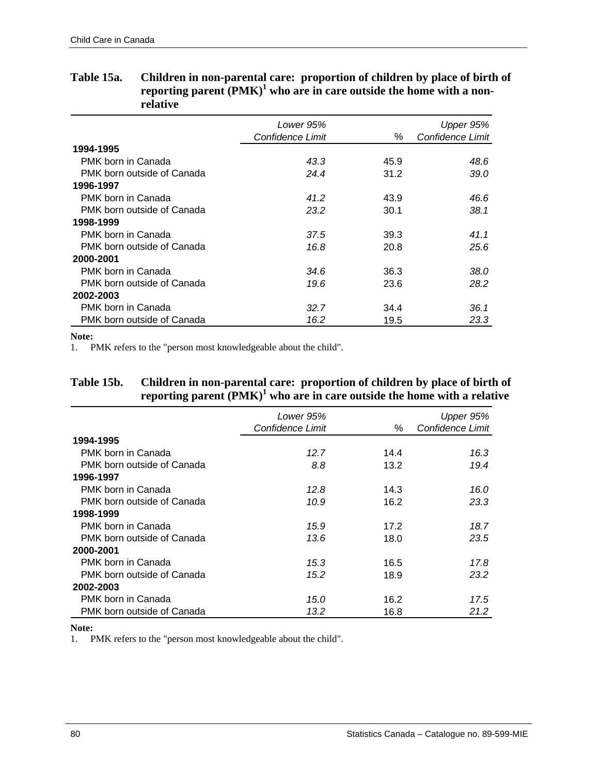|                            | Lower 95%<br>Confidence Limit | $\%$ | Upper 95%<br>Confidence Limit |
|----------------------------|-------------------------------|------|-------------------------------|
| 1994-1995                  |                               |      |                               |
| PMK born in Canada         | 43.3                          | 45.9 | 48.6                          |
| PMK born outside of Canada | 24.4                          | 31.2 | 39.0                          |
| 1996-1997                  |                               |      |                               |
| PMK born in Canada         | 41.2                          | 43.9 | 46.6                          |
| PMK born outside of Canada | 23.2                          | 30.1 | 38.1                          |
| 1998-1999                  |                               |      |                               |
| PMK born in Canada         | 37.5                          | 39.3 | 41.1                          |
| PMK born outside of Canada | 16.8                          | 20.8 | 25.6                          |
| 2000-2001                  |                               |      |                               |
| PMK born in Canada         | 34.6                          | 36.3 | 38.0                          |
| PMK born outside of Canada | 19.6                          | 23.6 | 28.2                          |
| 2002-2003                  |                               |      |                               |
| PMK born in Canada         | 32.7                          | 34.4 | 36.1                          |
| PMK born outside of Canada | 16.2                          | 19.5 | 23.3                          |

### **Table 15a. Children in non-parental care: proportion of children by place of birth of**  reporting parent (PMK)<sup>1</sup> who are in care outside the home with a non**relative**

**Note:**

1. PMK refers to the "person most knowledgeable about the child".

## **Table 15b. Children in non-parental care: proportion of children by place of birth of**  reporting parent (PMK)<sup>1</sup> who are in care outside the home with a relative

|                            | Lower 95%<br>Confidence Limit | $\%$ | Upper 95%<br>Confidence Limit |
|----------------------------|-------------------------------|------|-------------------------------|
| 1994-1995                  |                               |      |                               |
| PMK born in Canada         | 12.7                          | 14.4 | 16.3                          |
| PMK born outside of Canada | 8.8                           | 13.2 | 19.4                          |
| 1996-1997                  |                               |      |                               |
| PMK born in Canada         | 12.8                          | 14.3 | 16.0                          |
| PMK born outside of Canada | 10.9                          | 16.2 | 23.3                          |
| 1998-1999                  |                               |      |                               |
| PMK born in Canada         | 15.9                          | 17.2 | 18.7                          |
| PMK born outside of Canada | 13.6                          | 18.0 | 23.5                          |
| 2000-2001                  |                               |      |                               |
| PMK born in Canada         | 15.3                          | 16.5 | 17.8                          |
| PMK born outside of Canada | 15.2                          | 18.9 | 23.2                          |
| 2002-2003                  |                               |      |                               |
| PMK born in Canada         | 15.0                          | 16.2 | 17.5                          |
| PMK born outside of Canada | 13.2                          | 16.8 | 21.2                          |

**Note:**

1. PMK refers to the "person most knowledgeable about the child".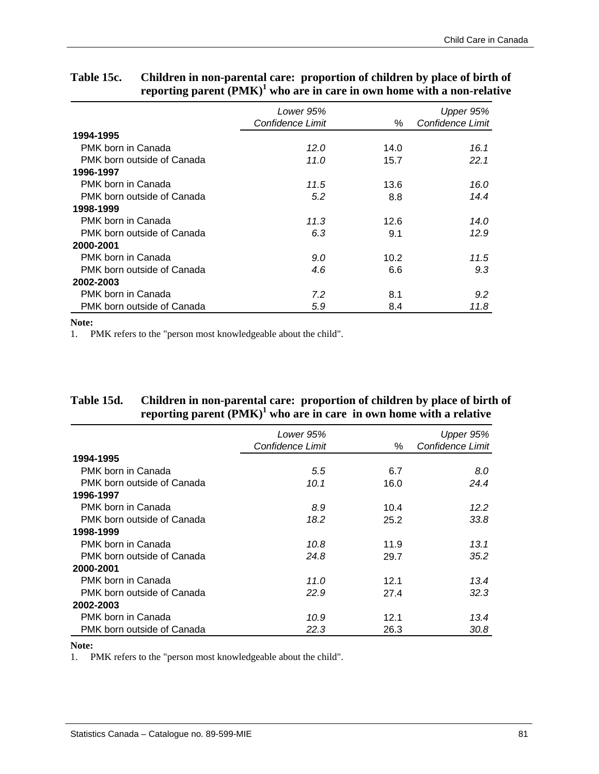|                            | Lower 95%<br>Confidence Limit | ℅    | Upper 95%<br>Confidence Limit |
|----------------------------|-------------------------------|------|-------------------------------|
| 1994-1995                  |                               |      |                               |
| PMK born in Canada         | 12.0                          | 14.0 | 16.1                          |
| PMK born outside of Canada | 11.0                          | 15.7 | 22.1                          |
| 1996-1997                  |                               |      |                               |
| PMK born in Canada         | 11.5                          | 13.6 | 16.0                          |
| PMK born outside of Canada | 5.2                           | 8.8  | 14.4                          |
| 1998-1999                  |                               |      |                               |
| PMK born in Canada         | 11.3                          | 12.6 | 14.0                          |
| PMK born outside of Canada | 6.3                           | 9.1  | 12.9                          |
| 2000-2001                  |                               |      |                               |
| PMK born in Canada         | 9.0                           | 10.2 | 11.5                          |
| PMK born outside of Canada | 4.6                           | 6.6  | 9.3                           |
| 2002-2003                  |                               |      |                               |
| PMK born in Canada         | 7.2                           | 8.1  | 9.2                           |
| PMK born outside of Canada | 5.9                           | 8.4  | 11.8                          |

# **Table 15c. Children in non-parental care: proportion of children by place of birth of**  reporting parent (PMK)<sup>1</sup> who are in care in own home with a non-relative

#### **Note:**

1. PMK refers to the "person most knowledgeable about the child".

## **Table 15d. Children in non-parental care: proportion of children by place of birth of**  reporting parent (PMK)<sup>1</sup> who are in care in own home with a relative

|                            | Lower 95%        |      | Upper 95%        |
|----------------------------|------------------|------|------------------|
|                            | Confidence Limit | ℅    | Confidence Limit |
| 1994-1995                  |                  |      |                  |
| PMK born in Canada         | 5.5              | 6.7  | 8.0              |
| PMK born outside of Canada | 10.1             | 16.0 | 24.4             |
| 1996-1997                  |                  |      |                  |
| PMK born in Canada         | 8.9              | 10.4 | 12.2             |
| PMK born outside of Canada | 18.2             | 25.2 | 33.8             |
| 1998-1999                  |                  |      |                  |
| PMK born in Canada         | 10.8             | 11.9 | 13.1             |
| PMK born outside of Canada | 24.8             | 29.7 | 35.2             |
| 2000-2001                  |                  |      |                  |
| PMK born in Canada         | 11.0             | 12.1 | 13.4             |
| PMK born outside of Canada | 22.9             | 27.4 | 32.3             |
| 2002-2003                  |                  |      |                  |
| PMK born in Canada         | 10.9             | 12.1 | 13.4             |
| PMK born outside of Canada | 22.3             | 26.3 | 30.8             |

#### **Note:**

1. PMK refers to the "person most knowledgeable about the child".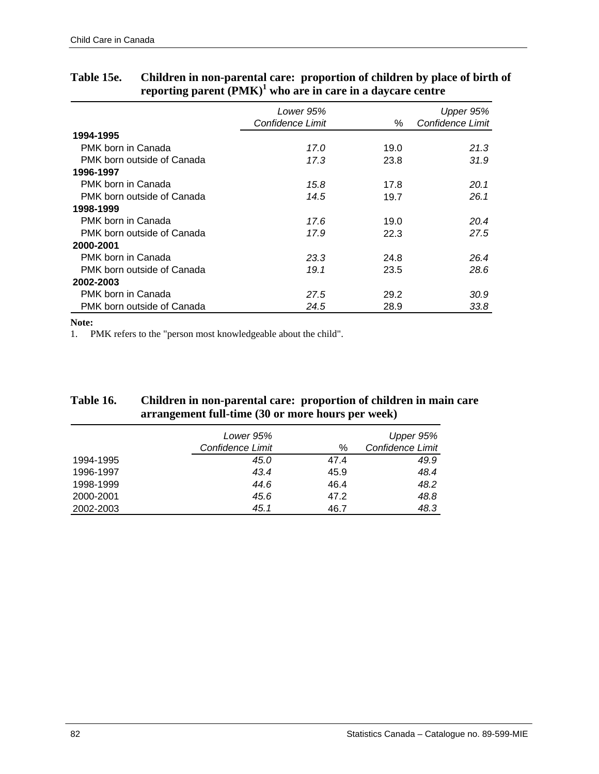|                            | Lower 95%        |      | Upper 95%        |
|----------------------------|------------------|------|------------------|
|                            | Confidence Limit | ℅    | Confidence Limit |
| 1994-1995                  |                  |      |                  |
| PMK born in Canada         | 17.0             | 19.0 | 21.3             |
| PMK born outside of Canada | 17.3             | 23.8 | 31.9             |
| 1996-1997                  |                  |      |                  |
| PMK born in Canada         | 15.8             | 17.8 | 20.1             |
| PMK born outside of Canada | 14.5             | 19.7 | 26.1             |
| 1998-1999                  |                  |      |                  |
| PMK born in Canada         | 17.6             | 19.0 | 20.4             |
| PMK born outside of Canada | 17.9             | 22.3 | 27.5             |
| 2000-2001                  |                  |      |                  |
| PMK born in Canada         | 23.3             | 24.8 | 26.4             |
| PMK born outside of Canada | 19.1             | 23.5 | 28.6             |
| 2002-2003                  |                  |      |                  |
| PMK born in Canada         | 27.5             | 29.2 | 30.9             |
| PMK born outside of Canada | 24.5             | 28.9 | 33.8             |

### **Table 15e. Children in non-parental care: proportion of children by place of birth of reporting parent (PMK)1 who are in care in a daycare centre**

#### **Note:**

1. PMK refers to the "person most knowledgeable about the child".

## **Table 16. Children in non-parental care: proportion of children in main care arrangement full-time (30 or more hours per week)**

|           | Lower 95%        |      | Upper 95%        |
|-----------|------------------|------|------------------|
|           | Confidence Limit | ℅    | Confidence Limit |
| 1994-1995 | 45.0             | 47.4 | 49.9             |
| 1996-1997 | 43.4             | 45.9 | 48.4             |
| 1998-1999 | 44.6             | 46.4 | 48.2             |
| 2000-2001 | 45.6             | 47.2 | 48.8             |
| 2002-2003 | 45.1             | 46.7 | 48.3             |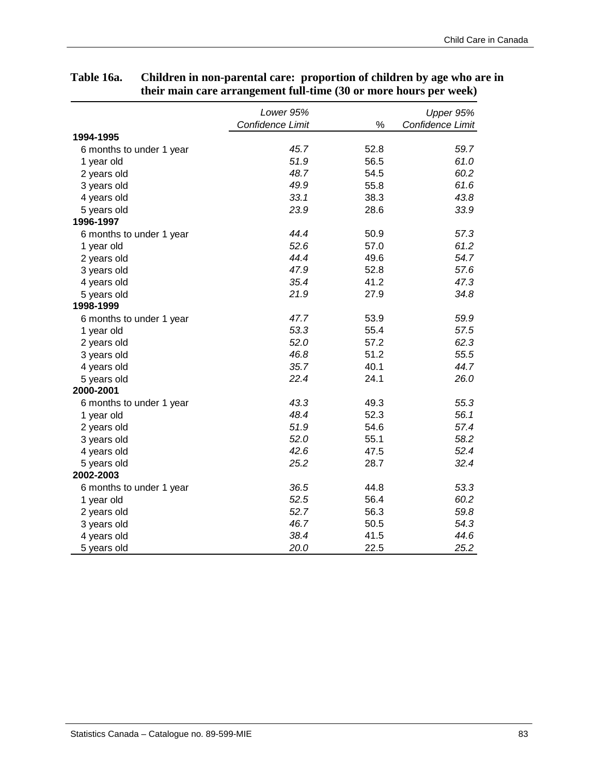#### *Lower 95% Confidence Limit* % *Upper 95% Confidence Limit* 6 months to under 1 year *45.7* 52.8 *59.7* 1 year old *51.9* 56.5 *61.0* 2 years old *48.7* 54.5 *60.2* 3 years old *49.9* 55.8 *61.6* 4 years old *33.1* 38.3 *43.8* 5 years old *23.9* 28.6 *33.9* 6 months to under 1 year *44.4* 50.9 *57.3* 1 year old *52.6* 57.0 *61.2* 2 years old *44.4* 49.6 *54.7* 3 years old *47.9* 52.8 *57.6* 4 years old *35.4* 41.2 *47.3* 5 years old *21.9* 27.9 *34.8* 6 months to under 1 year *47.7* 53.9 *59.9* 1 year old *53.3* 55.4 *57.5* 2 years old *52.0* 57.2 *62.3* 3 years old *46.8* 51.2 *55.5* 4 years old *35.7* 40.1 *44.7* 5 years old *22.4* 24.1 *26.0* 6 months to under 1 year *43.3* 49.3 *55.3* 1 year old *48.4* 52.3 *56.1* 2 years old *51.9* 54.6 *57.4* 3 years old *52.0* 55.1 *58.2* 4 years old *42.6* 47.5 *52.4* 5 years old *25.2* 28.7 *32.4* 6 months to under 1 year *36.5* 44.8 *53.3* 1 year old *52.5* 56.4 *60.2* 2 years old *52.7* 56.3 *59.8* 3 years old *46.7* 50.5 *54.3* 4 years old *38.4* 41.5 *44.6* 5 years old *20.0* 22.5 *25.2* **1994-1995 2002-2003 2000-2001 1998-1999 1996-1997**

### **Table 16a. Children in non-parental care: proportion of children by age who are in their main care arrangement full-time (30 or more hours per week)**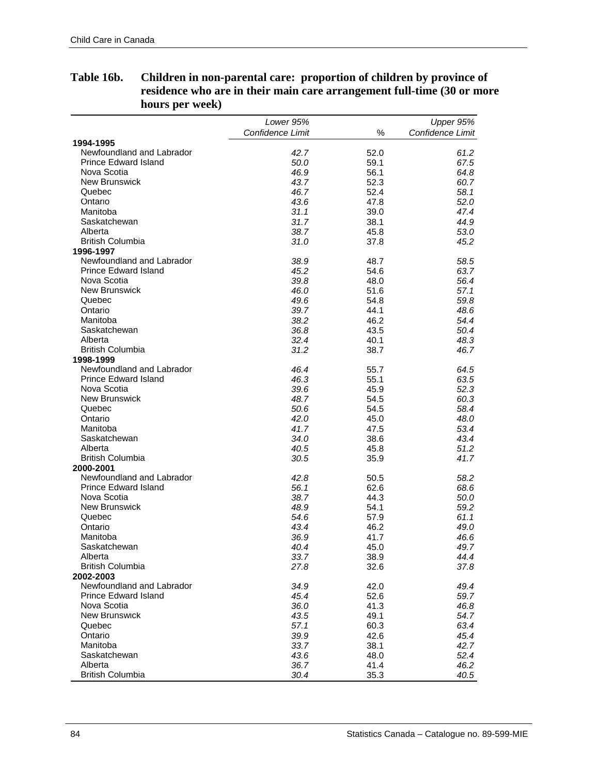|                             | Lower 95%        |      | Upper 95%        |
|-----------------------------|------------------|------|------------------|
|                             | Confidence Limit | ℅    | Confidence Limit |
| 1994-1995                   |                  |      |                  |
| Newfoundland and Labrador   | 42.7             | 52.0 | 61.2             |
| <b>Prince Edward Island</b> | 50.0             | 59.1 | 67.5             |
| Nova Scotia                 | 46.9             | 56.1 | 64.8             |
| <b>New Brunswick</b>        | 43.7             | 52.3 | 60.7             |
| Quebec                      | 46.7             | 52.4 | 58.1             |
| Ontario                     | 43.6             | 47.8 | 52.0             |
| Manitoba                    | 31.1             | 39.0 | 47.4             |
| Saskatchewan                | 31.7             | 38.1 | 44.9             |
| Alberta                     | 38.7             | 45.8 | 53.0             |
| <b>British Columbia</b>     | 31.0             | 37.8 | 45.2             |
| 1996-1997                   |                  |      |                  |
| Newfoundland and Labrador   | 38.9             | 48.7 | 58.5             |
| <b>Prince Edward Island</b> | 45.2             | 54.6 | 63.7             |
| Nova Scotia                 | 39.8             | 48.0 | 56.4             |
| <b>New Brunswick</b>        | 46.0             | 51.6 | 57.1             |
| Quebec                      | 49.6             | 54.8 | 59.8             |
| Ontario                     | 39.7             | 44.1 | 48.6             |
| Manitoba                    | 38.2             | 46.2 | 54.4             |
| Saskatchewan                | 36.8             | 43.5 | 50.4             |
| Alberta                     | 32.4             | 40.1 | 48.3             |
| <b>British Columbia</b>     | 31.2             | 38.7 | 46.7             |
| 1998-1999                   |                  |      |                  |
| Newfoundland and Labrador   | 46.4             | 55.7 | 64.5             |
| <b>Prince Edward Island</b> | 46.3             | 55.1 | 63.5             |
| Nova Scotia                 | 39.6             | 45.9 | 52.3             |
| New Brunswick               | 48.7             | 54.5 | 60.3             |
| Quebec                      | 50.6             | 54.5 | 58.4             |
| Ontario                     | 42.0             | 45.0 | 48.0             |
| Manitoba                    | 41.7             | 47.5 | 53.4             |
| Saskatchewan                | 34.0             | 38.6 | 43.4             |
| Alberta                     | 40.5             | 45.8 | 51.2             |
| <b>British Columbia</b>     | 30.5             | 35.9 | 41.7             |
| 2000-2001                   |                  |      |                  |
| Newfoundland and Labrador   | 42.8             | 50.5 | 58.2             |
| <b>Prince Edward Island</b> | 56.1             | 62.6 | 68.6             |
| Nova Scotia                 | 38.7             | 44.3 | 50.0             |
| <b>New Brunswick</b>        | 48.9             | 54.1 | 59.2             |
| Quebec                      | 54.6             | 57.9 | 61.1             |
| Ontario                     | 43.4             | 46.2 | 49.0             |
| Manitoba                    | 36.9             | 41.7 | 46.6             |
| Saskatchewan                | 40.4             | 45.0 | 49.7             |
| Alberta                     | 33.7             | 38.9 | 44.4             |
| <b>British Columbia</b>     | 27.8             | 32.6 | 37.8             |
| 2002-2003                   |                  |      |                  |
| Newfoundland and Labrador   | 34.9             | 42.0 | 49.4             |
| <b>Prince Edward Island</b> | 45.4             | 52.6 | 59.7             |
| Nova Scotia                 | 36.0             | 41.3 | 46.8             |
| <b>New Brunswick</b>        | 43.5             | 49.1 | 54.7             |
| Quebec                      | 57.1             | 60.3 | 63.4             |
| Ontario                     | 39.9             | 42.6 | 45.4             |
| Manitoba                    | 33.7             | 38.1 | 42.7             |
| Saskatchewan                | 43.6             | 48.0 | 52.4             |
| Alberta                     | 36.7             | 41.4 | 46.2             |
| <b>British Columbia</b>     | 30.4             | 35.3 | 40.5             |

## **Table 16b. Children in non-parental care: proportion of children by province of residence who are in their main care arrangement full-time (30 or more hours per week)**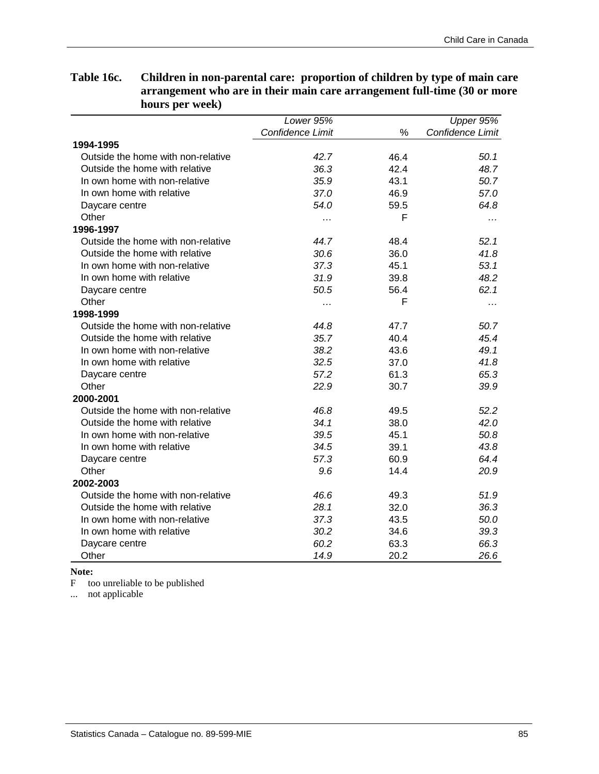|                                    | Lower 95%        |      | Upper 95%        |
|------------------------------------|------------------|------|------------------|
|                                    | Confidence Limit | %    | Confidence Limit |
| 1994-1995                          |                  |      |                  |
| Outside the home with non-relative | 42.7             | 46.4 | 50.1             |
| Outside the home with relative     | 36.3             | 42.4 | 48.7             |
| In own home with non-relative      | 35.9             | 43.1 | 50.7             |
| In own home with relative          | 37.0             | 46.9 | 57.0             |
| Daycare centre                     | 54.0             | 59.5 | 64.8             |
| Other                              | .                | F    |                  |
| 1996-1997                          |                  |      |                  |
| Outside the home with non-relative | 44.7             | 48.4 | 52.1             |
| Outside the home with relative     | 30.6             | 36.0 | 41.8             |
| In own home with non-relative      | 37.3             | 45.1 | 53.1             |
| In own home with relative          | 31.9             | 39.8 | 48.2             |
| Daycare centre                     | 50.5             | 56.4 | 62.1             |
| Other                              | .                | F    |                  |
| 1998-1999                          |                  |      |                  |
| Outside the home with non-relative | 44.8             | 47.7 | 50.7             |
| Outside the home with relative     | 35.7             | 40.4 | 45.4             |
| In own home with non-relative      | 38.2             | 43.6 | 49.1             |
| In own home with relative          | 32.5             | 37.0 | 41.8             |
| Daycare centre                     | 57.2             | 61.3 | 65.3             |
| Other                              | 22.9             | 30.7 | 39.9             |
| 2000-2001                          |                  |      |                  |
| Outside the home with non-relative | 46.8             | 49.5 | 52.2             |
| Outside the home with relative     | 34.1             | 38.0 | 42.0             |
| In own home with non-relative      | 39.5             | 45.1 | 50.8             |
| In own home with relative          | 34.5             | 39.1 | 43.8             |
| Daycare centre                     | 57.3             | 60.9 | 64.4             |
| Other                              | 9.6              | 14.4 | 20.9             |
| 2002-2003                          |                  |      |                  |
| Outside the home with non-relative | 46.6             | 49.3 | 51.9             |
| Outside the home with relative     | 28.1             | 32.0 | 36.3             |
| In own home with non-relative      | 37.3             | 43.5 | 50.0             |
| In own home with relative          | 30.2             | 34.6 | 39.3             |
| Daycare centre                     | 60.2             | 63.3 | 66.3             |
| Other                              | 14.9             | 20.2 | 26.6             |

# **Table 16c. Children in non-parental care: proportion of children by type of main care arrangement who are in their main care arrangement full-time (30 or more hours per week)**

**Note:** 

F too unreliable to be published

... not applicable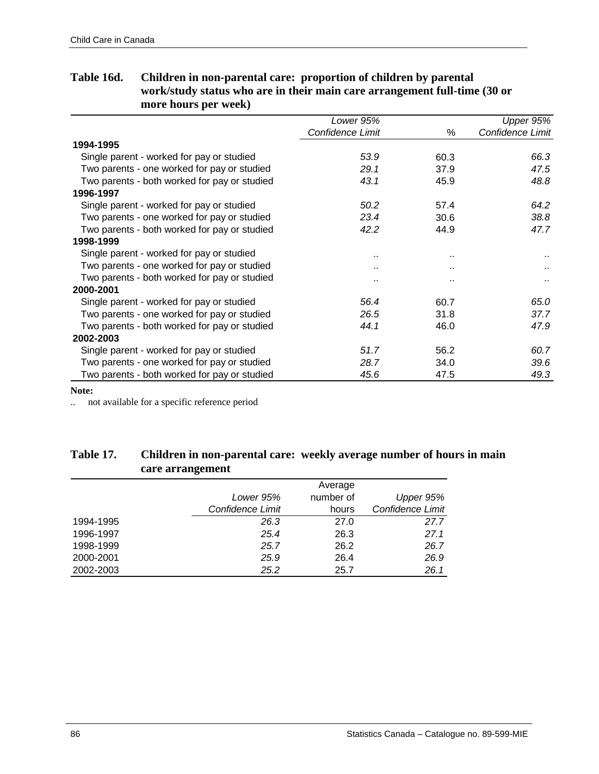|                                              | Lower 95%            |                      | Upper 95%        |
|----------------------------------------------|----------------------|----------------------|------------------|
|                                              | Confidence Limit     | %                    | Confidence Limit |
| 1994-1995                                    |                      |                      |                  |
| Single parent - worked for pay or studied    | 53.9                 | 60.3                 | 66.3             |
| Two parents - one worked for pay or studied  | 29.1                 | 37.9                 | 47.5             |
| Two parents - both worked for pay or studied | 43.1                 | 45.9                 | 48.8             |
| 1996-1997                                    |                      |                      |                  |
| Single parent - worked for pay or studied    | 50.2                 | 57.4                 | 64.2             |
| Two parents - one worked for pay or studied  | 23.4                 | 30.6                 | 38.8             |
| Two parents - both worked for pay or studied | 42.2                 | 44.9                 | 47.7             |
| 1998-1999                                    |                      |                      |                  |
| Single parent - worked for pay or studied    | $\ddot{\phantom{a}}$ | $\ddot{\phantom{a}}$ |                  |
| Two parents - one worked for pay or studied  |                      | $\ddot{\phantom{a}}$ |                  |
| Two parents - both worked for pay or studied |                      | $\ddot{\phantom{a}}$ |                  |
| 2000-2001                                    |                      |                      |                  |
| Single parent - worked for pay or studied    | 56.4                 | 60.7                 | 65.0             |
| Two parents - one worked for pay or studied  | 26.5                 | 31.8                 | 37.7             |
| Two parents - both worked for pay or studied | 44.1                 | 46.0                 | 47.9             |
| 2002-2003                                    |                      |                      |                  |
| Single parent - worked for pay or studied    | 51.7                 | 56.2                 | 60.7             |
| Two parents - one worked for pay or studied  | 28.7                 | 34.0                 | 39.6             |
| Two parents - both worked for pay or studied | 45.6                 | 47.5                 | 49.3             |

## **Table 16d. Children in non-parental care: proportion of children by parental work/study status who are in their main care arrangement full-time (30 or more hours per week)**

**Note:** 

.. not available for a specific reference period

## **Table 17. Children in non-parental care: weekly average number of hours in main care arrangement**

|           | ີ                |           |                  |
|-----------|------------------|-----------|------------------|
|           |                  | Average   |                  |
|           | Lower 95%        | number of | Upper 95%        |
|           | Confidence Limit | hours     | Confidence Limit |
| 1994-1995 | 26.3             | 27.0      | 27.7             |
| 1996-1997 | 25.4             | 26.3      | 27.1             |
| 1998-1999 | 25.7             | 26.2      | 26.7             |
| 2000-2001 | 25.9             | 26.4      | 26.9             |
| 2002-2003 | 25.2             | 25.7      | 26.1             |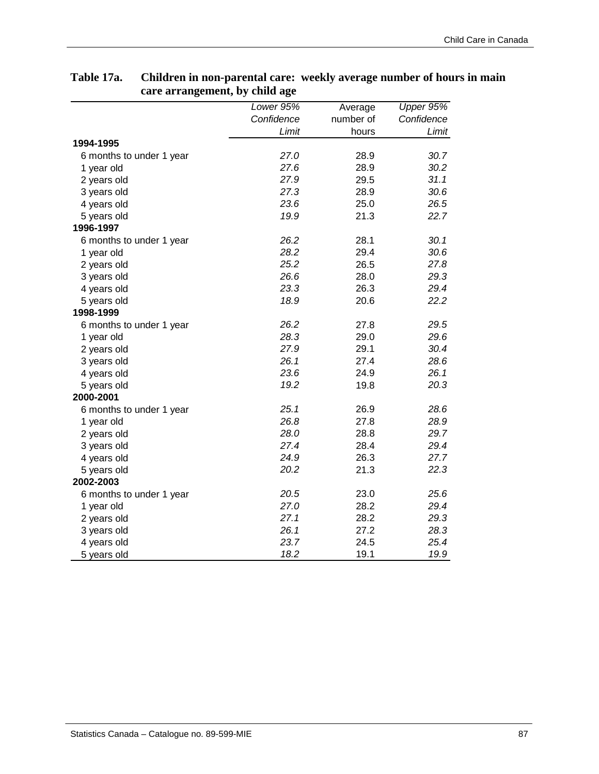| o                        | o<br>Lower 95% | Average   | Upper 95%  |
|--------------------------|----------------|-----------|------------|
|                          | Confidence     | number of | Confidence |
|                          | Limit          | hours     | Limit      |
| 1994-1995                |                |           |            |
| 6 months to under 1 year | 27.0           | 28.9      | 30.7       |
| 1 year old               | 27.6           | 28.9      | 30.2       |
| 2 years old              | 27.9           | 29.5      | 31.1       |
| 3 years old              | 27.3           | 28.9      | 30.6       |
| 4 years old              | 23.6           | 25.0      | 26.5       |
| 5 years old              | 19.9           | 21.3      | 22.7       |
| 1996-1997                |                |           |            |
| 6 months to under 1 year | 26.2           | 28.1      | 30.1       |
| 1 year old               | 28.2           | 29.4      | 30.6       |
| 2 years old              | 25.2           | 26.5      | 27.8       |
| 3 years old              | 26.6           | 28.0      | 29.3       |
| 4 years old              | 23.3           | 26.3      | 29.4       |
| 5 years old              | 18.9           | 20.6      | 22.2       |
| 1998-1999                |                |           |            |
| 6 months to under 1 year | 26.2           | 27.8      | 29.5       |
| 1 year old               | 28.3           | 29.0      | 29.6       |
| 2 years old              | 27.9           | 29.1      | 30.4       |
| 3 years old              | 26.1           | 27.4      | 28.6       |
| 4 years old              | 23.6           | 24.9      | 26.1       |
| 5 years old              | 19.2           | 19.8      | 20.3       |
| 2000-2001                |                |           |            |
| 6 months to under 1 year | 25.1           | 26.9      | 28.6       |
| 1 year old               | 26.8           | 27.8      | 28.9       |
| 2 years old              | 28.0           | 28.8      | 29.7       |
| 3 years old              | 27.4           | 28.4      | 29.4       |
| 4 years old              | 24.9           | 26.3      | 27.7       |
| 5 years old              | 20.2           | 21.3      | 22.3       |
| 2002-2003                |                |           |            |
| 6 months to under 1 year | 20.5           | 23.0      | 25.6       |
| 1 year old               | 27.0           | 28.2      | 29.4       |
| 2 years old              | 27.1           | 28.2      | 29.3       |
| 3 years old              | 26.1           | 27.2      | 28.3       |
| 4 years old              | 23.7           | 24.5      | 25.4       |
| 5 years old              | 18.2           | 19.1      | 19.9       |

### **Table 17a. Children in non-parental care: weekly average number of hours in main care arrangement, by child age**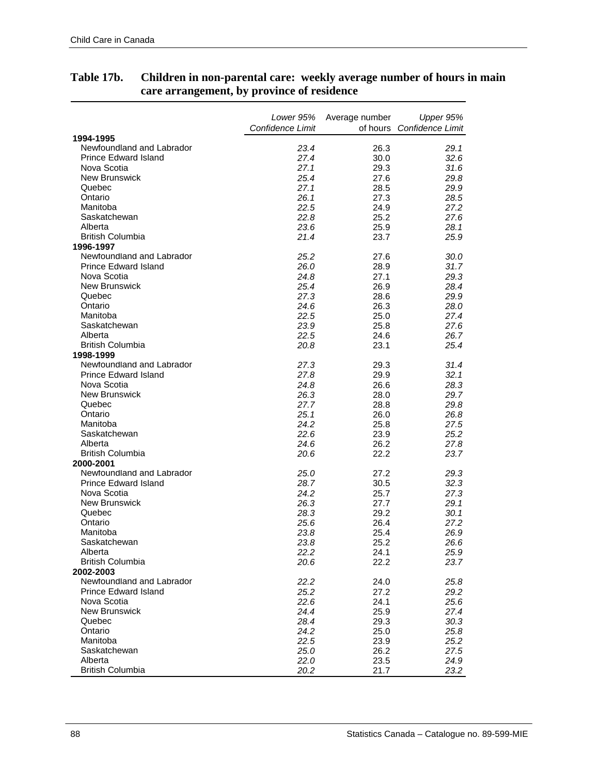|                                        | Lower 95%        | Average number | Upper 95%                 |
|----------------------------------------|------------------|----------------|---------------------------|
|                                        | Confidence Limit |                | of hours Confidence Limit |
| 1994-1995<br>Newfoundland and Labrador |                  |                |                           |
| <b>Prince Edward Island</b>            | 23.4<br>27.4     | 26.3<br>30.0   | 29.1<br>32.6              |
| Nova Scotia                            | 27.1             | 29.3           | 31.6                      |
| <b>New Brunswick</b>                   | 25.4             | 27.6           | 29.8                      |
| Quebec                                 | 27.1             | 28.5           | 29.9                      |
| Ontario                                | 26.1             | 27.3           | 28.5                      |
| Manitoba                               | 22.5             | 24.9           | 27.2                      |
| Saskatchewan                           | 22.8             | 25.2           | 27.6                      |
| Alberta                                | 23.6             | 25.9           | 28.1                      |
| <b>British Columbia</b>                | 21.4             | 23.7           | 25.9                      |
| 1996-1997                              |                  |                |                           |
| Newfoundland and Labrador              | 25.2             | 27.6           | 30.0                      |
| <b>Prince Edward Island</b>            | 26.0             | 28.9           | 31.7                      |
| Nova Scotia                            | 24.8             | 27.1           | 29.3                      |
| <b>New Brunswick</b>                   | 25.4             | 26.9           | 28.4                      |
| Quebec                                 | 27.3             | 28.6           | 29.9                      |
| Ontario                                | 24.6             | 26.3           | 28.0                      |
| Manitoba                               | 22.5             | 25.0           | 27.4                      |
| Saskatchewan                           | 23.9             | 25.8           | 27.6                      |
| Alberta                                | 22.5             | 24.6           | 26.7                      |
| <b>British Columbia</b>                | 20.8             | 23.1           | 25.4                      |
| 1998-1999                              |                  |                |                           |
| Newfoundland and Labrador              | 27.3             | 29.3           | 31.4                      |
| Prince Edward Island                   | 27.8             | 29.9           | 32.1                      |
| Nova Scotia                            | 24.8             | 26.6           | 28.3                      |
| <b>New Brunswick</b>                   | 26.3             | 28.0           | 29.7                      |
| Quebec                                 | 27.7             | 28.8           | 29.8                      |
| Ontario                                | 25.1             | 26.0           | 26.8                      |
| Manitoba                               | 24.2             | 25.8           | 27.5                      |
| Saskatchewan                           | 22.6             | 23.9           | 25.2                      |
| Alberta                                | 24.6             | 26.2           | 27.8                      |
| <b>British Columbia</b>                | 20.6             | 22.2           | 23.7                      |
| 2000-2001                              |                  |                |                           |
| Newfoundland and Labrador              | 25.0             | 27.2           | 29.3                      |
| <b>Prince Edward Island</b>            | 28.7             | 30.5           | 32.3                      |
| Nova Scotia                            | 24.2             | 25.7           | 27.3                      |
| <b>New Brunswick</b>                   | 26.3             | 27.7           | 29.1                      |
| Quebec                                 | 28.3             | 29.2           | 30.1                      |
| Ontario                                | 25.6             | 26.4           | 27.2                      |
| Manitoba                               | 23.8             | 25.4           | 26.9                      |
| Saskatchewan                           | 23.8             | 25.2           | 26.6                      |
| Alberta                                | 22.2             | 24.1           | 25.9                      |
| <b>British Columbia</b>                | 20.6             | 22.2           | 23.7                      |
| 2002-2003                              |                  |                |                           |
| Newfoundland and Labrador              | 22.2             | 24.0           | 25.8                      |
| <b>Prince Edward Island</b>            | 25.2             | 27.2           | 29.2                      |
| Nova Scotia                            | 22.6             | 24.1           | 25.6                      |
| <b>New Brunswick</b>                   | 24.4             | 25.9           | 27.4                      |
| Quebec                                 | 28.4             | 29.3           | 30.3                      |
| Ontario                                | 24.2             | 25.0           | 25.8                      |
| Manitoba                               | 22.5             | 23.9           | 25.2                      |
| Saskatchewan                           | 25.0             | 26.2           | 27.5                      |
| Alberta                                | 22.0             | 23.5           | 24.9                      |
| <b>British Columbia</b>                | 20.2             | 21.7           | 23.2                      |

#### **Table 17b. Children in non-parental care: weekly average number of hours in main care arrangement, by province of residence**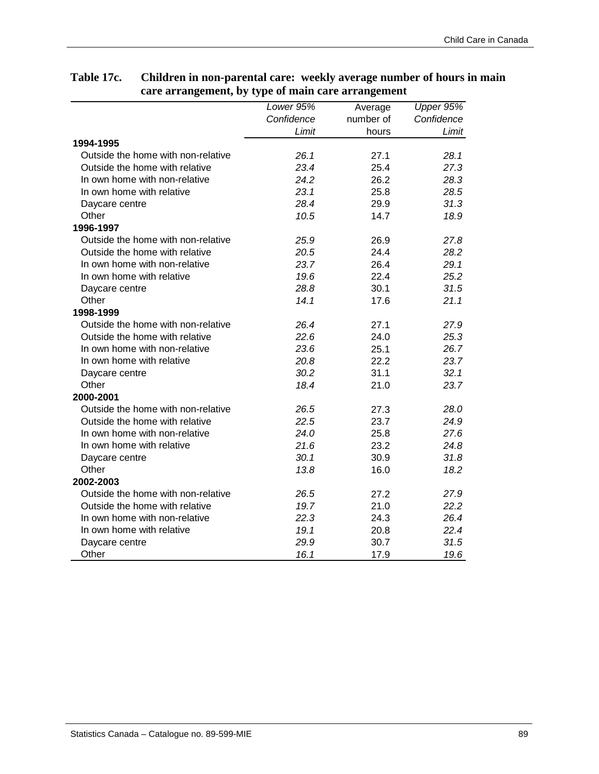# **Table 17c. Children in non-parental care: weekly average number of hours in main care arrangement, by type of main care arrangement**

|                                    | Lower $95%$ | Average   | Upper 95%  |
|------------------------------------|-------------|-----------|------------|
|                                    | Confidence  | number of | Confidence |
|                                    | Limit       | hours     | Limit      |
| 1994-1995                          |             |           |            |
| Outside the home with non-relative | 26.1        | 27.1      | 28.1       |
| Outside the home with relative     | 23.4        | 25.4      | 27.3       |
| In own home with non-relative      | 24.2        | 26.2      | 28.3       |
| In own home with relative          | 23.1        | 25.8      | 28.5       |
| Daycare centre                     | 28.4        | 29.9      | 31.3       |
| Other                              | 10.5        | 14.7      | 18.9       |
| 1996-1997                          |             |           |            |
| Outside the home with non-relative | 25.9        | 26.9      | 27.8       |
| Outside the home with relative     | 20.5        | 24.4      | 28.2       |
| In own home with non-relative      | 23.7        | 26.4      | 29.1       |
| In own home with relative          | 19.6        | 22.4      | 25.2       |
| Daycare centre                     | 28.8        | 30.1      | 31.5       |
| Other                              | 14.1        | 17.6      | 21.1       |
| 1998-1999                          |             |           |            |
| Outside the home with non-relative | 26.4        | 27.1      | 27.9       |
| Outside the home with relative     | 22.6        | 24.0      | 25.3       |
| In own home with non-relative      | 23.6        | 25.1      | 26.7       |
| In own home with relative          | 20.8        | 22.2      | 23.7       |
| Daycare centre                     | 30.2        | 31.1      | 32.1       |
| Other                              | 18.4        | 21.0      | 23.7       |
| 2000-2001                          |             |           |            |
| Outside the home with non-relative | 26.5        | 27.3      | 28.0       |
| Outside the home with relative     | 22.5        | 23.7      | 24.9       |
| In own home with non-relative      | 24.0        | 25.8      | 27.6       |
| In own home with relative          | 21.6        | 23.2      | 24.8       |
| Daycare centre                     | 30.1        | 30.9      | 31.8       |
| Other                              | 13.8        | 16.0      | 18.2       |
| 2002-2003                          |             |           |            |
| Outside the home with non-relative | 26.5        | 27.2      | 27.9       |
| Outside the home with relative     | 19.7        | 21.0      | 22.2       |
| In own home with non-relative      | 22.3        | 24.3      | 26.4       |
| In own home with relative          | 19.1        | 20.8      | 22.4       |
| Daycare centre                     | 29.9        | 30.7      | 31.5       |
| Other                              | 16.1        | 17.9      | 19.6       |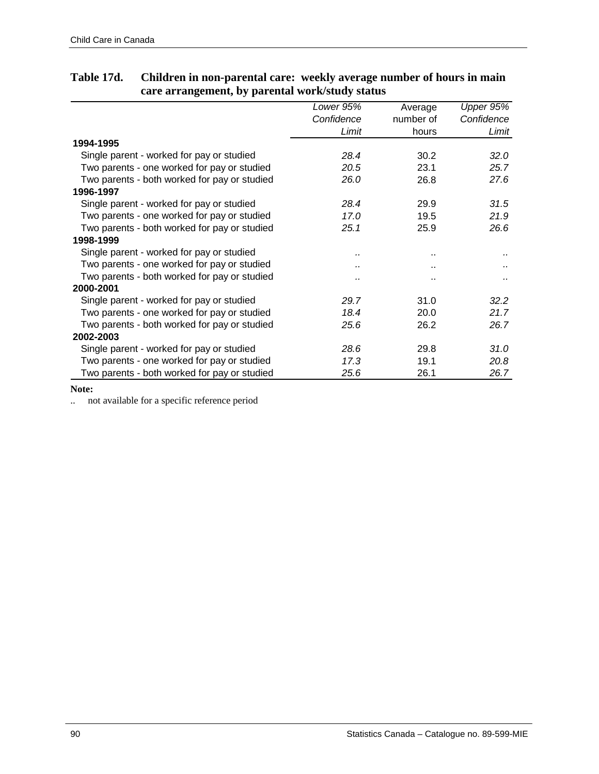|                                              | Lower 95%  | Average              | Upper 95%  |
|----------------------------------------------|------------|----------------------|------------|
|                                              | Confidence | number of            | Confidence |
|                                              | Limit      | hours                | Limit      |
| 1994-1995                                    |            |                      |            |
| Single parent - worked for pay or studied    | 28.4       | 30.2                 | 32.0       |
| Two parents - one worked for pay or studied  | 20.5       | 23.1                 | 25.7       |
| Two parents - both worked for pay or studied | 26.0       | 26.8                 | 27.6       |
| 1996-1997                                    |            |                      |            |
| Single parent - worked for pay or studied    | 28.4       | 29.9                 | 31.5       |
| Two parents - one worked for pay or studied  | 17.0       | 19.5                 | 21.9       |
| Two parents - both worked for pay or studied | 25.1       | 25.9                 | 26.6       |
| 1998-1999                                    |            |                      |            |
| Single parent - worked for pay or studied    |            | ٠.                   |            |
| Two parents - one worked for pay or studied  |            | ٠.                   |            |
| Two parents - both worked for pay or studied |            | $\ddot{\phantom{a}}$ |            |
| 2000-2001                                    |            |                      |            |
| Single parent - worked for pay or studied    | 29.7       | 31.0                 | 32.2       |
| Two parents - one worked for pay or studied  | 18.4       | 20.0                 | 21.7       |
| Two parents - both worked for pay or studied | 25.6       | 26.2                 | 26.7       |
| 2002-2003                                    |            |                      |            |
| Single parent - worked for pay or studied    | 28.6       | 29.8                 | 31.0       |
| Two parents - one worked for pay or studied  | 17.3       | 19.1                 | 20.8       |
| Two parents - both worked for pay or studied | 25.6       | 26.1                 | 26.7       |

## **Table 17d. Children in non-parental care: weekly average number of hours in main care arrangement, by parental work/study status**

**Note:**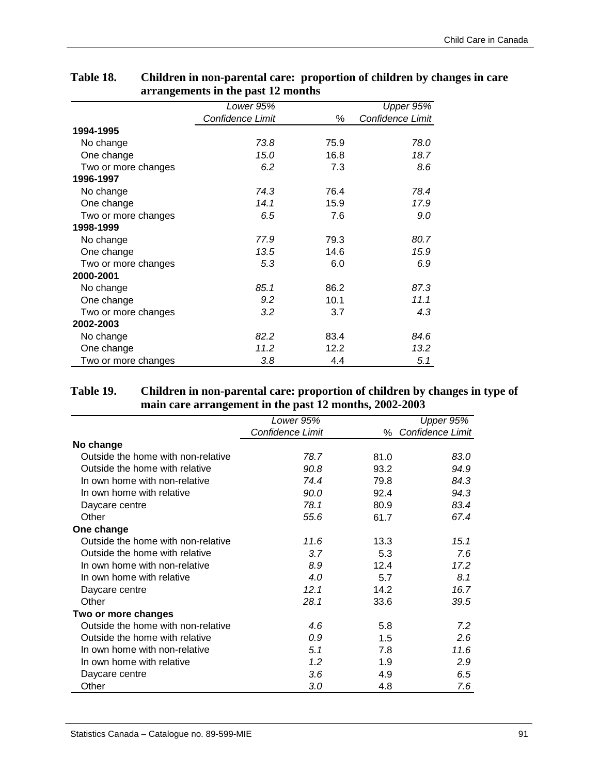| o                   |                  |      |                  |
|---------------------|------------------|------|------------------|
|                     | Lower 95%        |      | Upper 95%        |
|                     | Confidence Limit | %    | Confidence Limit |
| 1994-1995           |                  |      |                  |
| No change           | 73.8             | 75.9 | 78.0             |
| One change          | 15.0             | 16.8 | 18.7             |
| Two or more changes | 6.2              | 7.3  | 8.6              |
| 1996-1997           |                  |      |                  |
| No change           | 74.3             | 76.4 | 78.4             |
| One change          | 14.1             | 15.9 | 17.9             |
| Two or more changes | 6.5              | 7.6  | 9.0              |
| 1998-1999           |                  |      |                  |
| No change           | 77.9             | 79.3 | 80.7             |
| One change          | 13.5             | 14.6 | 15.9             |
| Two or more changes | 5.3              | 6.0  | 6.9              |
| 2000-2001           |                  |      |                  |
| No change           | 85.1             | 86.2 | 87.3             |
| One change          | 9.2              | 10.1 | 11.1             |
| Two or more changes | 3.2              | 3.7  | 4.3              |
| 2002-2003           |                  |      |                  |
| No change           | 82.2             | 83.4 | 84.6             |
| One change          | 11.2             | 12.2 | 13.2             |
| Two or more changes | 3.8              | 4.4  | 5.1              |

## **Table 18. Children in non-parental care: proportion of children by changes in care arrangements in the past 12 months**

### **Table 19. Children in non-parental care: proportion of children by changes in type of main care arrangement in the past 12 months, 2002-2003**

| Lower $95%$      |      | Upper 95%        |
|------------------|------|------------------|
| Confidence Limit | %    | Confidence Limit |
|                  |      |                  |
| 78.7             | 81.0 | 83.0             |
| 90.8             | 93.2 | 94.9             |
| 74.4             | 79.8 | 84.3             |
| 90.0             | 92.4 | 94.3             |
| 78.1             | 80.9 | 83.4             |
| 55.6             | 61.7 | 67.4             |
|                  |      |                  |
| 11.6             | 13.3 | 15.1             |
| 3.7              | 5.3  | 7.6              |
| 8.9              | 12.4 | 17.2             |
| 4.0              | 5.7  | 8.1              |
| 12.1             | 14.2 | 16.7             |
| 28.1             | 33.6 | 39.5             |
|                  |      |                  |
| 4.6              | 5.8  | 7.2              |
| 0.9              | 1.5  | 2.6              |
| 5.1              | 7.8  | 11.6             |
| 1.2              | 1.9  | 2.9              |
| 3.6              | 4.9  | 6.5              |
| 3.0              | 4.8  | 7.6              |
|                  |      |                  |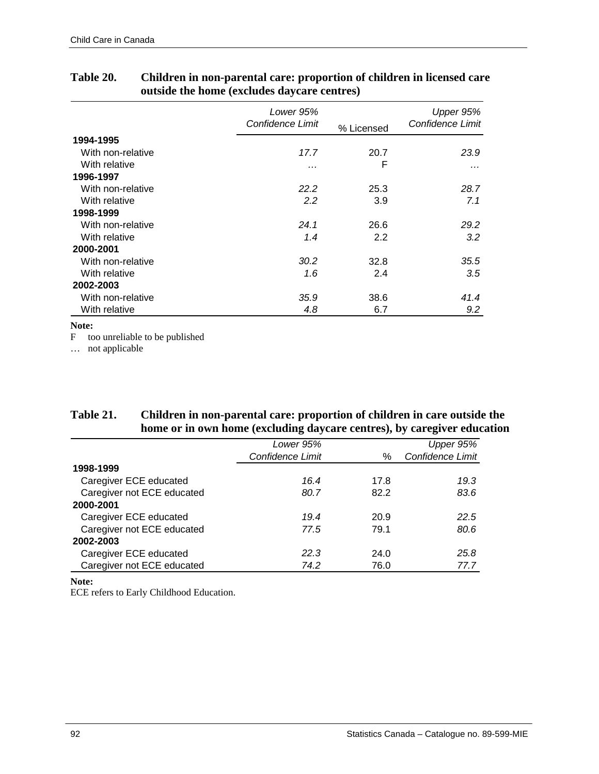|                   | Lower 95%<br>Confidence Limit | % Licensed | Upper 95%<br>Confidence Limit |
|-------------------|-------------------------------|------------|-------------------------------|
| 1994-1995         |                               |            |                               |
| With non-relative | 17.7                          | 20.7       | 23.9                          |
| With relative     | .                             | F          | $\cdots$                      |
| 1996-1997         |                               |            |                               |
| With non-relative | 22.2                          | 25.3       | 28.7                          |
| With relative     | 2.2                           | 3.9        | 7.1                           |
| 1998-1999         |                               |            |                               |
| With non-relative | 24.1                          | 26.6       | 29.2                          |
| With relative     | 1.4                           | 2.2        | 3.2                           |
| 2000-2001         |                               |            |                               |
| With non-relative | 30.2                          | 32.8       | 35.5                          |
| With relative     | 1.6                           | 2.4        | 3.5                           |
| 2002-2003         |                               |            |                               |
| With non-relative | 35.9                          | 38.6       | 41.4                          |
| With relative     | 4.8                           | 6.7        | 9.2                           |

### **Table 20. Children in non-parental care: proportion of children in licensed care outside the home (excludes daycare centres)**

#### **Note:**

F too unreliable to be published

… not applicable

### **Table 21. Children in non-parental care: proportion of children in care outside the home or in own home (excluding daycare centres), by caregiver education**

|                            | Lower 95%        |      | Upper 95%        |
|----------------------------|------------------|------|------------------|
|                            | Confidence Limit | %    | Confidence Limit |
| 1998-1999                  |                  |      |                  |
| Caregiver ECE educated     | 16.4             | 17.8 | 19.3             |
| Caregiver not ECE educated | 80.7             | 82.2 | 83.6             |
| 2000-2001                  |                  |      |                  |
| Caregiver ECE educated     | 19.4             | 20.9 | 22.5             |
| Caregiver not ECE educated | 77.5             | 79.1 | 80.6             |
| 2002-2003                  |                  |      |                  |
| Caregiver ECE educated     | 22.3             | 24.0 | 25.8             |
| Caregiver not ECE educated | 74.2             | 76.0 | 77.7             |

**Note:** 

ECE refers to Early Childhood Education.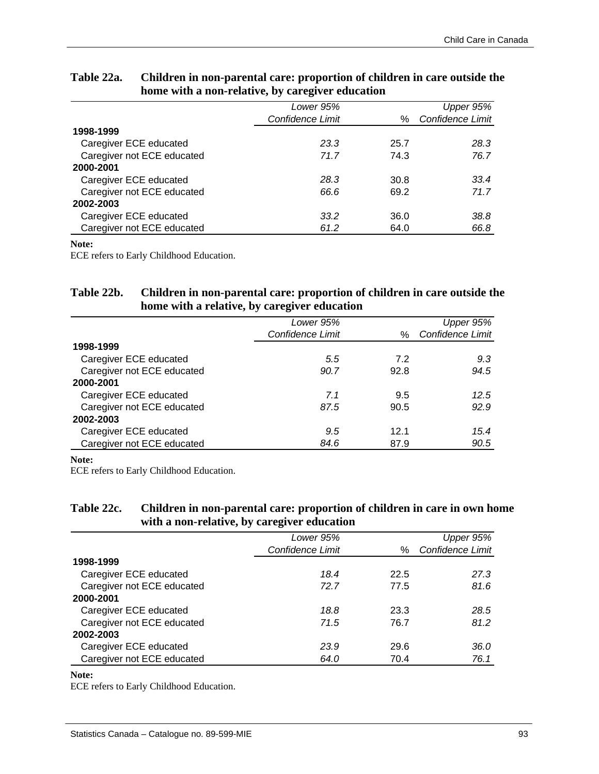|                            | Lower 95%        |      | Upper 95%        |
|----------------------------|------------------|------|------------------|
|                            | Confidence Limit | ℅    | Confidence Limit |
| 1998-1999                  |                  |      |                  |
| Caregiver ECE educated     | 23.3             | 25.7 | 28.3             |
| Caregiver not ECE educated | 71.7             | 74.3 | 76.7             |
| 2000-2001                  |                  |      |                  |
| Caregiver ECE educated     | 28.3             | 30.8 | 33.4             |
| Caregiver not ECE educated | 66.6             | 69.2 | 71.7             |
| 2002-2003                  |                  |      |                  |
| Caregiver ECE educated     | 33.2             | 36.0 | 38.8             |
| Caregiver not ECE educated | 61.2             | 64.0 | 66.8             |

### **Table 22a. Children in non-parental care: proportion of children in care outside the home with a non-relative, by caregiver education**

#### **Note:**

ECE refers to Early Childhood Education.

#### **Table 22b. Children in non-parental care: proportion of children in care outside the home with a relative, by caregiver education**

|                            | Lower 95%        |      | Upper 95%        |
|----------------------------|------------------|------|------------------|
|                            | Confidence Limit | $\%$ | Confidence Limit |
| 1998-1999                  |                  |      |                  |
| Caregiver ECE educated     | 5.5              | 7.2  | 9.3              |
| Caregiver not ECE educated | 90.7             | 92.8 | 94.5             |
| 2000-2001                  |                  |      |                  |
| Caregiver ECE educated     | 7.1              | 9.5  | 12.5             |
| Caregiver not ECE educated | 87.5             | 90.5 | 92.9             |
| 2002-2003                  |                  |      |                  |
| Caregiver ECE educated     | 9.5              | 12.1 | 15.4             |
| Caregiver not ECE educated | 84.6             | 87.9 | 90.5             |

#### **Note:**

ECE refers to Early Childhood Education.

### **Table 22c. Children in non-parental care: proportion of children in care in own home with a non-relative, by caregiver education**

|                            | Lower 95%        |      | Upper 95%        |
|----------------------------|------------------|------|------------------|
|                            | Confidence Limit | $\%$ | Confidence Limit |
| 1998-1999                  |                  |      |                  |
| Caregiver ECE educated     | 18.4             | 22.5 | 27.3             |
| Caregiver not ECE educated | 72.7             | 77.5 | 81.6             |
| 2000-2001                  |                  |      |                  |
| Caregiver ECE educated     | 18.8             | 23.3 | 28.5             |
| Caregiver not ECE educated | 71.5             | 76.7 | 81.2             |
| 2002-2003                  |                  |      |                  |
| Caregiver ECE educated     | 23.9             | 29.6 | 36.0             |
| Caregiver not ECE educated | 64.0             | 70.4 | 76.1             |
|                            |                  |      |                  |

#### **Note:**

ECE refers to Early Childhood Education.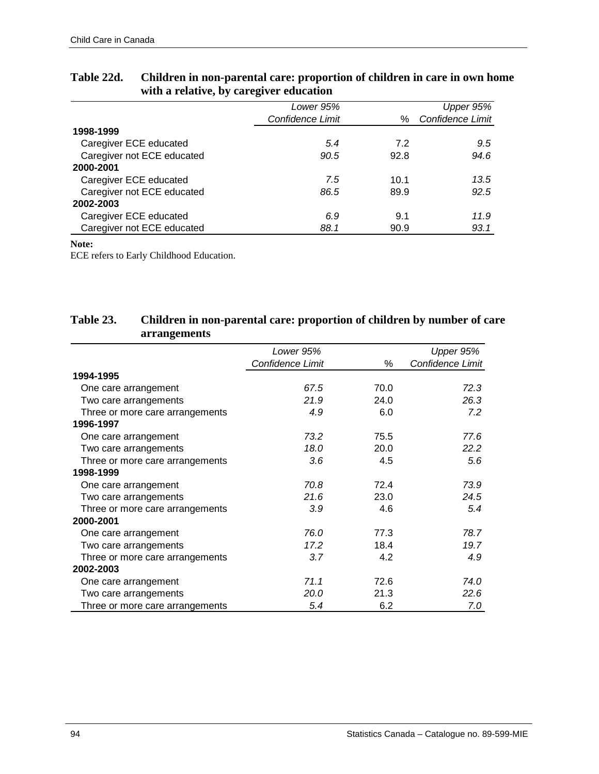|                            | Lower 95%        |      | Upper 95%        |
|----------------------------|------------------|------|------------------|
|                            | Confidence Limit | ℅    | Confidence Limit |
| 1998-1999                  |                  |      |                  |
| Caregiver ECE educated     | 5.4              | 7.2  | 9.5              |
| Caregiver not ECE educated | 90.5             | 92.8 | 94.6             |
| 2000-2001                  |                  |      |                  |
| Caregiver ECE educated     | 7.5              | 10.1 | 13.5             |
| Caregiver not ECE educated | 86.5             | 89.9 | 92.5             |
| 2002-2003                  |                  |      |                  |
| Caregiver ECE educated     | 6.9              | 9.1  | 11.9             |
| Caregiver not ECE educated | 88.1             | 90.9 | 93.1             |

## **Table 22d. Children in non-parental care: proportion of children in care in own home with a relative, by caregiver education**

#### **Note:**

ECE refers to Early Childhood Education.

## **Table 23. Children in non-parental care: proportion of children by number of care arrangements**

|                                 | Lower 95%        |      | Upper 95%        |
|---------------------------------|------------------|------|------------------|
|                                 | Confidence Limit | %    | Confidence Limit |
| 1994-1995                       |                  |      |                  |
| One care arrangement            | 67.5             | 70.0 | 72.3             |
| Two care arrangements           | 21.9             | 24.0 | 26.3             |
| Three or more care arrangements | 4.9              | 6.0  | 7.2              |
| 1996-1997                       |                  |      |                  |
| One care arrangement            | 73.2             | 75.5 | 77.6             |
| Two care arrangements           | 18.0             | 20.0 | 22.2             |
| Three or more care arrangements | 3.6              | 4.5  | 5.6              |
| 1998-1999                       |                  |      |                  |
| One care arrangement            | 70.8             | 72.4 | 73.9             |
| Two care arrangements           | 21.6             | 23.0 | 24.5             |
| Three or more care arrangements | 3.9              | 4.6  | 5.4              |
| 2000-2001                       |                  |      |                  |
| One care arrangement            | 76.0             | 77.3 | 78.7             |
| Two care arrangements           | 17.2             | 18.4 | 19.7             |
| Three or more care arrangements | 3.7              | 4.2  | 4.9              |
| 2002-2003                       |                  |      |                  |
| One care arrangement            | 71.1             | 72.6 | 74.0             |
| Two care arrangements           | 20.0             | 21.3 | 22.6             |
| Three or more care arrangements | 5.4              | 6.2  | 7.0              |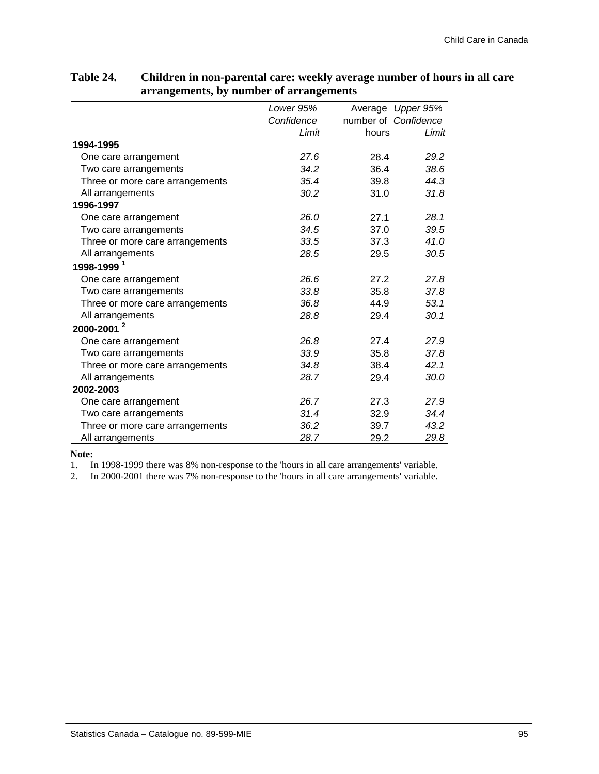# **Table 24. Children in non-parental care: weekly average number of hours in all care arrangements, by number of arrangements**

|                                 | Lower 95%  |       | Average Upper 95%    |
|---------------------------------|------------|-------|----------------------|
|                                 | Confidence |       | number of Confidence |
|                                 | Limit      | hours | Limit                |
| 1994-1995                       |            |       |                      |
| One care arrangement            | 27.6       | 28.4  | 29.2                 |
| Two care arrangements           | 34.2       | 36.4  | 38.6                 |
| Three or more care arrangements | 35.4       | 39.8  | 44.3                 |
| All arrangements                | 30.2       | 31.0  | 31.8                 |
| 1996-1997                       |            |       |                      |
| One care arrangement            | 26.0       | 27.1  | 28.1                 |
| Two care arrangements           | 34.5       | 37.0  | 39.5                 |
| Three or more care arrangements | 33.5       | 37.3  | 41.0                 |
| All arrangements                | 28.5       | 29.5  | 30.5                 |
| 1998-1999 <sup>1</sup>          |            |       |                      |
| One care arrangement            | 26.6       | 27.2  | 27.8                 |
| Two care arrangements           | 33.8       | 35.8  | 37.8                 |
| Three or more care arrangements | 36.8       | 44.9  | 53.1                 |
| All arrangements                | 28.8       | 29.4  | 30.1                 |
| 2000-2001 <sup>2</sup>          |            |       |                      |
| One care arrangement            | 26.8       | 27.4  | 27.9                 |
| Two care arrangements           | 33.9       | 35.8  | 37.8                 |
| Three or more care arrangements | 34.8       | 38.4  | 42.1                 |
| All arrangements                | 28.7       | 29.4  | 30.0                 |
| 2002-2003                       |            |       |                      |
| One care arrangement            | 26.7       | 27.3  | 27.9                 |
| Two care arrangements           | 31.4       | 32.9  | 34.4                 |
| Three or more care arrangements | 36.2       | 39.7  | 43.2                 |
| All arrangements                | 28.7       | 29.2  | 29.8                 |

**Note:** 

1. In 1998-1999 there was 8% non-response to the 'hours in all care arrangements' variable.<br>2. In 2000-2001 there was 7% non-response to the 'hours in all care arrangements' variable.

2. In 2000-2001 there was 7% non-response to the 'hours in all care arrangements' variable.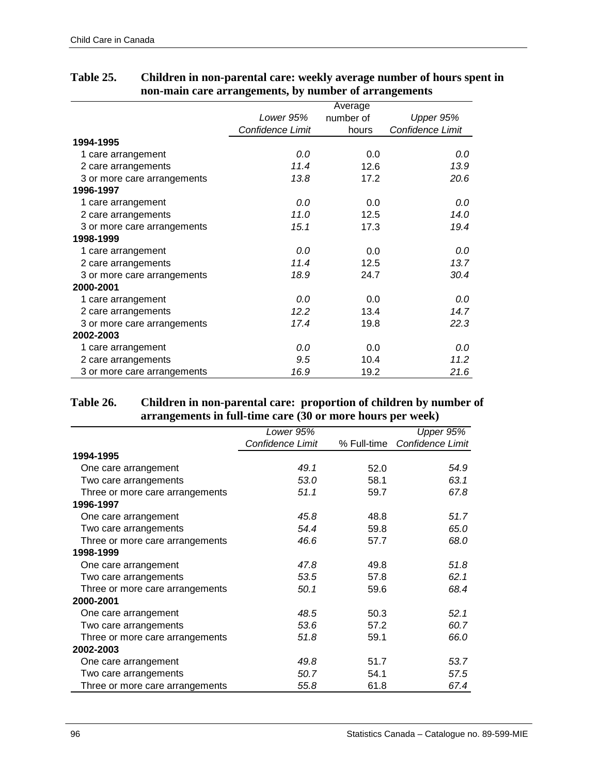|                             |                  | Average   |                  |
|-----------------------------|------------------|-----------|------------------|
|                             | Lower 95%        | number of | Upper 95%        |
|                             | Confidence Limit | hours     | Confidence Limit |
| 1994-1995                   |                  |           |                  |
| 1 care arrangement          | 0.0              | 0.0       | 0.0              |
| 2 care arrangements         | 11.4             | 12.6      | 13.9             |
| 3 or more care arrangements | 13.8             | 17.2      | 20.6             |
| 1996-1997                   |                  |           |                  |
| 1 care arrangement          | 0.0              | 0.0       | 0.0              |
| 2 care arrangements         | 11.0             | 12.5      | 14.0             |
| 3 or more care arrangements | 15.1             | 17.3      | 19.4             |
| 1998-1999                   |                  |           |                  |
| 1 care arrangement          | 0.0              | 0.0       | 0.0              |
| 2 care arrangements         | 11.4             | 12.5      | 13.7             |
| 3 or more care arrangements | 18.9             | 24.7      | 30.4             |
| 2000-2001                   |                  |           |                  |
| 1 care arrangement          | 0.0              | 0.0       | 0.0              |
| 2 care arrangements         | 12.2             | 13.4      | 14.7             |
| 3 or more care arrangements | 17.4             | 19.8      | 22.3             |
| 2002-2003                   |                  |           |                  |
| 1 care arrangement          | 0.0              | 0.0       | 0.0              |
| 2 care arrangements         | 9.5              | 10.4      | 11.2             |
| 3 or more care arrangements | 16.9             | 19.2      | 21.6             |

# **Table 25. Children in non-parental care: weekly average number of hours spent in non-main care arrangements, by number of arrangements**

### **Table 26. Children in non-parental care: proportion of children by number of arrangements in full-time care (30 or more hours per week)**

|                                 | Lower 95%               |      | Upper 95%                    |
|---------------------------------|-------------------------|------|------------------------------|
|                                 | <b>Confidence Limit</b> |      | % Full-time Confidence Limit |
| 1994-1995                       |                         |      |                              |
| One care arrangement            | 49.1                    | 52.0 | 54.9                         |
| Two care arrangements           | 53.0                    | 58.1 | 63.1                         |
| Three or more care arrangements | 51.1                    | 59.7 | 67.8                         |
| 1996-1997                       |                         |      |                              |
| One care arrangement            | 45.8                    | 48.8 | 51.7                         |
| Two care arrangements           | 54.4                    | 59.8 | 65.0                         |
| Three or more care arrangements | 46.6                    | 57.7 | 68.0                         |
| 1998-1999                       |                         |      |                              |
| One care arrangement            | 47.8                    | 49.8 | 51.8                         |
| Two care arrangements           | 53.5                    | 57.8 | 62.1                         |
| Three or more care arrangements | 50.1                    | 59.6 | 68.4                         |
| 2000-2001                       |                         |      |                              |
| One care arrangement            | 48.5                    | 50.3 | 52.1                         |
| Two care arrangements           | 53.6                    | 57.2 | 60.7                         |
| Three or more care arrangements | 51.8                    | 59.1 | 66.0                         |
| 2002-2003                       |                         |      |                              |
| One care arrangement            | 49.8                    | 51.7 | 53.7                         |
| Two care arrangements           | 50.7                    | 54.1 | 57.5                         |
| Three or more care arrangements | 55.8                    | 61.8 | 67.4                         |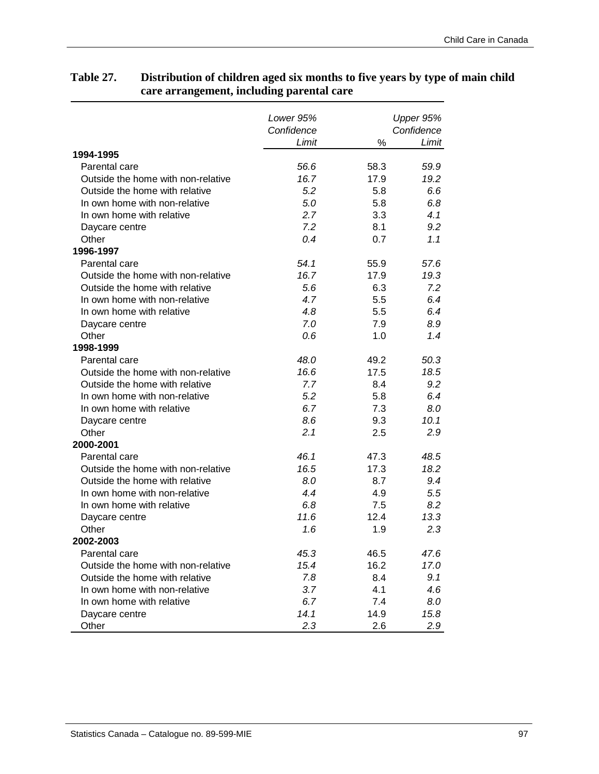|                                    | Lower 95%<br>Confidence |      | Upper 95%<br>Confidence |
|------------------------------------|-------------------------|------|-------------------------|
|                                    | Limit                   | %    | Limit                   |
| 1994-1995                          |                         |      |                         |
| Parental care                      | 56.6                    | 58.3 | 59.9                    |
| Outside the home with non-relative | 16.7                    | 17.9 | 19.2                    |
| Outside the home with relative     | 5.2                     | 5.8  | 6.6                     |
| In own home with non-relative      | 5.0                     | 5.8  | 6.8                     |
| In own home with relative          | 2.7                     | 3.3  | 4.1                     |
| Daycare centre                     | 7.2                     | 8.1  | 9.2                     |
| Other                              | 0.4                     | 0.7  | 1.1                     |
| 1996-1997                          |                         |      |                         |
| Parental care                      | 54.1                    | 55.9 | 57.6                    |
| Outside the home with non-relative | 16.7                    | 17.9 | 19.3                    |
| Outside the home with relative     | 5.6                     | 6.3  | 7.2                     |
| In own home with non-relative      | 4.7                     | 5.5  | 6.4                     |
| In own home with relative          | 4.8                     | 5.5  | 6.4                     |
| Daycare centre                     | 7.0                     | 7.9  | 8.9                     |
| Other                              | 0.6                     | 1.0  | 1.4                     |
| 1998-1999                          |                         |      |                         |
| Parental care                      | 48.0                    | 49.2 | 50.3                    |
| Outside the home with non-relative | 16.6                    | 17.5 | 18.5                    |
| Outside the home with relative     | 7.7                     | 8.4  | 9.2                     |
| In own home with non-relative      | 5.2                     | 5.8  | 6.4                     |
| In own home with relative          | 6.7                     | 7.3  | 8.0                     |
| Daycare centre                     | 8.6                     | 9.3  | 10.1                    |
| Other                              | 2.1                     | 2.5  | 2.9                     |
| 2000-2001                          |                         |      |                         |
| Parental care                      | 46.1                    | 47.3 | 48.5                    |
| Outside the home with non-relative | 16.5                    | 17.3 | 18.2                    |
| Outside the home with relative     | 8.0                     | 8.7  | 9.4                     |
| In own home with non-relative      | 4.4                     | 4.9  | 5.5                     |
| In own home with relative          | 6.8                     | 7.5  | 8.2                     |
| Daycare centre                     | 11.6                    | 12.4 | 13.3                    |
| Other                              | 1.6                     | 1.9  | 2.3                     |
| 2002-2003                          |                         |      |                         |
| Parental care                      | 45.3                    | 46.5 | 47.6                    |
| Outside the home with non-relative | 15.4                    | 16.2 | 17.0                    |
| Outside the home with relative     | 7.8                     | 8.4  | 9.1                     |
| In own home with non-relative      | 3.7                     | 4.1  | 4.6                     |
| In own home with relative          | 6.7                     | 7.4  | 8.0                     |
| Daycare centre                     | 14.1                    | 14.9 | 15.8                    |
| Other                              | 2.3                     | 2.6  | 2.9                     |

## **Table 27. Distribution of children aged six months to five years by type of main child care arrangement, including parental care**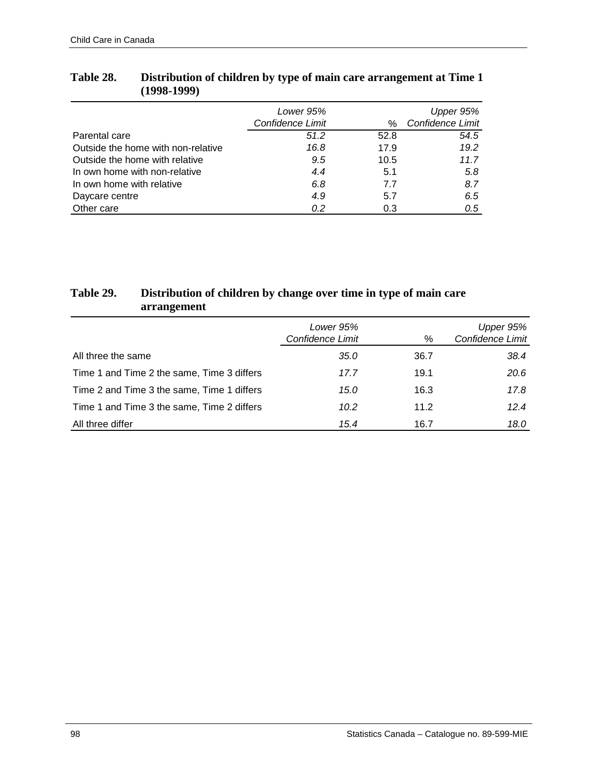|                                    | Lower 95%        |      | Upper 95%        |
|------------------------------------|------------------|------|------------------|
|                                    | Confidence Limit | %    | Confidence Limit |
| Parental care                      | 51.2             | 52.8 | 54.5             |
| Outside the home with non-relative | 16.8             | 17.9 | 19.2             |
| Outside the home with relative     | 9.5              | 10.5 | 11.7             |
| In own home with non-relative      | 4.4              | 5.1  | 5.8              |
| In own home with relative          | 6.8              | 7.7  | 8.7              |
| Daycare centre                     | 4.9              | 5.7  | 6.5              |
| Other care                         | 0.2              | 0.3  | 0.5              |

# **Table 28. Distribution of children by type of main care arrangement at Time 1 (1998-1999)**

# **Table 29. Distribution of children by change over time in type of main care arrangement**

|                                            | Lower 95%<br>Confidence Limit | %    | Upper 95%<br>Confidence Limit |
|--------------------------------------------|-------------------------------|------|-------------------------------|
| All three the same                         | 35.0                          | 36.7 | 38.4                          |
| Time 1 and Time 2 the same, Time 3 differs | 17.7                          | 19.1 | 20.6                          |
| Time 2 and Time 3 the same, Time 1 differs | 15.0                          | 16.3 | 17.8                          |
| Time 1 and Time 3 the same, Time 2 differs | 10.2                          | 11.2 | 12.4                          |
| All three differ                           | 15.4                          | 16.7 | 18.0                          |